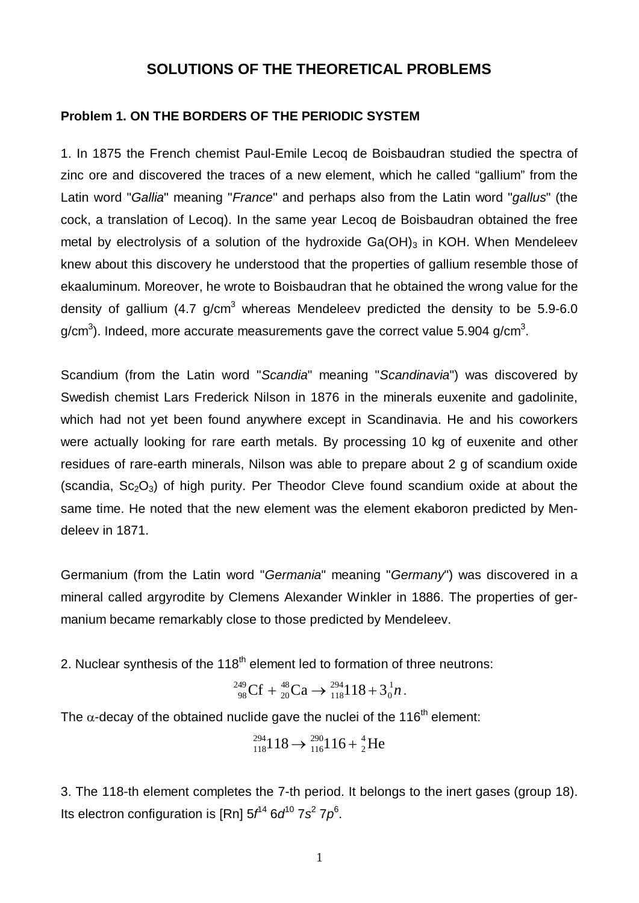# **SOLUTIONS OF THE THEORETICAL PROBLEMS**

## **Problem 1. ON THE BORDERS OF THE PERIODIC SYSTEM**

1. In 1875 the French chemist Paul-Emile Lecoq de Boisbaudran studied the spectra of zinc ore and discovered the traces of a new element, which he called "gallium" from the Latin word "*Gallia*" meaning "*France*" and perhaps also from the Latin word "*gallus*" (the cock, a translation of Lecoq). In the same year Lecoq de Boisbaudran obtained the free metal by electrolysis of a solution of the hydroxide  $Ga(OH)_3$  in KOH. When Mendeleev knew about this discovery he understood that the properties of gallium resemble those of ekaaluminum. Moreover, he wrote to Boisbaudran that he obtained the wrong value for the density of gallium (4.7 g/cm $3$  whereas Mendeleev predicted the density to be 5.9-6.0 g/cm<sup>3</sup>). Indeed, more accurate measurements gave the correct value 5.904 g/cm<sup>3</sup>.

Scandium (from the Latin word "*Scandia*" meaning "*Scandinavia*") was discovered by Swedish chemist Lars Frederick Nilson in 1876 in the minerals euxenite and gadolinite, which had not yet been found anywhere except in Scandinavia. He and his coworkers were actually looking for rare earth metals. By processing 10 kg of euxenite and other residues of rare-earth minerals, Nilson was able to prepare about 2 g of scandium oxide (scandia,  $Sc<sub>2</sub>O<sub>3</sub>$ ) of high purity. Per Theodor Cleve found scandium oxide at about the same time. He noted that the new element was the element ekaboron predicted by Mendeleev in 1871.

Germanium (from the Latin word "*Germania*" meaning "*Germany*") was discovered in a mineral called argyrodite by Clemens Alexander Winkler in 1886. The properties of germanium became remarkably close to those predicted by Mendeleev.

2. Nuclear synthesis of the  $118<sup>th</sup>$  element led to formation of three neutrons:

$$
^{249}_{98}\text{Cf} + ^{48}_{20}\text{Ca} \rightarrow ^{294}_{118}118 + 3^1_0 n \,.
$$

The  $\alpha$ -decay of the obtained nuclide gave the nuclei of the 116<sup>th</sup> element:

$$
^{294}_{118}118 \rightarrow ^{290}_{116}116 + ^{4}_{2}He
$$

3. The 118-th element completes the 7-th period. It belongs to the inert gases (group 18). Its electron configuration is [Rn]  $5f^{14}$   $6d^{10}$   $7s^2$   $7p^6$ .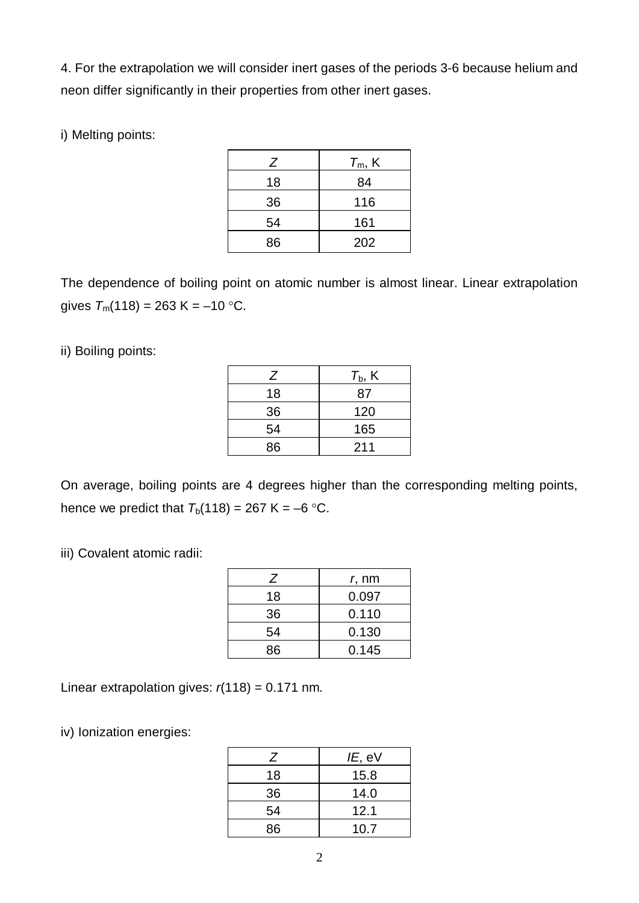4. For the extrapolation we will consider inert gases of the periods 3-6 because helium and neon differ significantly in their properties from other inert gases.

i) Melting points:

| Z  | $T_m$ , K |
|----|-----------|
| 18 | 84        |
| 36 | 116       |
| 54 | 161       |
| 86 | 202       |

The dependence of boiling point on atomic number is almost linear. Linear extrapolation gives  $T_m(118) = 263$  K = -10 °C.

ii) Boiling points:

| Ζ  | $T_{\rm b}$ , K |
|----|-----------------|
| 18 | 87              |
| 36 | 120             |
| 54 | 165             |
| 86 | 211             |

On average, boiling points are 4 degrees higher than the corresponding melting points, hence we predict that  $T_b(118) = 267$  K = -6 °C.

iii) Covalent atomic radii:

| Ζ  | <i>r</i> , nm |
|----|---------------|
| 18 | 0.097         |
| 36 | 0.110         |
| 54 | 0.130         |
| 86 | 0.145         |

Linear extrapolation gives:  $r(118) = 0.171$  nm.

iv) Ionization energies:

| Ζ  | IE, eV |
|----|--------|
| 18 | 15.8   |
| 36 | 14.0   |
| 54 | 12.1   |
| 86 | 10.7   |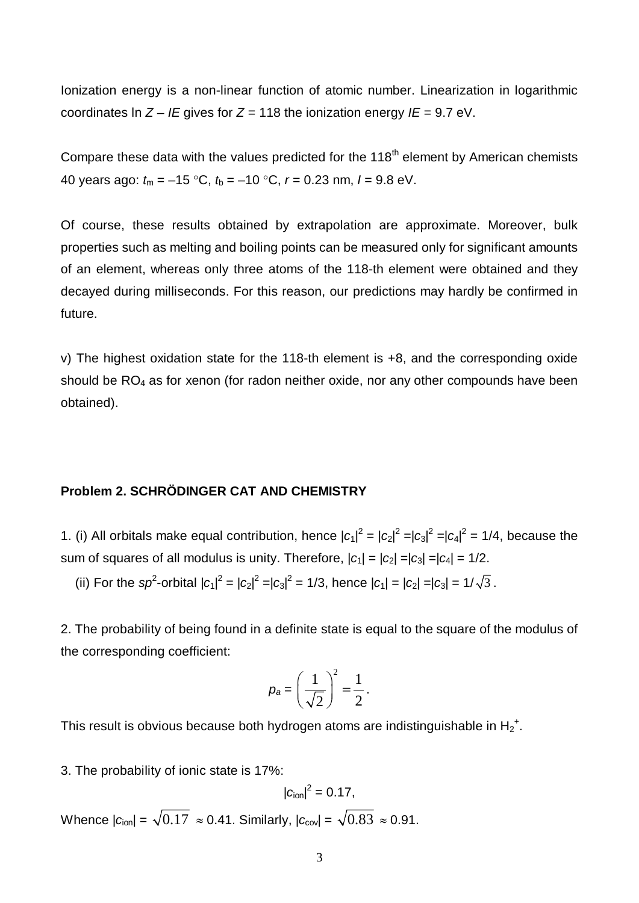Ionization energy is a non-linear function of atomic number. Linearization in logarithmic coordinates In  $Z - I E$  gives for  $Z = 118$  the ionization energy  $I E = 9.7$  eV.

Compare these data with the values predicted for the  $118<sup>th</sup>$  element by American chemists 40 years ago: *t*m = –15 °C, *t*b = –10 °C, *r* = 0.23 nm, *I* = 9.8 eV.

Of course, these results obtained by extrapolation are approximate. Moreover, bulk properties such as melting and boiling points can be measured only for significant amounts of an element, whereas only three atoms of the 118-th element were obtained and they decayed during milliseconds. For this reason, our predictions may hardly be confirmed in future.

v) The highest oxidation state for the 118-th element is +8, and the corresponding oxide should be  $RO<sub>4</sub>$  as for xenon (for radon neither oxide, nor any other compounds have been obtained).

# **Problem 2. SCHRÖDINGER CAT AND CHEMISTRY**

1. (i) All orbitals make equal contribution, hence  $|c_1|^2 = |c_2|^2 = |c_3|^2 = |c_4|^2 = 1/4$ , because the sum of squares of all modulus is unity. Therefore,  $|c_1| = |c_2| = |c_3| = |c_4| = 1/2$ .

(ii) For the sp<sup>2</sup>-orbital  $|c_1|^2 = |c_2|^2 = |c_3|^2 = 1/3$ , hence  $|c_1| = |c_2| = |c_3| = 1/\sqrt{3}$ .

2. The probability of being found in a definite state is equal to the square of the modulus of the corresponding coefficient:

$$
p_a = \left(\frac{1}{\sqrt{2}}\right)^2 = \frac{1}{2}.
$$

This result is obvious because both hydrogen atoms are indistinguishable in  $H_2^+$ .

3. The probability of ionic state is 17%:

$$
|c_{\text{ion}}|^2=0.17,
$$

Whence  $|c_{\text{ion}}| = \sqrt{0.17} \approx 0.41$ . Similarly,  $|c_{\text{cov}}| = \sqrt{0.83} \approx 0.91$ .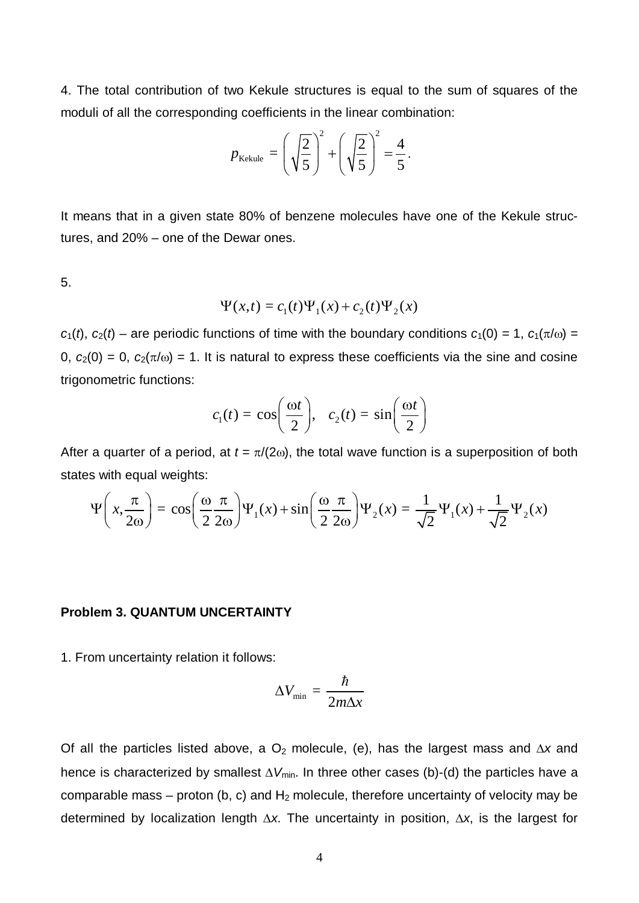4. The total contribution of two Kekule structures is equal to the sum of squares of the moduli of all the corresponding coefficients in the linear combination:

$$
p_{\text{Kekule}} = \left(\sqrt{\frac{2}{5}}\right)^2 + \left(\sqrt{\frac{2}{5}}\right)^2 = \frac{4}{5}.
$$

It means that in a given state 80% of benzene molecules have one of the Kekule structures, and 20% – one of the Dewar ones.

5.

$$
\Psi(x,t) = c_1(t)\Psi_1(x) + c_2(t)\Psi_2(x)
$$

 $c_1(t)$ ,  $c_2(t)$  – are periodic functions of time with the boundary conditions  $c_1(0) = 1$ ,  $c_1(\pi/\omega) =$  $0, c_2(0) = 0, c_2(\pi/\omega) = 1$ . It is natural to express these coefficients via the sine and cosine trigonometric functions:

$$
c_1(t) = \cos\left(\frac{\omega t}{2}\right), \quad c_2(t) = \sin\left(\frac{\omega t}{2}\right)
$$

After a quarter of a period, at  $t = \pi/(2\omega)$ , the total wave function is a superposition of both states with equal weights:

$$
\Psi\left(x,\frac{\pi}{2\omega}\right) = \cos\left(\frac{\omega}{2}\frac{\pi}{2\omega}\right)\Psi_1(x) + \sin\left(\frac{\omega}{2}\frac{\pi}{2\omega}\right)\Psi_2(x) = \frac{1}{\sqrt{2}}\Psi_1(x) + \frac{1}{\sqrt{2}}\Psi_2(x)
$$

#### **Problem 3. QUANTUM UNCERTAINTY**

1. From uncertainty relation it follows:

$$
\Delta V_{\min} = \frac{\hbar}{2m\Delta x}
$$

Of all the particles listed above, a  $O<sub>2</sub>$  molecule, (e), has the largest mass and  $\Delta x$  and hence is characterized by smallest  $\Delta V_{min}$ . In three other cases (b)-(d) the particles have a comparable mass – proton (b, c) and  $H_2$  molecule, therefore uncertainty of velocity may be determined by localization length  $\Delta x$ . The uncertainty in position,  $\Delta x$ , is the largest for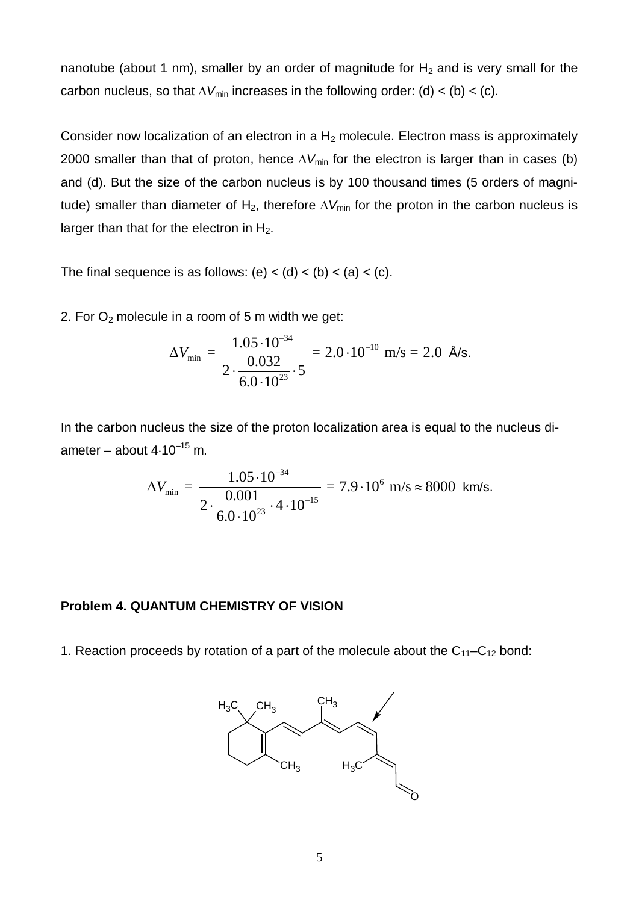nanotube (about 1 nm), smaller by an order of magnitude for  $H_2$  and is very small for the carbon nucleus, so that  $\Delta V_{\text{min}}$  increases in the following order: (d) < (b) < (c).

Consider now localization of an electron in a  $H_2$  molecule. Electron mass is approximately 2000 smaller than that of proton, hence  $\Delta V_{\text{min}}$  for the electron is larger than in cases (b) and (d). But the size of the carbon nucleus is by 100 thousand times (5 orders of magnitude) smaller than diameter of H<sub>2</sub>, therefore  $\Delta V_{min}$  for the proton in the carbon nucleus is larger than that for the electron in  $H_2$ .

The final sequence is as follows: (e) < (d) < (b) < (a) < (c).

2. For  $O_2$  molecule in a room of 5 m width we get:

$$
\Delta V_{\min} = \frac{1.05 \cdot 10^{-34}}{2 \cdot \frac{0.032}{6.0 \cdot 10^{23}} \cdot 5} = 2.0 \cdot 10^{-10} \text{ m/s} = 2.0 \text{ Å/s}.
$$

In the carbon nucleus the size of the proton localization area is equal to the nucleus diameter – about  $4.10^{-15}$  m.

$$
\Delta V_{\min} = \frac{1.05 \cdot 10^{-34}}{2 \cdot \frac{0.001}{6.0 \cdot 10^{23}} \cdot 4 \cdot 10^{-15}} = 7.9 \cdot 10^6 \text{ m/s} \approx 8000 \text{ km/s}.
$$

## **Problem 4. QUANTUM CHEMISTRY OF VISION**

1. Reaction proceeds by rotation of a part of the molecule about the  $C_{11}-C_{12}$  bond:

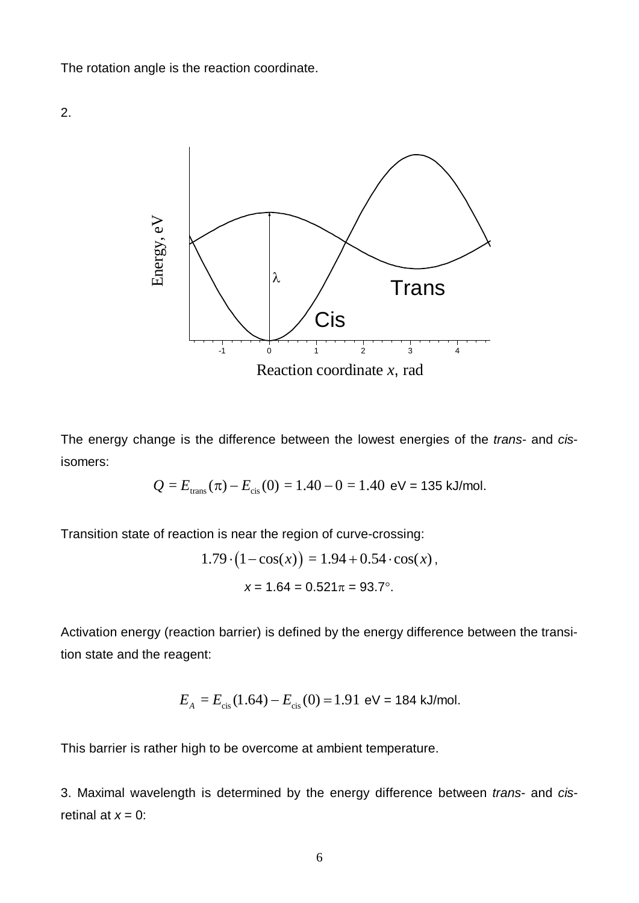The rotation angle is the reaction coordinate.





The energy change is the difference between the lowest energies of the *trans*- and *cis*isomers:

$$
Q = E_{\text{trans}}(\pi) - E_{\text{cis}}(0) = 1.40 - 0 = 1.40 \text{ eV} = 135 \text{ kJ/mol}.
$$

Transition state of reaction is near the region of curve-crossing:

$$
1.79 \cdot (1 - \cos(x)) = 1.94 + 0.54 \cdot \cos(x),
$$

$$
x = 1.64 = 0.521\pi = 93.7^{\circ}.
$$

Activation energy (reaction barrier) is defined by the energy difference between the transition state and the reagent:

$$
E_A = E_{\text{cis}}(1.64) - E_{\text{cis}}(0) = 1.91 \text{ eV} = 184 \text{ kJ/mol}.
$$

This barrier is rather high to be overcome at ambient temperature.

3. Maximal wavelength is determined by the energy difference between *trans*- and *cis*retinal at  $x = 0$ :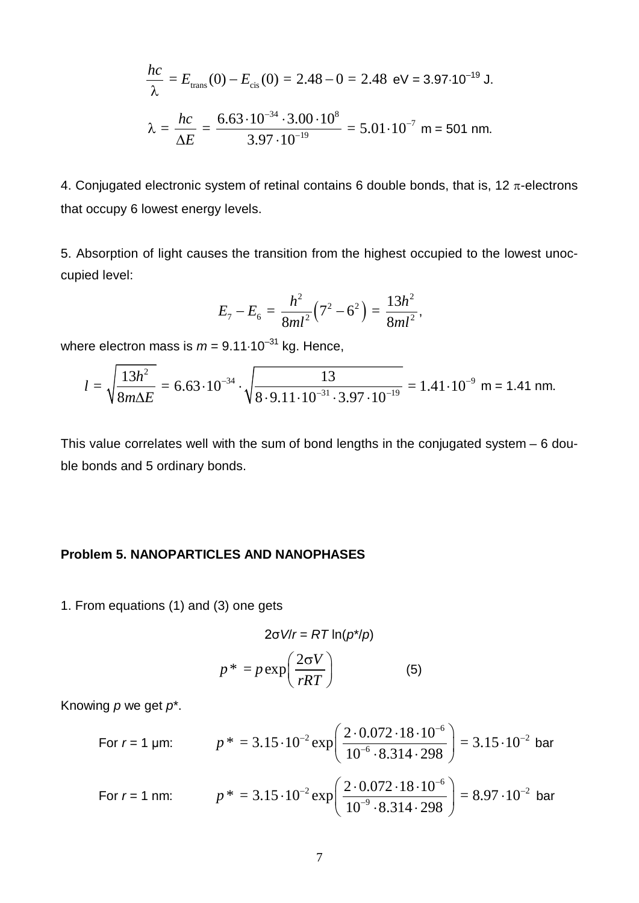$$
\frac{hc}{\lambda} = E_{\text{trans}}(0) - E_{\text{cis}}(0) = 2.48 - 0 = 2.48 \text{ eV} = 3.97 \cdot 10^{-19} \text{ J.}
$$

$$
\lambda = \frac{hc}{\Delta E} = \frac{6.63 \cdot 10^{-34} \cdot 3.00 \cdot 10^8}{3.97 \cdot 10^{-19}} = 5.01 \cdot 10^{-7} \text{ m} = 501 \text{ nm.}
$$

4. Conjugated electronic system of retinal contains 6 double bonds, that is, 12  $\pi$ -electrons that occupy 6 lowest energy levels.

5. Absorption of light causes the transition from the highest occupied to the lowest unoccupied level:

$$
E_7-E_6=\frac{h^2}{8ml^2}\left(7^2-6^2\right)=\frac{13h^2}{8ml^2},
$$

where electron mass is  $m = 9.11 \cdot 10^{-31}$  kg. Hence,

$$
l = \sqrt{\frac{13h^2}{8m\Delta E}} = 6.63 \cdot 10^{-34} \cdot \sqrt{\frac{13}{8 \cdot 9.11 \cdot 10^{-31} \cdot 3.97 \cdot 10^{-19}}} = 1.41 \cdot 10^{-9} \text{ m} = 1.41 \text{ nm}.
$$

This value correlates well with the sum of bond lengths in the conjugated system – 6 double bonds and 5 ordinary bonds.

## **Problem 5. NANOPARTICLES AND NANOPHASES**

1. From equations (1) and (3) one gets

$$
2\sigma V/r = RT \ln(p^* / p)
$$

$$
p^* = p \exp\left(\frac{2\sigma V}{rRT}\right) \tag{5}
$$

Knowing *p* we get *p*\*.

For 
$$
r = 1
$$
 µm:  $p^* = 3.15 \cdot 10^{-2} \exp\left(\frac{2 \cdot 0.072 \cdot 18 \cdot 10^{-6}}{10^{-6} \cdot 8.314 \cdot 298}\right) = 3.15 \cdot 10^{-2}$  bar  
For  $r = 1$  nm:  $p^* = 3.15 \cdot 10^{-2} \exp\left(\frac{2 \cdot 0.072 \cdot 18 \cdot 10^{-6}}{10^{-9} \cdot 8.314 \cdot 298}\right) = 8.97 \cdot 10^{-2}$  bar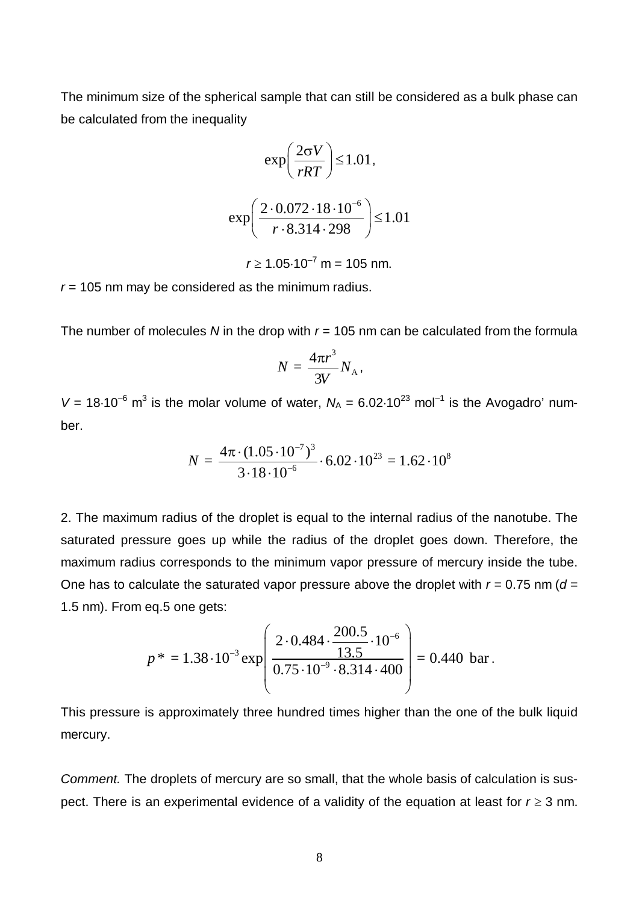The minimum size of the spherical sample that can still be considered as a bulk phase can be calculated from the inequality

$$
\exp\left(\frac{2\sigma V}{rRT}\right) \le 1.01,
$$

$$
\exp\left(\frac{2 \cdot 0.072 \cdot 18 \cdot 10^{-6}}{r \cdot 8.314 \cdot 298}\right) \le 1.01
$$

 $r \ge 1.05 \cdot 10^{-7}$  m = 105 nm.

*r* = 105 nm may be considered as the minimum radius.

The number of molecules N in the drop with  $r = 105$  nm can be calculated from the formula

$$
N=\frac{4\pi r^3}{3V}N_{\rm A},
$$

 $V = 18.10^{-6}$  m<sup>3</sup> is the molar volume of water,  $N_A = 6.02 \cdot 10^{23}$  mol<sup>-1</sup> is the Avogadro' number.

$$
N = \frac{4\pi \cdot (1.05 \cdot 10^{-7})^3}{3 \cdot 18 \cdot 10^{-6}} \cdot 6.02 \cdot 10^{23} = 1.62 \cdot 10^8
$$

2. The maximum radius of the droplet is equal to the internal radius of the nanotube. The saturated pressure goes up while the radius of the droplet goes down. Therefore, the maximum radius corresponds to the minimum vapor pressure of mercury inside the tube. One has to calculate the saturated vapor pressure above the droplet with  $r = 0.75$  nm ( $d =$ 1.5 nm). From eq.5 one gets:

$$
p^* = 1.38 \cdot 10^{-3} \exp \left( \frac{2 \cdot 0.484 \cdot \frac{200.5}{13.5} \cdot 10^{-6}}{0.75 \cdot 10^{-9} \cdot 8.314 \cdot 400} \right) = 0.440 \text{ bar}.
$$

This pressure is approximately three hundred times higher than the one of the bulk liquid mercury.

*Comment.* The droplets of mercury are so small, that the whole basis of calculation is suspect. There is an experimental evidence of a validity of the equation at least for  $r \geq 3$  nm.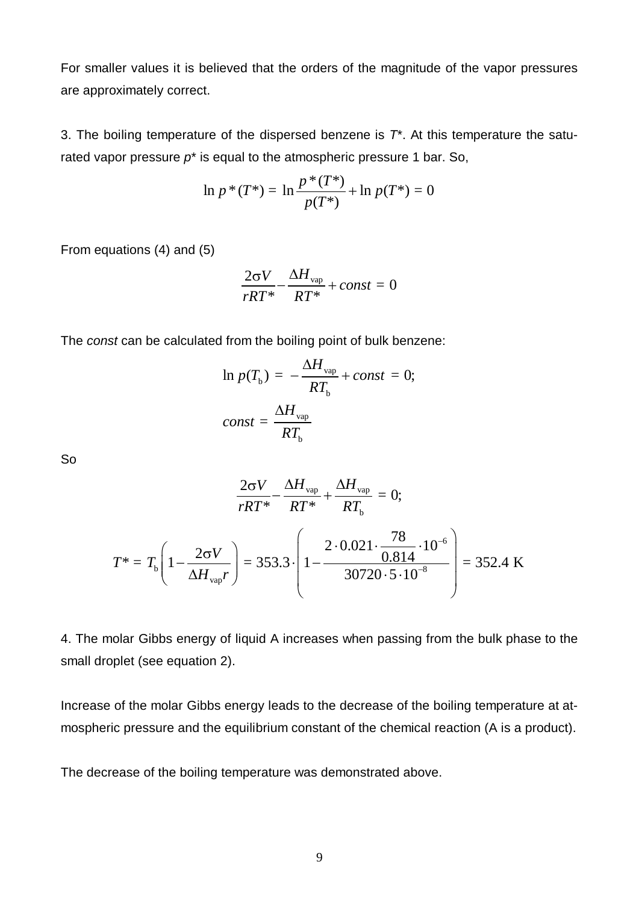For smaller values it is believed that the orders of the magnitude of the vapor pressures are approximately correct.

3. The boiling temperature of the dispersed benzene is *T*\*. At this temperature the saturated vapor pressure *p*\* is equal to the atmospheric pressure 1 bar. So,

$$
\ln p * (T^*) = \ln \frac{p^*(T^*)}{p(T^*)} + \ln p(T^*) = 0
$$

From equations (4) and (5)

$$
\frac{2\sigma V}{rRT^*} - \frac{\Delta H_{\text{vap}}}{RT^*} + const = 0
$$

The *const* can be calculated from the boiling point of bulk benzene:

$$
\ln p(T_{\rm b}) = -\frac{\Delta H_{\rm vap}}{RT_{\rm b}} + const = 0;
$$
  

$$
const = \frac{\Delta H_{\rm vap}}{RT_{\rm b}}
$$

So

$$
\frac{2\sigma V}{rRT^*} - \frac{\Delta H_{vap}}{RT^*} + \frac{\Delta H_{vap}}{RT_b} = 0;
$$
  

$$
T^* = T_b \left( 1 - \frac{2\sigma V}{\Delta H_{vap}r} \right) = 353.3 \cdot \left( 1 - \frac{2 \cdot 0.021 \cdot \frac{78}{0.814} \cdot 10^{-6}}{30720 \cdot 5 \cdot 10^{-8}} \right) = 352.4 \text{ K}
$$

4. The molar Gibbs energy of liquid A increases when passing from the bulk phase to the small droplet (see equation 2).

Increase of the molar Gibbs energy leads to the decrease of the boiling temperature at atmospheric pressure and the equilibrium constant of the chemical reaction (A is a product).

The decrease of the boiling temperature was demonstrated above.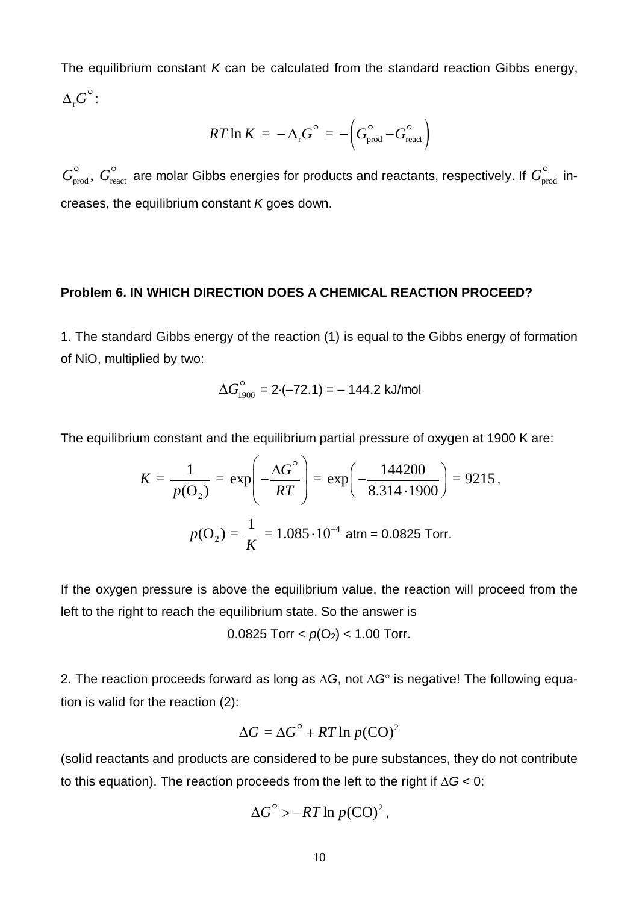The equilibrium constant *K* can be calculated from the standard reaction Gibbs energy,  $\Delta_{\rm r} G^\circ$  :

$$
RT \ln K = -\Delta_{\rm r} G^{\rm o} = -\left(G_{\rm prod}^{\rm o} - G_{\rm react}^{\rm o}\right)
$$

 $G_\text{prod}^\circ,$   $G_\text{react}^\circ$  are molar Gibbs energies for products and reactants, respectively. If  $G_\text{prod}^\circ$  increases, the equilibrium constant *K* goes down.

#### **Problem 6. IN WHICH DIRECTION DOES A CHEMICAL REACTION PROCEED?**

1. The standard Gibbs energy of the reaction (1) is equal to the Gibbs energy of formation of NiO, multiplied by two:

$$
\Delta G_{1900}^{\circ} = 2 \cdot (-72.1) = -144.2 \text{ kJ/mol}
$$

The equilibrium constant and the equilibrium partial pressure of oxygen at 1900 K are:

$$
K = \frac{1}{p(\mathbf{O}_2)} = \exp\left(-\frac{\Delta G^{\circ}}{RT}\right) = \exp\left(-\frac{144200}{8.314 \cdot 1900}\right) = 9215,
$$
  

$$
p(\mathbf{O}_2) = \frac{1}{K} = 1.085 \cdot 10^{-4} \text{ atm} = 0.0825 \text{ Torr.}
$$

If the oxygen pressure is above the equilibrium value, the reaction will proceed from the left to the right to reach the equilibrium state. So the answer is

0.0825 Torr 
$$
<
$$
  $p(O_2)$   $<$  1.00 Torr.

2. The reaction proceeds forward as long as  $\Delta G$ , not  $\Delta G^{\circ}$  is negative! The following equation is valid for the reaction (2):

$$
\Delta G = \Delta G^{\circ} + RT \ln p(\text{CO})^2
$$

(solid reactants and products are considered to be pure substances, they do not contribute to this equation). The reaction proceeds from the left to the right if  $\Delta G < 0$ :

$$
\Delta G^{\circ} > -RT \ln p(\text{CO})^2,
$$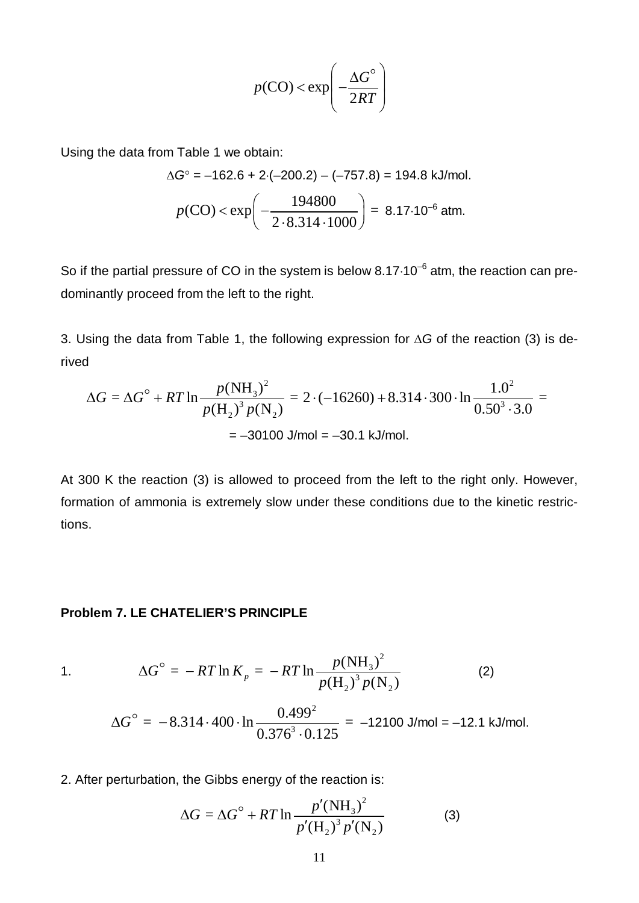$$
p(\text{CO}) < \exp\left(-\frac{\Delta G^{\circ}}{2RT}\right)
$$

Using the data from Table 1 we obtain:

$$
\Delta G^{\circ} = -162.6 + 2 \cdot (-200.2) - (-757.8) = 194.8 \text{ kJ/mol.}
$$

$$
p(CO) < \exp\left(-\frac{194800}{2 \cdot 8.314 \cdot 1000}\right) = 8.17 \cdot 10^{-6} \text{ atm.}
$$

So if the partial pressure of CO in the system is below  $8.17 \cdot 10^{-6}$  atm, the reaction can predominantly proceed from the left to the right.

3. Using the data from Table 1, the following expression for  $\Delta G$  of the reaction (3) is derived

$$
\Delta G = \Delta G^{\circ} + RT \ln \frac{p(NH_3)^2}{p(H_2)^3 p(N_2)} = 2 \cdot (-16260) + 8.314 \cdot 300 \cdot \ln \frac{1.0^2}{0.50^3 \cdot 3.0} = -30100 \text{ J/mol} = -30.1 \text{ kJ/mol}.
$$

At 300 K the reaction (3) is allowed to proceed from the left to the right only. However, formation of ammonia is extremely slow under these conditions due to the kinetic restrictions.

### **Problem 7. LE CHATELIER'S PRINCIPLE**

1. 
$$
\Delta G^{\circ} = -RT \ln K_p = -RT \ln \frac{p(NH_3)^2}{p(H_2)^3 p(N_2)}
$$
 (2)  

$$
\Delta G^{\circ} = -8.314 \cdot 400 \cdot \ln \frac{0.499^2}{0.376^3 \cdot 0.125} = -12100 \text{ J/mol} = -12.1 \text{ kJ/mol}.
$$

2. After perturbation, the Gibbs energy of the reaction is:

$$
\Delta G = \Delta G^{\circ} + RT \ln \frac{p' (NH_3)^2}{p'(H_2)^3 p'(N_2)}
$$
(3)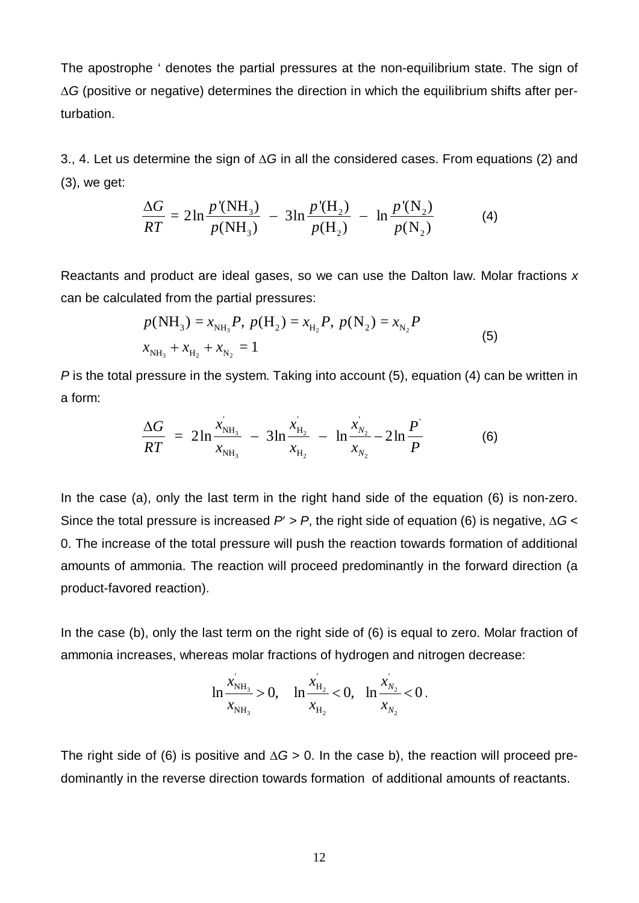The apostrophe ' denotes the partial pressures at the non-equilibrium state. The sign of  $\Delta G$  (positive or negative) determines the direction in which the equilibrium shifts after perturbation.

3., 4. Let us determine the sign of  $\Delta G$  in all the considered cases. From equations (2) and (3), we get:

$$
\frac{\Delta G}{RT} = 2\ln \frac{p'(\text{NH}_3)}{p(\text{NH}_3)} - 3\ln \frac{p'(\text{H}_2)}{p(\text{H}_2)} - \ln \frac{p'(\text{N}_2)}{p(\text{N}_2)}
$$
(4)

Reactants and product are ideal gases, so we can use the Dalton law. Molar fractions *x* can be calculated from the partial pressures:

$$
p(NH_3) = x_{NH_3}P, p(H_2) = x_{H_2}P, p(N_2) = x_{N_2}P
$$
  

$$
x_{NH_3} + x_{H_2} + x_{N_2} = 1
$$
 (5)

*P* is the total pressure in the system. Taking into account (5), equation (4) can be written in a form:

$$
\frac{\Delta G}{RT} = 2\ln \frac{x_{\text{NH}_3}}{x_{\text{NH}_3}} - 3\ln \frac{x_{\text{H}_2}}{x_{\text{H}_2}} - \ln \frac{x_{\text{N}_2}}{x_{\text{N}_2}} - 2\ln \frac{P}{P}
$$
(6)

In the case (a), only the last term in the right hand side of the equation (6) is non-zero. Since the total pressure is increased  $P > P$ , the right side of equation (6) is negative,  $\Delta G$  < 0. The increase of the total pressure will push the reaction towards formation of additional amounts of ammonia. The reaction will proceed predominantly in the forward direction (a product-favored reaction).

In the case (b), only the last term on the right side of (6) is equal to zero. Molar fraction of ammonia increases, whereas molar fractions of hydrogen and nitrogen decrease:

$$
\ln \frac{x_{\text{NH}_3}}{x_{\text{NH}_3}} > 0, \quad \ln \frac{x_{\text{H}_2}}{x_{\text{H}_2}} < 0, \quad \ln \frac{x_{\text{N}_2}}{x_{\text{N}_2}} < 0.
$$

The right side of (6) is positive and  $\Delta G > 0$ . In the case b), the reaction will proceed predominantly in the reverse direction towards formation of additional amounts of reactants.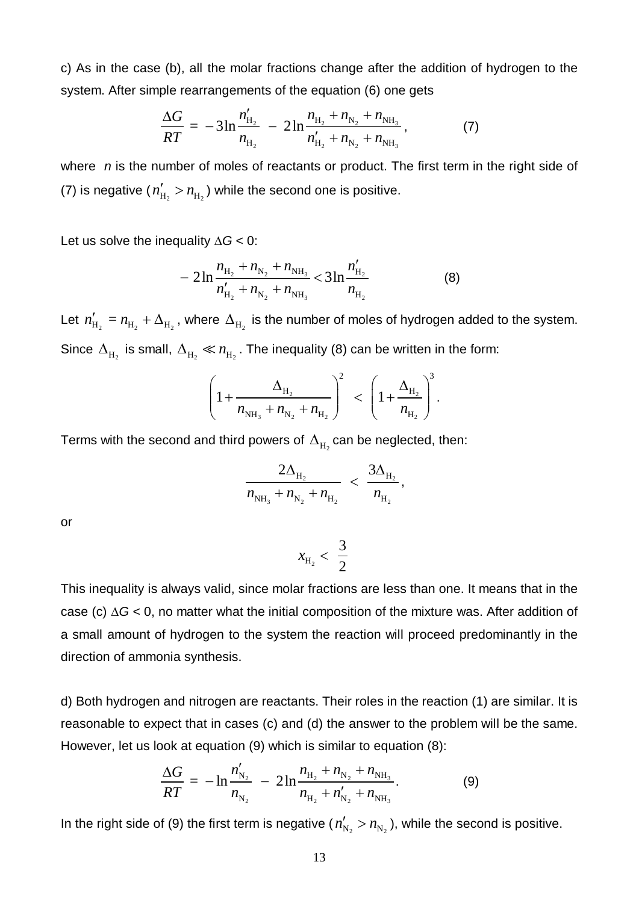c) As in the case (b), all the molar fractions change after the addition of hydrogen to the system. After simple rearrangements of the equation (6) one gets

$$
\frac{\Delta G}{RT} = -3\ln\frac{n'_{\text{H}_2}}{n_{\text{H}_2}} - 2\ln\frac{n_{\text{H}_2} + n_{\text{N}_2} + n_{\text{NH}_3}}{n'_{\text{H}_2} + n_{\text{N}_2} + n_{\text{NH}_3}},\tag{7}
$$

where *n* is the number of moles of reactants or product. The first term in the right side of (7) is negative ( $n'_{\rm H_2} > n_{\rm H_2}$ ) while the second one is positive.

Let us solve the inequality  $\Delta G$  < 0:

$$
-2\ln\frac{n_{\text{H}_2}+n_{\text{N}_2}+n_{\text{NH}_3}}{n'_{\text{H}_2}+n_{\text{N}_2}+n_{\text{NH}_3}}<3\ln\frac{n'_{\text{H}_2}}{n_{\text{H}_2}}
$$
(8)

Let  $n'_{\rm H_2}=n_{\rm H_2}+\Delta_{\rm H_2}$  , where  $\Delta_{\rm H_2}$  is the number of moles of hydrogen added to the system. Since  $\Delta_{\text{H}_2}$  is small,  $\Delta_{\text{H}_2} \ll n_{\text{H}_2}$ . The inequality (8) can be written in the form:

$$
\left(1+\frac{\Delta_{H_2}}{n_{NH_3}+n_{N_2}+n_{H_2}}\right)^2 < \left(1+\frac{\Delta_{H_2}}{n_{H_2}}\right)^3.
$$

Terms with the second and third powers of  $\Delta_{\text{H}_{2}}$  can be neglected, then:

$$
\frac{2\Delta_{\rm H_2}}{n_{\rm NH_3}+n_{\rm N_2}+n_{\rm H_2}} < \frac{3\Delta_{\rm H_2}}{n_{\rm H_2}},
$$

or

$$
x_{\mathrm{H}_2} < \frac{3}{2}
$$

This inequality is always valid, since molar fractions are less than one. It means that in the case (c)  $\Delta G$  < 0, no matter what the initial composition of the mixture was. After addition of a small amount of hydrogen to the system the reaction will proceed predominantly in the direction of ammonia synthesis.

d) Both hydrogen and nitrogen are reactants. Their roles in the reaction (1) are similar. It is reasonable to expect that in cases (c) and (d) the answer to the problem will be the same. However, let us look at equation (9) which is similar to equation (8):

$$
\frac{\Delta G}{RT} = -\ln \frac{n'_{N_2}}{n_{N_2}} - 2\ln \frac{n_{H_2} + n_{N_2} + n_{NH_3}}{n_{H_2} + n'_{N_2} + n_{NH_3}}.
$$
(9)

In the right side of (9) the first term is negative ( $n'_{\rm N_2}$  >  $n_{\rm N_2}$  ), while the second is positive.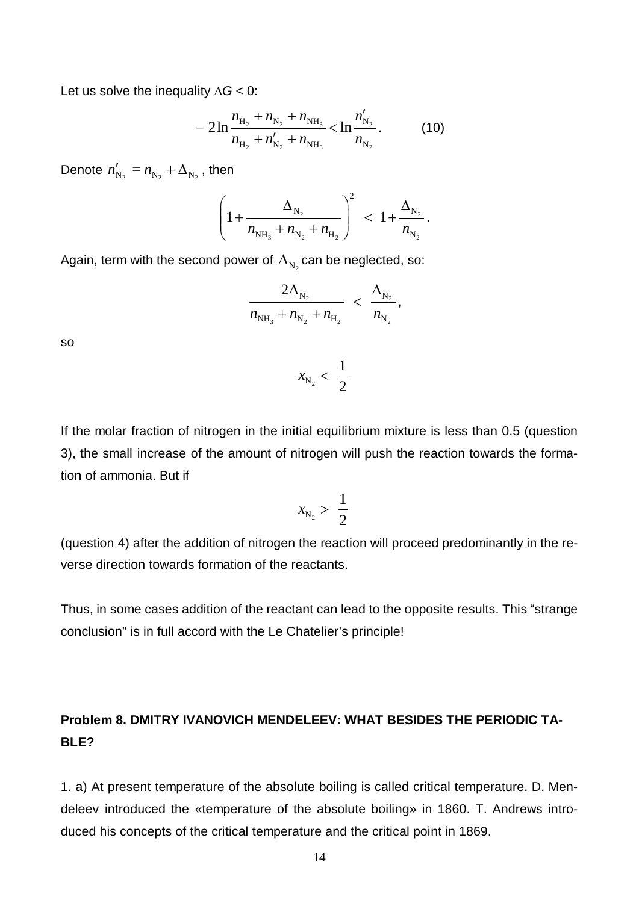Let us solve the inequality  $\Delta G$  < 0:

$$
-2\ln\frac{n_{\text{H}_2}+n_{\text{N}_2}+n_{\text{NH}_3}}{n_{\text{H}_2}+n'_{\text{N}_2}+n_{\text{NH}_3}}<\ln\frac{n'_{\text{N}_2}}{n_{\text{N}_2}}.\tag{10}
$$

Denote  $n'_{N_2} = n_{N_2} + \Delta_{N_2}$ , then

$$
\left(1+\frac{\Delta_{N_2}}{n_{NH_3}+n_{N_2}+n_{H_2}}\right)^2 \ < \ 1+\frac{\Delta_{N_2}}{n_{N_2}}.
$$

Again, term with the second power of  $\Delta_{\mathrm{N}_2}$ can be neglected, so:

$$
\frac{2\Delta_{\rm N_2}}{n_{\rm NH_3}+n_{\rm N_2}+n_{\rm H_2}}\,\,<\,\,\frac{\Delta_{\rm N_2}}{n_{\rm N_2}}\,,
$$

1 2

so

If the molar fraction of nitrogen in the initial equilibrium mixture is less than 0.5 (question 3), the small increase of the amount of nitrogen will push the reaction towards the formation of ammonia. But if

 $\mathrm{N}_2$ 

 $x_{\rm N_a}$  <

$$
x_{\rm N_2} > \frac{1}{2}
$$

(question 4) after the addition of nitrogen the reaction will proceed predominantly in the reverse direction towards formation of the reactants.

Thus, in some cases addition of the reactant can lead to the opposite results. This "strange conclusion" is in full accord with the Le Chatelier's principle!

# **Problem 8. DMITRY IVANOVICH MENDELEEV: WHAT BESIDES THE PERIODIC TA-BLE?**

1. a) At present temperature of the absolute boiling is called critical temperature. D. Mendeleev introduced the «temperature of the absolute boiling» in 1860. T. Andrews introduced his concepts of the critical temperature and the critical point in 1869.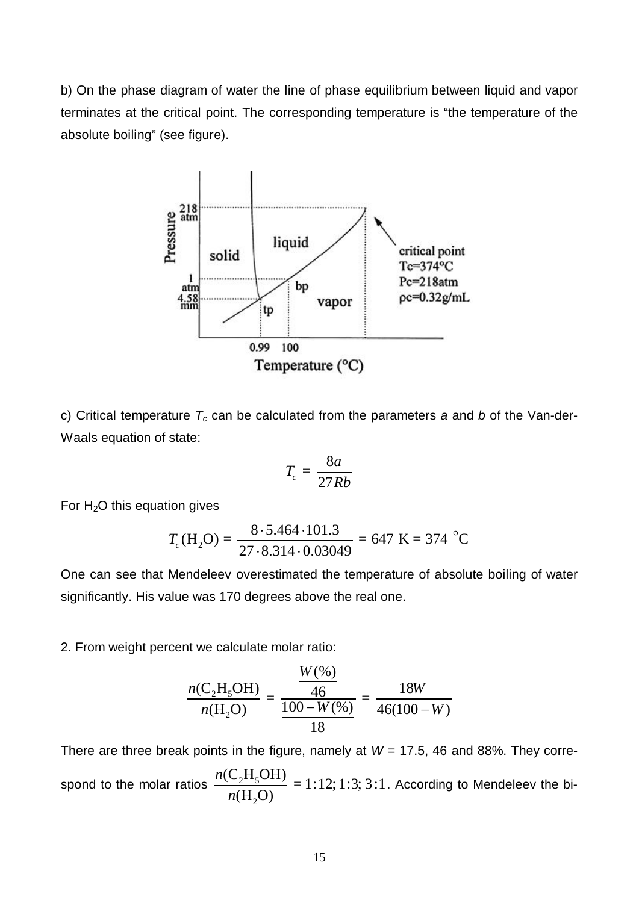b) On the phase diagram of water the line of phase equilibrium between liquid and vapor terminates at the critical point. The corresponding temperature is "the temperature of the absolute boiling" (see figure).



c) Critical temperature *Tc* can be calculated from the parameters *a* and *b* of the Van-der-Waals equation of state:

$$
T_c = \frac{8a}{27Rb}
$$

For  $H<sub>2</sub>O$  this equation gives

$$
T_c(\text{H}_2\text{O}) = \frac{8 \cdot 5.464 \cdot 101.3}{27 \cdot 8.314 \cdot 0.03049} = 647 \text{ K} = 374 \text{ °C}
$$

One can see that Mendeleev overestimated the temperature of absolute boiling of water significantly. His value was 170 degrees above the real one.

2. From weight percent we calculate molar ratio:

$$
\frac{n(C_2H_5OH)}{n(H_2O)} = \frac{\frac{W(\%)}{46}}{\frac{100 - W(\%)}{18}} = \frac{18W}{46(100 - W)}
$$

There are three break points in the figure, namely at  $W = 17.5$ , 46 and 88%. They correspond to the molar ratios  $\frac{n(c_2 n_5)}{n}$ 2  $\frac{\text{(C}_2\text{H}_5\text{OH})}{\text{(C)}\text{H}_5\text{OH}}$  = 1:12; 1:3; 3:1  $(H, O)$ *n n* . According to Mendeleev the bi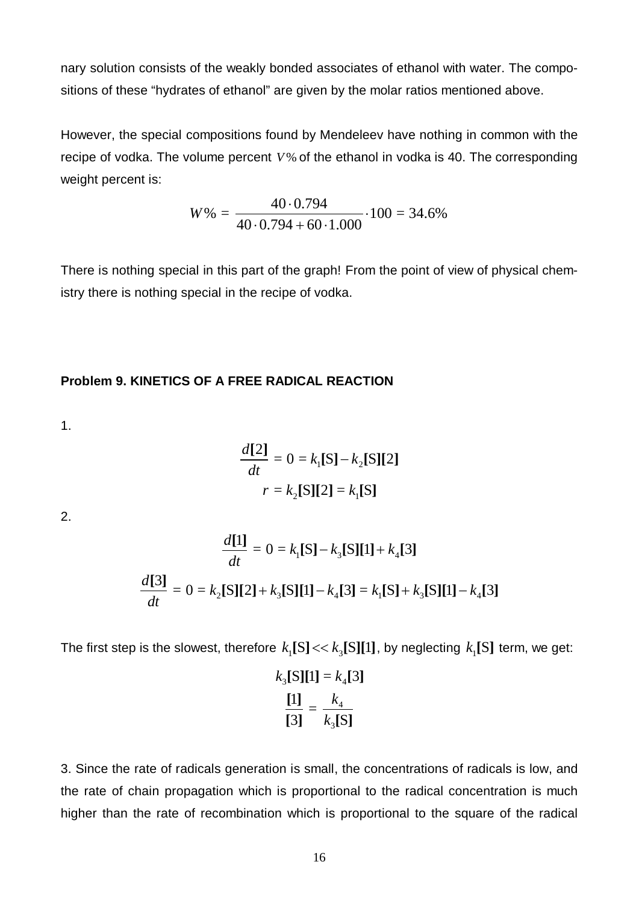nary solution consists of the weakly bonded associates of ethanol with water. The compositions of these "hydrates of ethanol" are given by the molar ratios mentioned above.

However, the special compositions found by Mendeleev have nothing in common with the recipe of vodka. The volume percent *V%* of the ethanol in vodka is 40. The corresponding weight percent is:

$$
W\% = \frac{40 \cdot 0.794}{40 \cdot 0.794 + 60 \cdot 1.000} \cdot 100 = 34.6\%
$$

There is nothing special in this part of the graph! From the point of view of physical chemistry there is nothing special in the recipe of vodka.

## **Problem 9. KINETICS OF A FREE RADICAL REACTION**

1.

$$
\frac{d[2]}{dt} = 0 = k_1[S] - k_2[S][2]
$$

$$
r = k_2[S][2] = k_1[S]
$$

2.

$$
\frac{d[1]}{dt} = 0 = k_1[S] - k_3[S][1] + k_4[3]
$$

$$
\frac{d[3]}{dt} = 0 = k_2[S][2] + k_3[S][1] - k_4[3] = k_1[S] + k_3[S][1] - k_4[3]
$$

The first step is the slowest, therefore  $k_{\rm l} {\rm [S]} << k_{\rm _3} {\rm [S]} {\rm [1]}$ , by neglecting  $k_{\rm _1} {\rm [S]}$  term, we get:

$$
k_3[S][1] = k_4[3]
$$

$$
\frac{[1]}{[3]} = \frac{k_4}{k_3[S]}
$$

3. Since the rate of radicals generation is small, the concentrations of radicals is low, and the rate of chain propagation which is proportional to the radical concentration is much higher than the rate of recombination which is proportional to the square of the radical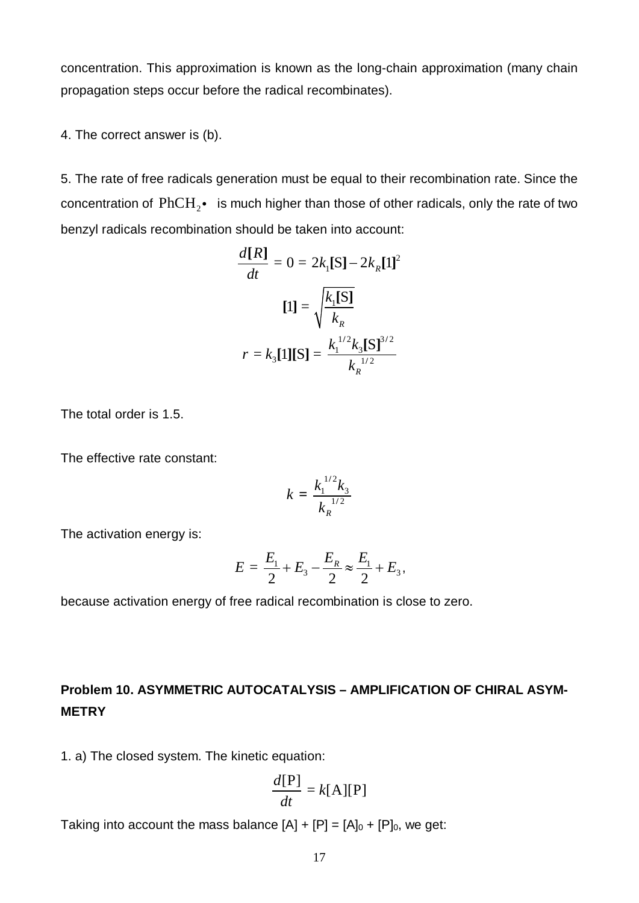concentration. This approximation is known as the long-chain approximation (many chain propagation steps occur before the radical recombinates).

4. The correct answer is (b).

5. The rate of free radicals generation must be equal to their recombination rate. Since the concentration of  $\mathrm{PhCH}_{2} \bullet{-}$  is much higher than those of other radicals, only the rate of two benzyl radicals recombination should be taken into account:

$$
\frac{d[R]}{dt} = 0 = 2k_1[S] - 2k_R[1]^2
$$

$$
[1] = \sqrt{\frac{k_1[S]}{k_R}}
$$

$$
r = k_3[1][S] = \frac{k_1^{1/2}k_3[S]^{3/2}}{k_R^{1/2}}
$$

The total order is 1.5.

The effective rate constant:

$$
k = \frac{k_1^{1/2} k_3}{k_R^{1/2}}
$$

The activation energy is:

$$
E = \frac{E_1}{2} + E_3 - \frac{E_R}{2} \approx \frac{E_1}{2} + E_3,
$$

because activation energy of free radical recombination is close to zero.

# **Problem 10. ASYMMETRIC AUTOCATALYSIS – AMPLIFICATION OF CHIRAL ASYM-METRY**

1. a) The closed system. The kinetic equation:

$$
\frac{d[\mathbf{P}]}{dt} = k[\mathbf{A}][\mathbf{P}]
$$

Taking into account the mass balance  $[A] + [P] = [A]_0 + [P]_0$ , we get: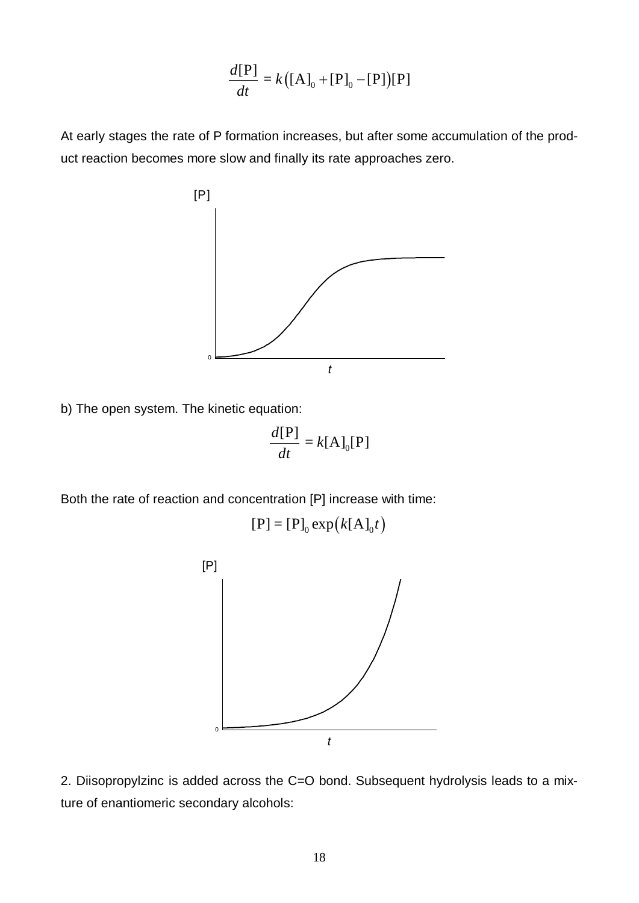$$
\frac{d[P]}{dt} = k \big( [A]_0 + [P]_0 - [P] \big) [P]
$$

At early stages the rate of P formation increases, but after some accumulation of the product reaction becomes more slow and finally its rate approaches zero.



b) The open system. The kinetic equation:

$$
\frac{d[\mathbf{P}]}{dt} = k[\mathbf{A}]_0[\mathbf{P}]
$$

Both the rate of reaction and concentration [P] increase with time:

$$
[P] = [P]_0 \exp\bigl(k[A]_0 t\bigr)
$$



2. Diisopropylzinc is added across the C=O bond. Subsequent hydrolysis leads to a mixture of enantiomeric secondary alcohols: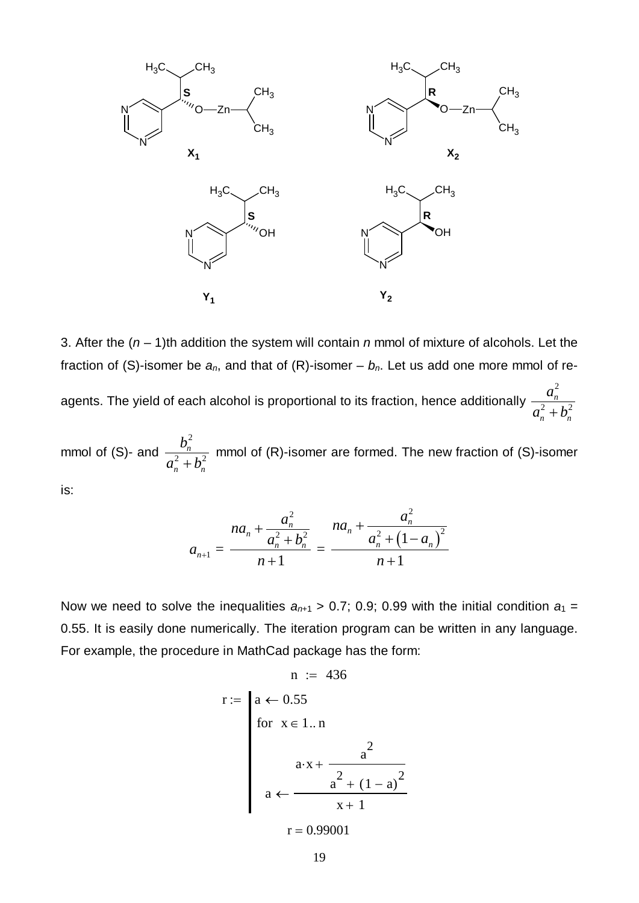

3. After the (*n* – 1)th addition the system will contain *n* mmol of mixture of alcohols. Let the fraction of (S)-isomer be  $a_n$ , and that of (R)-isomer –  $b_n$ . Let us add one more mmol of reagents. The yield of each alcohol is proportional to its fraction, hence additionally 2  $2 + **k**$ *n*  $n \binom{n}{n}$ *a*  $a_n^2 + b$ 

mmol of (S)- and 2 2  $\mu^2$ *n*  $n \binom{n}{n}$ *b*  $a_n^2 + b$  mmol of (R)-isomer are formed. The new fraction of (S)-isomer is:

$$
a_{n+1} = \frac{na_n^2 + \frac{a_n^2}{a_n^2 + b_n^2}}{n+1} = \frac{na_n^2 + \frac{a_n^2}{a_n^2 + (1-a_n)^2}}{n+1}
$$

Now we need to solve the inequalities  $a_{n+1} > 0.7$ ; 0.9; 0.99 with the initial condition  $a_1 =$ 0.55. It is easily done numerically. The iteration program can be written in any language. For example, the procedure in MathCad package has the form:

$$
n := 436
$$
  
\n
$$
r := \begin{cases}\na \leftarrow 0.55 \\
for x \in 1..n\n\end{cases}
$$
  
\n
$$
a \cdot x + \frac{a^2}{x^2 + (1 - a)^2}
$$
  
\n
$$
a \leftarrow \frac{a^2 + (1 - a)^2}{x + 1}
$$
  
\n
$$
r = 0.99001
$$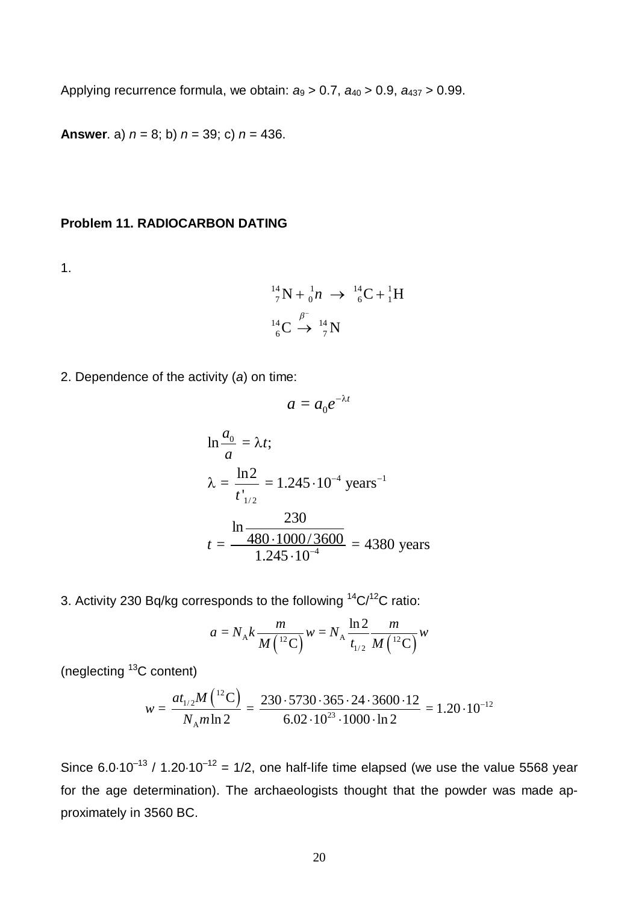Applying recurrence formula, we obtain:  $a_9 > 0.7$ ,  $a_{40} > 0.9$ ,  $a_{437} > 0.99$ .

**Answer**. a) *n* = 8; b) *n* = 39; c) *n* = 436.

## **Problem 11. RADIOCARBON DATING**

1.

$$
{}^{14}_{7}N + {}^{1}_{0}n \rightarrow {}^{14}_{6}C + {}^{1}_{1}H
$$
  

$$
{}^{14}_{6}C \stackrel{\beta^{-}}{\rightarrow} {}^{14}_{7}N
$$

2. Dependence of the activity (*a*) on time:

$$
a=a_0e^{-\lambda t}
$$

$$
\ln \frac{a_0}{a} = \lambda t;
$$
  
\n
$$
\lambda = \frac{\ln 2}{t_{1/2}^{'}} = 1.245 \cdot 10^{-4} \text{ years}^{-1}
$$
  
\n
$$
t = \frac{\ln \frac{230}{480 \cdot 1000 / 3600}}{1.245 \cdot 10^{-4}} = 4380 \text{ years}
$$

3. Activity 230 Bq/kg corresponds to the following <sup>14</sup>C/<sup>12</sup>C ratio:

$$
a = N_{A} k \frac{m}{M \left( {}^{12}C \right)} w = N_{A} \frac{\ln 2}{t_{1/2}} \frac{m}{M \left( {}^{12}C \right)} w
$$

(neglecting <sup>13</sup>C content)

$$
w = \frac{at_{1/2}M(^{12}\text{C})}{N_A m \ln 2} = \frac{230 \cdot 5730 \cdot 365 \cdot 24 \cdot 3600 \cdot 12}{6.02 \cdot 10^{23} \cdot 1000 \cdot \ln 2} = 1.20 \cdot 10^{-12}
$$

Since  $6.0·10^{-13}$  /  $1.20·10^{-12} = 1/2$ , one half-life time elapsed (we use the value 5568 year for the age determination). The archaeologists thought that the powder was made approximately in 3560 BC.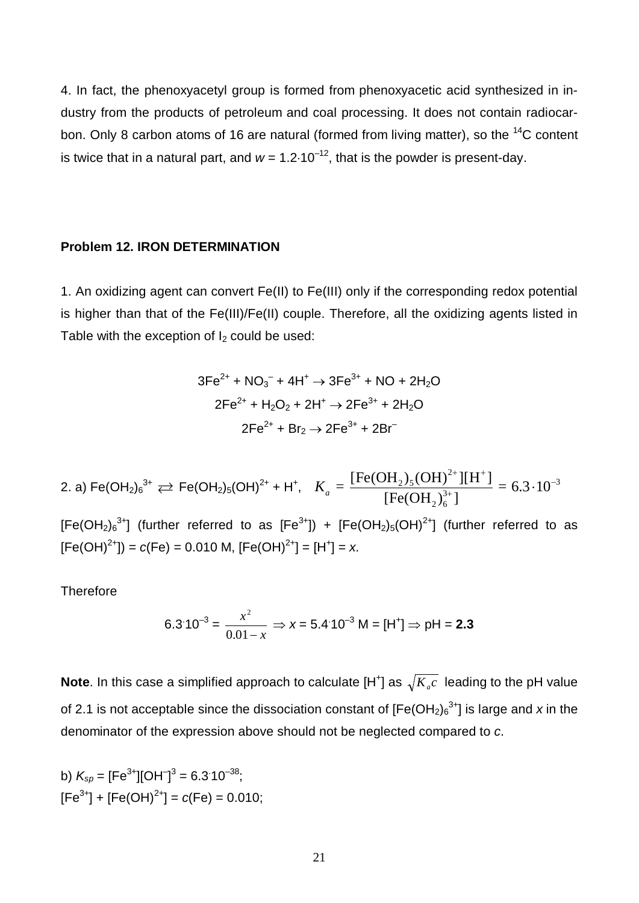4. In fact, the phenoxyacetyl group is formed from phenoxyacetic acid synthesized in industry from the products of petroleum and coal processing. It does not contain radiocarbon. Only 8 carbon atoms of 16 are natural (formed from living matter), so the <sup>14</sup>C content is twice that in a natural part, and  $w = 1.2 \cdot 10^{-12}$ , that is the powder is present-day.

#### **Problem 12. IRON DETERMINATION**

1. An oxidizing agent can convert Fe(II) to Fe(III) only if the corresponding redox potential is higher than that of the Fe(III)/Fe(II) couple. Therefore, all the oxidizing agents listed in Table with the exception of  $I_2$  could be used:

$$
3Fe2+ + NO3- + 4H+ → 3Fe3+ + NO + 2H2O
$$
  
2Fe<sup>2+</sup> + H<sub>2</sub>O<sub>2</sub> + 2H<sup>+</sup> → 2Fe<sup>3+</sup> + 2H<sub>2</sub>O  
2Fe<sup>2+</sup> + Br<sub>2</sub> → 2Fe<sup>3+</sup> + 2Br<sup>-</sup>

2. a) Fe(OH<sub>2)</sub><sub>6</sub><sup>3+</sup> 
$$
\rightleftarrows
$$
 Fe(OH<sub>2)</sub><sub>5</sub>(OH)<sup>2+</sup> + H<sup>+</sup>,  $K_a = \frac{[Fe(OH_2)_5(OH)^{2+}][H^+]}{[Fe(OH_2)_6^{3+}]}$  = 6.3·10<sup>-3</sup>

[Fe(OH<sub>2</sub>)<sub>6</sub><sup>3+</sup>] (further referred to as [Fe<sup>3+</sup>]) + [Fe(OH<sub>2</sub>)<sub>5</sub>(OH)<sup>2+</sup>] (further referred to as  $[Fe(OH)^{2+}]$ ) =  $c(Fe)$  = 0.010 M,  $[Fe(OH)^{2+}] = [H^+] = x$ .

**Therefore** 

$$
6.3 \cdot 10^{-3} = \frac{x^2}{0.01 - x} \Rightarrow x = 5.4 \cdot 10^{-3} \text{ M} = [\text{H}^+] \Rightarrow \text{pH} = 2.3
$$

**Note**. In this case a simplified approach to calculate [H<sup>+</sup>] as  $\sqrt{K_{_a}c\,}$  leading to the pH value of 2.1 is not acceptable since the dissociation constant of  $[Fe(OH<sub>2</sub>)<sub>6</sub><sup>3+</sup>]$  is large and x in the denominator of the expression above should not be neglected compared to *c*.

b)  $K_{\text{sp}} = \text{[Fe}^{3+}\text{][OH}^{-}\text{]}^{3} = 6.3 \cdot 10^{-38};$  $[Fe<sup>3+</sup>] + [Fe(OH)<sup>2+</sup>] = c(Fe) = 0.010;$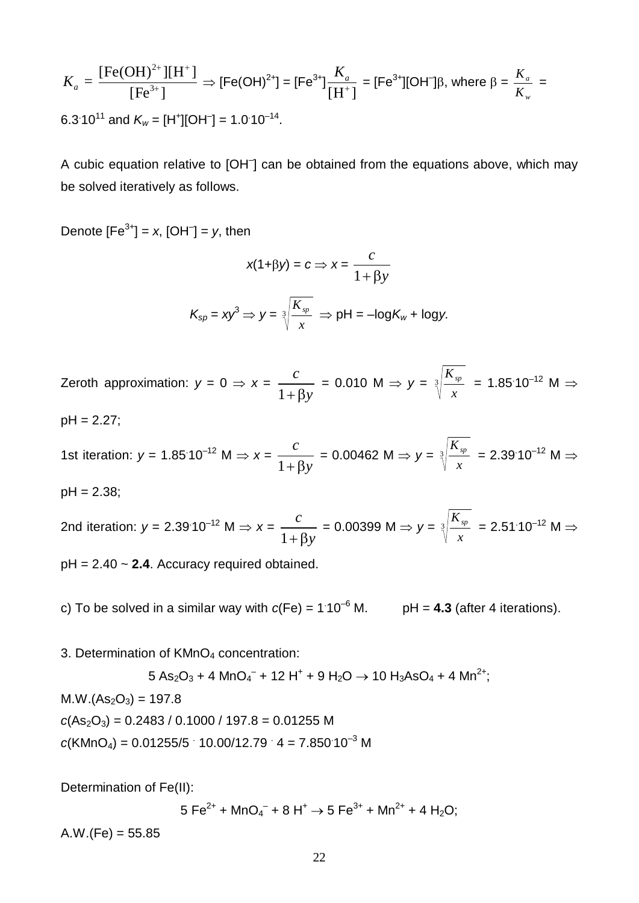$$
K_a = \frac{[\text{Fe(OH)}^{2+}][\text{H}^+]}{[\text{Fe}^{3+}]}\n\Rightarrow [\text{Fe(OH)}^{2+}] = [\text{Fe}^{3+}]\frac{K_a}{[\text{H}^+]} = [\text{Fe}^{3+}][\text{OH}^-]\beta, \text{ where } \beta = \frac{K_a}{K_w} = 6.3 \cdot 10^{11} \text{ and } K_w = [\text{H}^+][\text{OH}^-] = 1.0 \cdot 10^{-14}.
$$

A cubic equation relative to [OH<sup>-</sup>] can be obtained from the equations above, which may be solved iteratively as follows.

Denote  $[Fe^{3+}] = x$ ,  $[OH^{-}] = y$ , then

$$
x(1+\beta y) = c \Rightarrow x = \frac{c}{1+\beta y}
$$

$$
K_{sp} = xy^{3} \Rightarrow y = \sqrt[3]{\frac{K_{sp}}{x}} \Rightarrow pH = -\log K_{w} + \log y.
$$

Zeroth approximation:  $y = 0 \Rightarrow x =$ 1 *c*  $+\beta y$  $= 0.010 \,$  M  $\Rightarrow y = 3$ *x*  $\frac{K_{sp}}{K}$  = 1.85<sup>.</sup>10<sup>-12</sup> M  $\Rightarrow$ 

pH = 2.27;

1st iteration:  $y = 1.85 \cdot 10^{-12}$  M  $\Rightarrow x =$ 1 *c*  $+\beta y$  $= 0.00462$  M  $\Rightarrow y = 3$ *x*  $K_{sp}$  = 2.39 10<sup>-12</sup> M  $\Rightarrow$ 

pH = 2.38;

2nd iteration:  $y = 2.39^{\circ}10^{-12}$  M  $\Rightarrow x =$ 1 *c*  $+ \beta y$  $= 0.00399 \text{ M} \Rightarrow y = 3$ *x*  $\frac{K_{sp}}{m}$  = 2.51.10<sup>-12</sup> M  $\Rightarrow$ 

pH = 2.40 ~ **2.4**. Accuracy required obtained.

c) To be solved in a similar way with  $c(Fe) = 1.10^{-6}$  M.  $pH = 4.3$  (after 4 iterations).

3. Determination of KMnO<sub>4</sub> concentration:

 $5 \text{ As}_2\text{O}_3$  + 4  $\text{MnO}_4^-$  + 12 H $^+$  + 9 H $_2\text{O}$   $\rightarrow$  10 H $_3$ AsO $_4$  + 4  $\text{Mn}^{2+}$ ;

 $M.W.(As<sub>2</sub>O<sub>3</sub>) = 197.8$ 

 $c(As<sub>2</sub>O<sub>3</sub>) = 0.2483 / 0.1000 / 197.8 = 0.01255 M$ 

 $c(KMnO<sub>4</sub>) = 0.01255/5 \cdot 10.00/12.79 \cdot 4 = 7.850 \cdot 10^{-3} M$ 

Determination of Fe(II):

 $5$  Fe $^{2+}$  + MnO $_4^-$  + 8 H $^+$   $\rightarrow$  5 Fe $^{3+}$  + Mn $^{2+}$  + 4 H $_2$ O;

 $A.W.(Fe) = 55.85$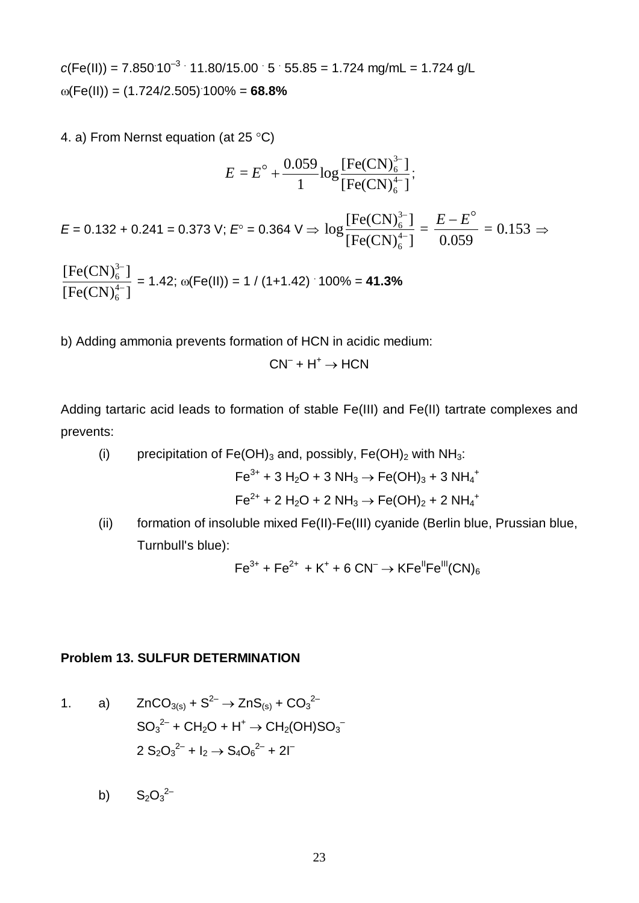$c(Fe(II)) = 7.850 \cdot 10^{-3} \cdot 11.80/15.00 \cdot 5 \cdot 55.85 = 1.724 \text{ mg/mL} = 1.724 \text{ g/L}$  $\omega$ (Fe(II)) = (1.724/2.505)<sup>.</sup>100% = **68.8%** 

4. a) From Nernst equation (at 25 °C)

$$
E = E^{\circ} + \frac{0.059}{1} \log \frac{[Fe(CN)_{6}^{3-}]}{[Fe(CN)_{6}^{4-}]};
$$
  
\n
$$
E = 0.132 + 0.241 = 0.373 \text{ V}; E^{\circ} = 0.364 \text{ V} \Rightarrow \log \frac{[Fe(CN)_{6}^{3-}]}{[Fe(CN)_{6}^{4-}]} = \frac{E - E^{\circ}}{0.059} = 0.153 \Rightarrow
$$
  
\n
$$
\frac{[Fe(CN)_{6}^{3-}]}{[Fe(CN)_{6}^{4-}]} = 1.42; \omega(Fe(II)) = 1 / (1 + 1.42) \cdot 100\% = 41.3\%
$$

b) Adding ammonia prevents formation of HCN in acidic medium:

 $CN^{-} + H^{+} \rightarrow HCN$ 

Adding tartaric acid leads to formation of stable Fe(III) and Fe(II) tartrate complexes and prevents:

(i) precipitation of Fe(OH)<sub>3</sub> and, possibly, Fe(OH)<sub>2</sub> with NH<sub>3</sub>:

$$
Fe^{3+} + 3 H_2O + 3 NH_3 \rightarrow Fe(OH)_3 + 3 NH_4^+
$$

$$
Fe^{2+} + 2 H_2O + 2 NH_3 \rightarrow Fe(OH)_2 + 2 NH_4^+
$$

(ii) formation of insoluble mixed Fe(II)-Fe(III) cyanide (Berlin blue, Prussian blue, Turnbull's blue):

$$
Fe^{3+} + Fe^{2+} + K^{+} + 6 CN^{-} \rightarrow KFe^{||}Fe^{||}(CN)_{6}
$$

## **Problem 13. SULFUR DETERMINATION**

1. a) 
$$
ZnCO_{3(s)} + S^{2-} \rightarrow ZnS_{(s)} + CO_{3}^{2-}
$$
  
\n $SO_{3}^{2-} + CH_{2}O + H^{+} \rightarrow CH_{2}(OH)SO_{3}^{-}$   
\n $2 S_{2}O_{3}^{2-} + I_{2} \rightarrow S_{4}O_{6}^{2-} + 2I^{-}$ 

b)  $S_2O_3^{2-}$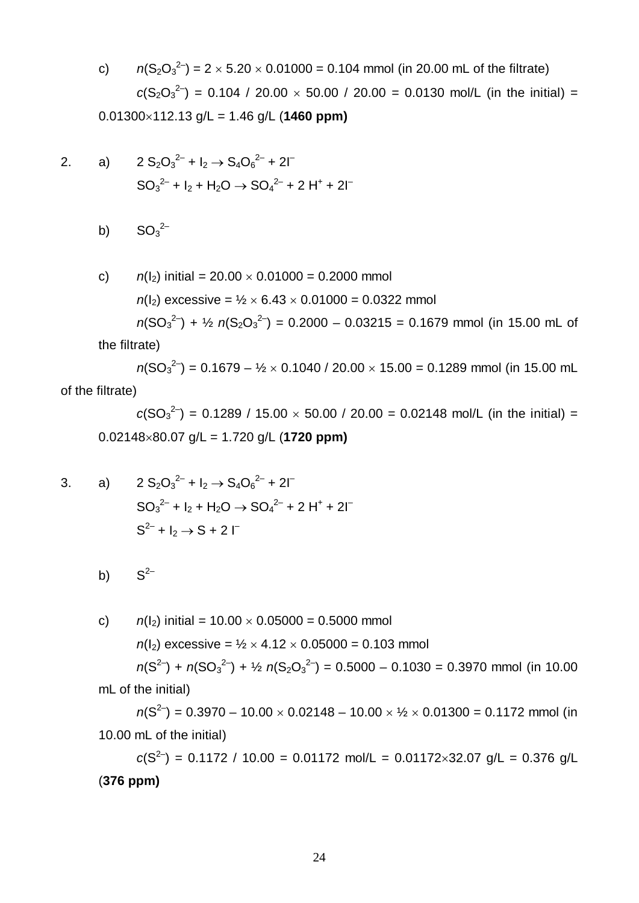c)  $n(S_2O_3^{2-}) = 2 \times 5.20 \times 0.01000 = 0.104$  mmol (in 20.00 mL of the filtrate)  $c(S_2O_3^{2-})$  = 0.104 / 20.00 × 50.00 / 20.00 = 0.0130 mol/L (in the initial) =  $0.01300\times112.13$  g/L = 1.46 g/L (**1460 ppm)** 

2. a) 
$$
2 S_2 O_3^{2-} + I_2 \rightarrow S_4 O_6^{2-} + 2I^-
$$
  
 $SO_3^{2-} + I_2 + H_2 O \rightarrow SO_4^{2-} + 2 H^+ + 2I^-$ 

b)  $SO_3^2$ <sup>-</sup>

c) 
$$
n(l_2)
$$
 initial = 20.00 × 0.01000 = 0.2000 mmol  
\n $n(l_2)$  excessive =  $1/2$  × 6.43 × 0.01000 = 0.0322 mmol  
\n $n(SO_3^{2-}) + 1/2 n(S_2O_3^{2-}) = 0.2000 - 0.03215 = 0.1679 mmol (in 15.00 mL of  
\nthe filterate)$ 

 $n(SO_3^2) = 0.1679 - \frac{1}{2} \times 0.1040 / 20.00 \times 15.00 = 0.1289$  mmol (in 15.00 mL of the filtrate)

 $c(SO_3^{2-}) = 0.1289 / 15.00 \times 50.00 / 20.00 = 0.02148$  mol/L (in the initial) = 0.02148´80.07 g/L = 1.720 g/L (**1720 ppm)**

3. a) 
$$
2 S_2O_3^{2-} + I_2 \rightarrow S_4O_6^{2-} + 2I^-
$$
  
\n $SO_3^{2-} + I_2 + H_2O \rightarrow SO_4^{2-} + 2H^+ + 2I^-$   
\n $S^{2-} + I_2 \rightarrow S + 2I^-$ 

b)  $S^{2-}$ 

c)  $n(l_2)$  initial =  $10.00 \times 0.05000 = 0.5000$  mmol  $n(I_2)$  excessive =  $\frac{1}{2} \times 4.12 \times 0.05000 = 0.103$  mmol  $n(S^{2-}) + n(SO_3^{2-}) + \frac{1}{2} n(S_2O_3^{2-}) = 0.5000 - 0.1030 = 0.3970$  mmol (in 10.00 mL of the initial)

 $n(S^{2-}) = 0.3970 - 10.00 \times 0.02148 - 10.00 \times \frac{1}{2} \times 0.01300 = 0.1172$  mmol (in 10.00 mL of the initial)

 $c(S^{2-}) = 0.1172 / 10.00 = 0.01172$  mol/L = 0.01172×32.07 g/L = 0.376 g/L (**376 ppm)**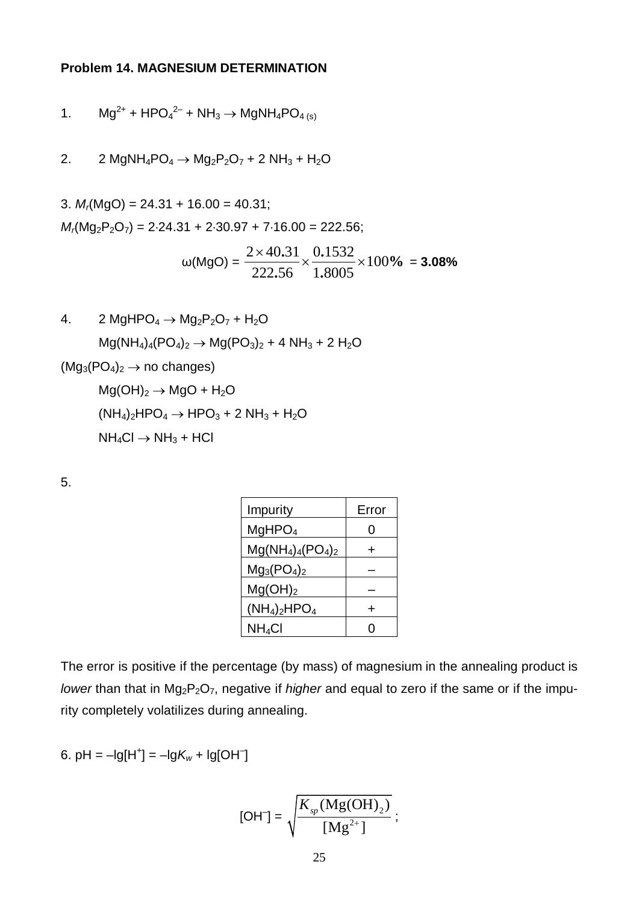## **Problem 14. MAGNESIUM DETERMINATION**

1. 
$$
mg^{2+} + HPO_4^{2-} + NH_3 \rightarrow MgNH_4PO_{4(s)}
$$

2. 2 MgNH<sub>4</sub>PO<sub>4</sub>  $\rightarrow$  Mg<sub>2</sub>P<sub>2</sub>O<sub>7</sub> + 2 NH<sub>3</sub> + H<sub>2</sub>O

3.  $M_f(MgO) = 24.31 + 16.00 = 40.31$ ;  $M_r(Mg_2P_2O_7) = 2.24.31 + 2.30.97 + 7.16.00 = 222.56;$ 

$$
\omega(MgO) = \frac{2 \times 40.31}{222.56} \times \frac{0.1532}{1.8005} \times 100\% = 3.08\%
$$

4. 2 MgHPO<sub>4</sub> 
$$
\rightarrow
$$
 Mg<sub>2</sub>P<sub>2</sub>O<sub>7</sub> + H<sub>2</sub>O  
\n
$$
Mg(NH4)4(PO4)2  $\rightarrow$  Mg(PO<sub>3</sub>)<sub>2</sub> + 4 NH<sub>3</sub> + 2 H<sub>2</sub>O  
\n(Mg<sub>3</sub>(PO<sub>4</sub>)<sub>2</sub>  $\rightarrow$  no changes)  
\n
$$
Mg(OH)2  $\rightarrow$  MgO + H<sub>2</sub>O  
\n(NH<sub>4</sub>)<sub>2</sub>HPO<sub>4</sub>  $\rightarrow$  HPO<sub>3</sub> + 2 NH<sub>3</sub> + H<sub>2</sub>O  
\nNH<sub>4</sub>Cl  $\rightarrow$  NH<sub>3</sub> + HCl
$$
$$

5.

| Impurity             | Error |
|----------------------|-------|
| MgHPO <sub>4</sub>   | 0     |
| $Mg(NH_4)_4(PO_4)_2$ | +     |
| $Mg_3(PO_4)_2$       |       |
| $Mg(OH)_2$           |       |
| $(NH_4)_2HPO_4$      | ┿     |
| $NH_4Cl$             | U     |

The error is positive if the percentage (by mass) of magnesium in the annealing product is *lower* than that in Mg<sub>2</sub>P<sub>2</sub>O<sub>7</sub>, negative if *higher* and equal to zero if the same or if the impurity completely volatilizes during annealing.

6.  $pH = -lg[H^+] = -lgK_w + lg[OH^-]$ 

$$
[OH^-] = \sqrt{\frac{K_{sp}(Mg(OH)_2)}{[Mg^{2+}]}};
$$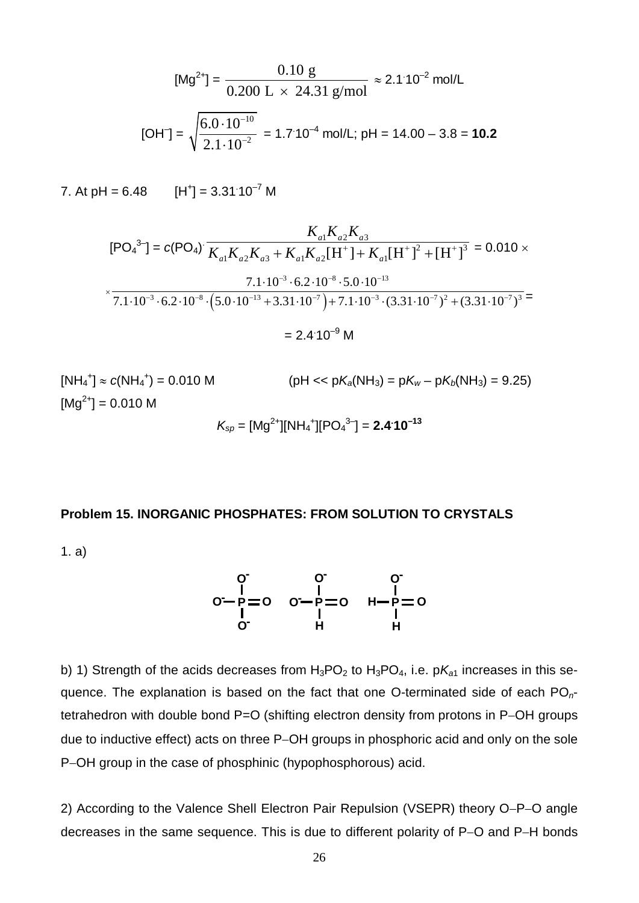$$
[\text{Mg}^{2+}] = \frac{0.10 \text{ g}}{0.200 \text{ L} \times 24.31 \text{ g/mol}} \approx 2.1 \cdot 10^{-2} \text{ mol/L}
$$
  
[OH<sup>-</sup>] =  $\sqrt{\frac{6.0 \cdot 10^{-10}}{2.1 \cdot 10^{-2}}} = 1.7 \cdot 10^{-4} \text{ mol/L; pH} = 14.00 - 3.8 = 10.2$ 

7. At pH =  $6.48$  [H<sup>+</sup>] =  $3.31.10^{-7}$  M

$$
K_{a1}K_{a2}K_{a3}
$$
  
\n[PO<sub>4</sub><sup>3</sup>] = c(PO<sub>4</sub>)  $\overline{K_{a1}K_{a2}K_{a3} + K_{a1}K_{a2}[H^+] + K_{a1}[H^+]^2 + [H^+]^3} = 0.010 \times$   
\n $\times$   
\n $\times$   
\n7.1·10<sup>-3</sup>·6.2·10<sup>-8</sup>·(5.0·10<sup>-13</sup> + 3.31·10<sup>-7</sup>) + 7.1·10<sup>-3</sup>·(3.31·10<sup>-7</sup>)<sup>2</sup> + (3.31·10<sup>-7</sup>)<sup>3</sup> =  
\n= 2.4·10<sup>-9</sup> M

 $[NH_4^+] \approx c(NH_4^+) = 0.010 \text{ M}$  (pH << p $K_a(NH_3) = pK_w - pK_b(NH_3) = 9.25$ )  $[Mg^{2+}] = 0.010 M$  $K_{\text{sp}} = [\text{Mg}^{2+}][\text{NH}_4^+][\text{PO}_4^{3-}] = 2.4^{\cdot}10^{-13}$ 

## **Problem 15. INORGANIC PHOSPHATES: FROM SOLUTION TO CRYSTALS**

1. a)



b) 1) Strength of the acids decreases from  $H_3PO_2$  to  $H_3PO_4$ , i.e.  $pK_{a1}$  increases in this sequence. The explanation is based on the fact that one O-terminated side of each PO*n*tetrahedron with double bond P=O (shifting electron density from protons in P-OH groups due to inductive effect) acts on three P-OH groups in phosphoric acid and only on the sole P-OH group in the case of phosphinic (hypophosphorous) acid.

2) According to the Valence Shell Electron Pair Repulsion (VSEPR) theory O-P-O angle decreases in the same sequence. This is due to different polarity of P-O and P-H bonds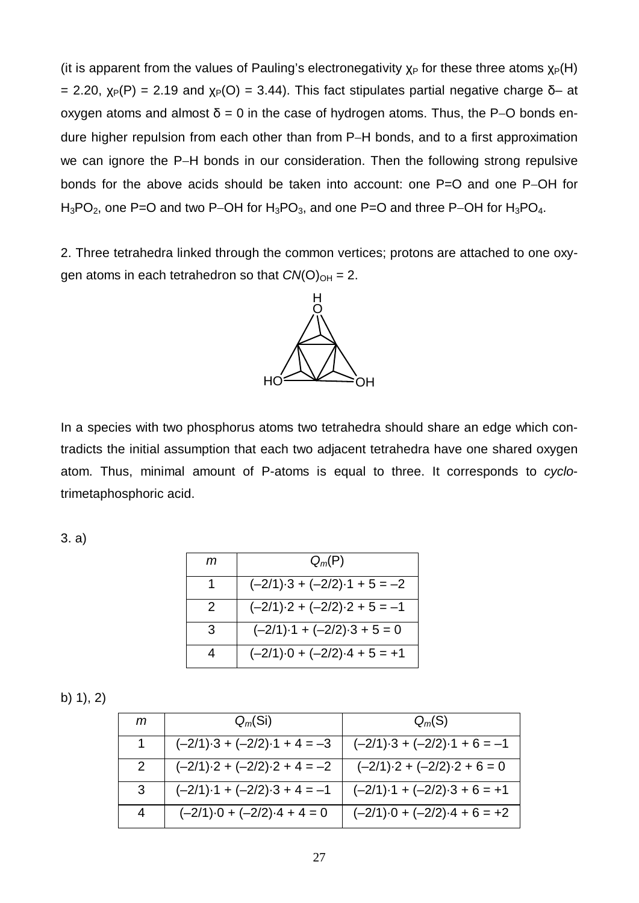(it is apparent from the values of Pauling's electronegativity  $x_P$  for these three atoms  $x_P(H)$ = 2.20,  $\chi_P(P)$  = 2.19 and  $\chi_P(O)$  = 3.44). This fact stipulates partial negative charge  $\delta$ - at oxygen atoms and almost  $\delta$  = 0 in the case of hydrogen atoms. Thus, the P–O bonds endure higher repulsion from each other than from P-H bonds, and to a first approximation we can ignore the P-H bonds in our consideration. Then the following strong repulsive bonds for the above acids should be taken into account: one P=O and one P-OH for  $H_3PO_2$ , one P=O and two P-OH for  $H_3PO_3$ , and one P=O and three P-OH for  $H_3PO_4$ .

2. Three tetrahedra linked through the common vertices; protons are attached to one oxygen atoms in each tetrahedron so that  $CN(O)_{OH} = 2$ .



In a species with two phosphorus atoms two tetrahedra should share an edge which contradicts the initial assumption that each two adjacent tetrahedra have one shared oxygen atom. Thus, minimal amount of P-atoms is equal to three. It corresponds to *cyclo*trimetaphosphoric acid.

3. a)

| т | $Q_m(P)$                                   |
|---|--------------------------------------------|
| 1 | $(-2/1) \cdot 3 + (-2/2) \cdot 1 + 5 = -2$ |
| 2 | $(-2/1) \cdot 2 + (-2/2) \cdot 2 + 5 = -1$ |
| 3 | $(-2/1) \cdot 1 + (-2/2) \cdot 3 + 5 = 0$  |
|   | $(-2/1) \cdot 0 + (-2/2) \cdot 4 + 5 = +1$ |

b) 1), 2)

| т                     | $Q_m(S_i)$                                 | $Q_m(S)$                                   |
|-----------------------|--------------------------------------------|--------------------------------------------|
| 1.                    | $(-2/1) \cdot 3 + (-2/2) \cdot 1 + 4 = -3$ | $(-2/1) \cdot 3 + (-2/2) \cdot 1 + 6 = -1$ |
| $\mathbf{2}^{\prime}$ | $(-2/1) \cdot 2 + (-2/2) \cdot 2 + 4 = -2$ | $(-2/1) \cdot 2 + (-2/2) \cdot 2 + 6 = 0$  |
| 3                     | $(-2/1) \cdot 1 + (-2/2) \cdot 3 + 4 = -1$ | $(-2/1) \cdot 1 + (-2/2) \cdot 3 + 6 = +1$ |
| 4                     | $(-2/1) \cdot 0 + (-2/2) \cdot 4 + 4 = 0$  | $(-2/1) \cdot 0 + (-2/2) \cdot 4 + 6 = +2$ |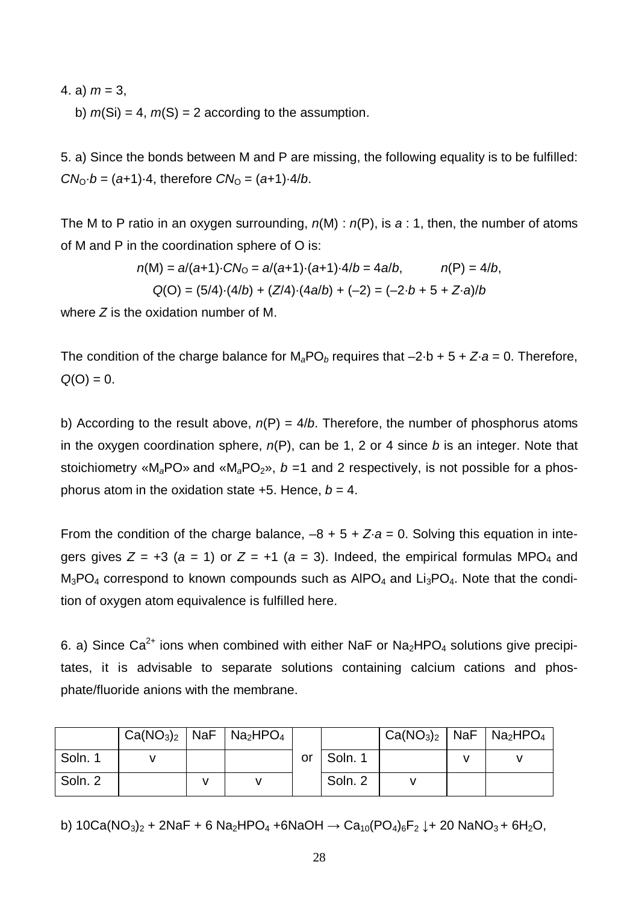4. a)  $m = 3$ ,

b)  $m(Si) = 4$ ,  $m(S) = 2$  according to the assumption.

5. a) Since the bonds between M and P are missing, the following equality is to be fulfilled:  $CN_0 \cdot b = (a+1) \cdot 4$ , therefore  $CN_0 = (a+1) \cdot 4/b$ .

The M to P ratio in an oxygen surrounding, *n*(M) : *n*(P), is *a* : 1, then, the number of atoms of M and P in the coordination sphere of O is:

$$
n(M) = a/(a+1) \cdot C N_0 = a/(a+1) \cdot (a+1) \cdot 4/b = 4a/b, \qquad n(P) = 4/b,
$$
  
Q(O) = (5/4) \cdot (4/b) + (Z/4) \cdot (4a/b) + (-2) = (-2 \cdot b + 5 + Z \cdot a)/b

where *Z* is the oxidation number of M.

The condition of the charge balance for  $M_aPO_b$  requires that  $-2 \cdot b + 5 + Z \cdot a = 0$ . Therefore,  $Q(O) = 0.$ 

b) According to the result above,  $n(P) = 4/b$ . Therefore, the number of phosphorus atoms in the oxygen coordination sphere, *n*(P), can be 1, 2 or 4 since *b* is an integer. Note that stoichiometry «M<sub>a</sub>PO» and «M<sub>a</sub>PO<sub>2</sub>», *b* =1 and 2 respectively, is not possible for a phosphorus atom in the oxidation state  $+5$ . Hence,  $b = 4$ .

From the condition of the charge balance,  $-8 + 5 + Z \cdot a = 0$ . Solving this equation in integers gives  $Z = +3$  ( $a = 1$ ) or  $Z = +1$  ( $a = 3$ ). Indeed, the empirical formulas MPO<sub>4</sub> and  $M_3PO_4$  correspond to known compounds such as  $AlPO_4$  and  $Li_3PO_4$ . Note that the condition of oxygen atom equivalence is fulfilled here.

6. a) Since Ca<sup>2+</sup> ions when combined with either NaF or Na<sub>2</sub>HPO<sub>4</sub> solutions give precipitates, it is advisable to separate solutions containing calcium cations and phosphate/fluoride anions with the membrane.

|         | $Ca(NO3)2$ NaF   Na <sub>2</sub> HPO <sub>4</sub> |  |    |         | $\mid$ Ca(NO <sub>3</sub> ) <sub>2</sub>   NaF   Na <sub>2</sub> HPO <sub>4</sub> |  |
|---------|---------------------------------------------------|--|----|---------|-----------------------------------------------------------------------------------|--|
| Soln. 1 |                                                   |  | or | Soln. 1 |                                                                                   |  |
| Soln. 2 |                                                   |  |    | Soln. 2 |                                                                                   |  |

b)  $10Ca(NO<sub>3</sub>)<sub>2</sub> + 2NaF + 6 Na<sub>2</sub>HPO<sub>4</sub> + 6NaOH \rightarrow Ca<sub>10</sub>(PO<sub>4</sub>)<sub>6</sub>F<sub>2</sub> + 20 NaNO<sub>3</sub> + 6H<sub>2</sub>O,$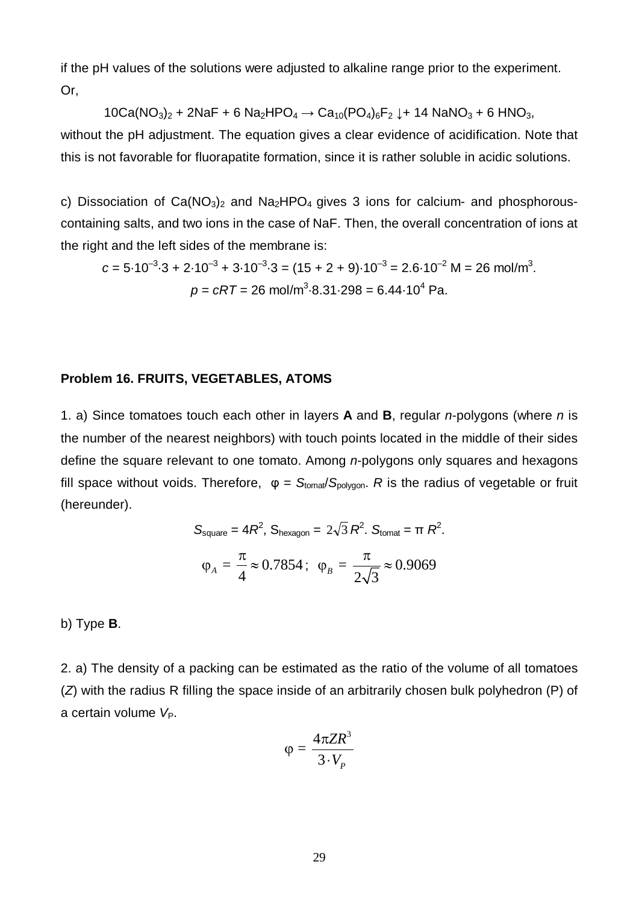if the pH values of the solutions were adjusted to alkaline range prior to the experiment. Or,

 $10Ca(NO<sub>3</sub>)<sub>2</sub> + 2NaF + 6 Na<sub>2</sub>HPO<sub>4</sub> \rightarrow Ca<sub>10</sub>(PO<sub>4</sub>)<sub>6</sub>F<sub>2</sub> \downarrow + 14 NaNO<sub>3</sub> + 6 HNO<sub>3</sub>$ without the pH adjustment. The equation gives a clear evidence of acidification. Note that this is not favorable for fluorapatite formation, since it is rather soluble in acidic solutions.

c) Dissociation of  $Ca(NO<sub>3</sub>)<sub>2</sub>$  and  $Na<sub>2</sub>HPO<sub>4</sub>$  gives 3 ions for calcium- and phosphorouscontaining salts, and two ions in the case of NaF. Then, the overall concentration of ions at the right and the left sides of the membrane is:

$$
c = 5.10^{-3} \cdot 3 + 2.10^{-3} + 3.10^{-3} \cdot 3 = (15 + 2 + 9) \cdot 10^{-3} = 2.6 \cdot 10^{-2} \text{ M} = 26 \text{ mol/m}^3.
$$
  

$$
p = cRT = 26 \text{ mol/m}^3 \cdot 8.31 \cdot 298 = 6.44 \cdot 10^4 \text{ Pa}.
$$

#### **Problem 16. FRUITS, VEGETABLES, ATOMS**

1. a) Since tomatoes touch each other in layers **A** and **B**, regular *n*-polygons (where *n* is the number of the nearest neighbors) with touch points located in the middle of their sides define the square relevant to one tomato. Among *n*-polygons only squares and hexagons fill space without voids. Therefore,  $φ = S_{\text{tomat}}/S_{\text{polvgon}}$ . *R* is the radius of vegetable or fruit (hereunder).

$$
S_{\text{square}} = 4R^2, S_{\text{hexagon}} = 2\sqrt{3} R^2. S_{\text{tomat}} = \pi R^2.
$$

$$
\varphi_A = \frac{\pi}{4} \approx 0.7854; \quad \varphi_B = \frac{\pi}{2\sqrt{3}} \approx 0.9069
$$

b) Type **B**.

2. a) The density of a packing can be estimated as the ratio of the volume of all tomatoes (*Z*) with the radius R filling the space inside of an arbitrarily chosen bulk polyhedron (P) of a certain volume V<sub>P</sub>.

$$
\varphi = \frac{4\pi ZR^3}{3\cdot V_P}
$$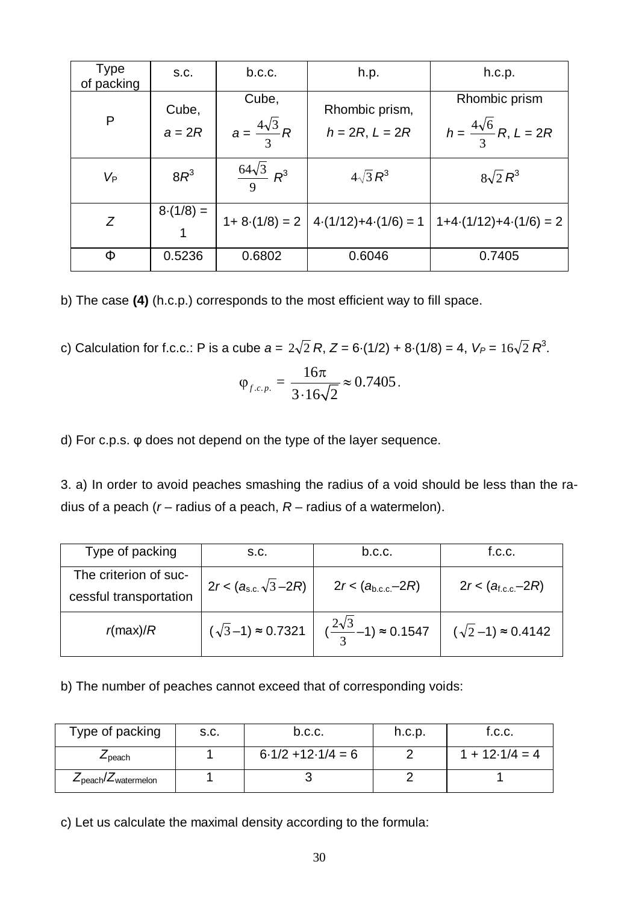| <b>Type</b><br>of packing | S.C.              | b.c.c.                            | h.p.                                   | h.c.p.                                              |
|---------------------------|-------------------|-----------------------------------|----------------------------------------|-----------------------------------------------------|
| P                         | Cube,<br>$a = 2R$ | Cube,<br>$a=\frac{4\sqrt{3}}{3}R$ | Rhombic prism,<br>$h = 2R, L = 2R$     | Rhombic prism<br>$h = \frac{4\sqrt{6}}{3}R, L = 2R$ |
| Vp                        | $8R^3$            | $\frac{64\sqrt{3}}{9}R^3$         | $4\sqrt{3}R^3$                         | $8\sqrt{2}R^3$                                      |
| Z                         | $8-(1/8) =$       |                                   | $1+8(1/8) = 2 \mid 4(1/12)+4(1/6) = 1$ | $1+4(1/12)+4(1/6)=2$                                |
| Φ                         | 0.5236            | 0.6802                            | 0.6046                                 | 0.7405                                              |

b) The case **(4)** (h.c.p.) corresponds to the most efficient way to fill space.

c) Calculation for f.c.c.: P is a cube  $a = 2\sqrt{2} R$ ,  $Z = 6 \cdot (1/2) + 8 \cdot (1/8) = 4$ ,  $V_P = 16\sqrt{2} R^3$ .

$$
\varphi_{f.c.p.} = \frac{16\pi}{3.16\sqrt{2}} \approx 0.7405.
$$

d) For c.p.s. φ does not depend on the type of the layer sequence.

3. a) In order to avoid peaches smashing the radius of a void should be less than the radius of a peach (*r* – radius of a peach, *R* – radius of a watermelon).

| Type of packing                                 | S.C.                             | b.c.c.                                                                 | f.C.C.                        |
|-------------------------------------------------|----------------------------------|------------------------------------------------------------------------|-------------------------------|
| The criterion of suc-<br>cessful transportation | $2r < (a_{\rm s.c.}\sqrt{3}-2R)$ | $2r < (a_{b.c.c.} - 2R)$                                               | $2r < (a_{f.c.c.} - 2R)$      |
| $r$ (max)/ $R$                                  |                                  | $(\sqrt{3}-1) \approx 0.7321$ $(\frac{2\sqrt{3}}{3}-1) \approx 0.1547$ | $(\sqrt{2}-1) \approx 0.4142$ |

b) The number of peaches cannot exceed that of corresponding voids:

| Type of packing                                              | S.C. | b.c.c.               | h.c.p. | f.c.c.           |
|--------------------------------------------------------------|------|----------------------|--------|------------------|
| ∠peach                                                       |      | $6.1/2 + 12.1/4 = 6$ |        | $1 + 12.1/4 = 4$ |
| $\mathcal{L}_{\text{peach}}/\mathcal{L}_{\text{watermelon}}$ |      |                      |        |                  |

c) Let us calculate the maximal density according to the formula: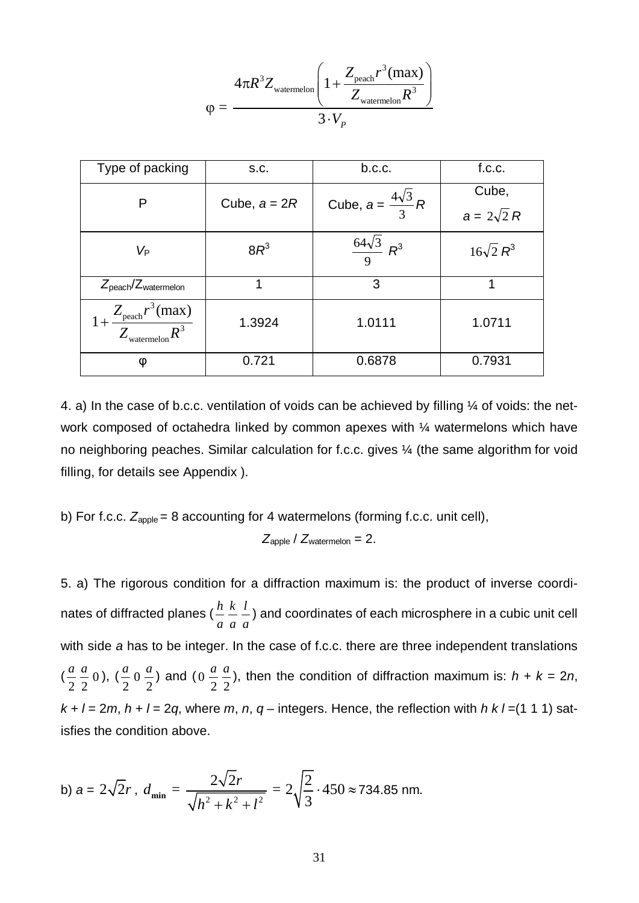$$
\varphi = \frac{4\pi R^3 Z_{\text{watermelon}} \left(1 + \frac{Z_{\text{peach}}r^3(\text{max})}{Z_{\text{watermelon}}R^3}\right)}{3 \cdot V_p}
$$

| Type of packing                                                      | S.C.           | b.c.c.                           | f.c.c.            |  |
|----------------------------------------------------------------------|----------------|----------------------------------|-------------------|--|
| P                                                                    | Cube, $a = 2R$ |                                  | Cube,             |  |
|                                                                      |                | Cube, $a = \frac{4\sqrt{3}}{3}R$ | $a = 2\sqrt{2} R$ |  |
| V <sub>P</sub>                                                       | $8R^3$         | $\frac{64\sqrt{3}}{9} R^3$       | $16\sqrt{2}R^3$   |  |
| $Z_{\text{peach}}/Z_{\text{watermelon}}$                             | 1              | 3                                | 1                 |  |
| $1+\frac{Z_{\text{peach}}r^3(\text{max})}{Z_{\text{watermelon}}}R^3$ | 1.3924         | 1.0111                           | 1.0711            |  |
| φ                                                                    | 0.721          | 0.6878                           | 0.7931            |  |

4. a) In the case of b.c.c. ventilation of voids can be achieved by filling ¼ of voids: the network composed of octahedra linked by common apexes with  $\frac{1}{4}$  watermelons which have no neighboring peaches. Similar calculation for f.c.c. gives ¼ (the same algorithm for void filling, for details see Appendix ).

b) For f.c.c. 
$$
Z_{\text{apple}} = 8
$$
 accounting for 4 watermelons (forming f.c.c. unit cell),

$$
Z_{\text{apple}} / Z_{\text{watermelon}} = 2.
$$

5. a) The rigorous condition for a diffraction maximum is: the product of inverse coordinates of diffracted planes ( *a h a k a*  $\bar{l}$  ) and coordinates of each microsphere in a cubic unit cell with side *a* has to be integer. In the case of f.c.c. there are three independent translations ( 2 *a* 2  $\frac{a}{2}$  0), ( 2  $\frac{a}{2}$  0 2  $\frac{a}{2}$ ) and (0) 2 *a* 2  $\frac{a}{b}$ ), then the condition of diffraction maximum is: *h* + *k* = 2*n*,  $k + l = 2m$ ,  $h + l = 2q$ , where  $m$ ,  $n$ ,  $q$  – integers. Hence, the reflection with  $h k / l = (1 1 1)$  satisfies the condition above.

b) 
$$
a = 2\sqrt{2}r
$$
,  $d_{\min} = \frac{2\sqrt{2}r}{\sqrt{h^2 + k^2 + l^2}} = 2\sqrt{\frac{2}{3}} \cdot 450 \approx 734.85$  nm.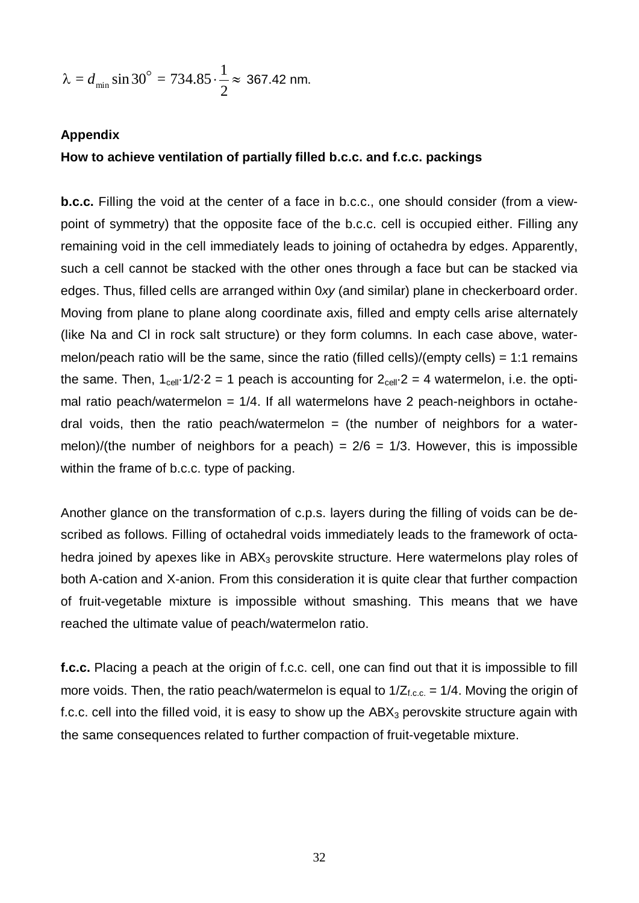$$
\lambda = d_{\min} \sin 30^{\circ} = 734.85 \cdot \frac{1}{2} \approx 367.42 \text{ nm}.
$$

### **Appendix**

#### **How to achieve ventilation of partially filled b.c.c. and f.c.c. packings**

**b.c.c.** Filling the void at the center of a face in b.c.c., one should consider (from a viewpoint of symmetry) that the opposite face of the b.c.c. cell is occupied either. Filling any remaining void in the cell immediately leads to joining of octahedra by edges. Apparently, such a cell cannot be stacked with the other ones through a face but can be stacked via edges. Thus, filled cells are arranged within 0*xy* (and similar) plane in checkerboard order. Moving from plane to plane along coordinate axis, filled and empty cells arise alternately (like Na and Cl in rock salt structure) or they form columns. In each case above, watermelon/peach ratio will be the same, since the ratio (filled cells)/(empty cells) = 1:1 remains the same. Then,  $1_{cell} \cdot 1/2 \cdot 2 = 1$  peach is accounting for  $2_{cell} \cdot 2 = 4$  watermelon, i.e. the optimal ratio peach/watermelon =  $1/4$ . If all watermelons have 2 peach-neighbors in octahedral voids, then the ratio peach/watermelon  $=$  (the number of neighbors for a watermelon)/(the number of neighbors for a peach) =  $2/6$  =  $1/3$ . However, this is impossible within the frame of b.c.c. type of packing.

Another glance on the transformation of c.p.s. layers during the filling of voids can be described as follows. Filling of octahedral voids immediately leads to the framework of octahedra joined by apexes like in  $ABX_3$  perovskite structure. Here watermelons play roles of both A-cation and X-anion. From this consideration it is quite clear that further compaction of fruit-vegetable mixture is impossible without smashing. This means that we have reached the ultimate value of peach/watermelon ratio.

**f.c.c.** Placing a peach at the origin of f.c.c. cell, one can find out that it is impossible to fill more voids. Then, the ratio peach/watermelon is equal to  $1/Z_{f.c.c.} = 1/4$ . Moving the origin of f.c.c. cell into the filled void, it is easy to show up the  $ABX<sub>3</sub>$  perovskite structure again with the same consequences related to further compaction of fruit-vegetable mixture.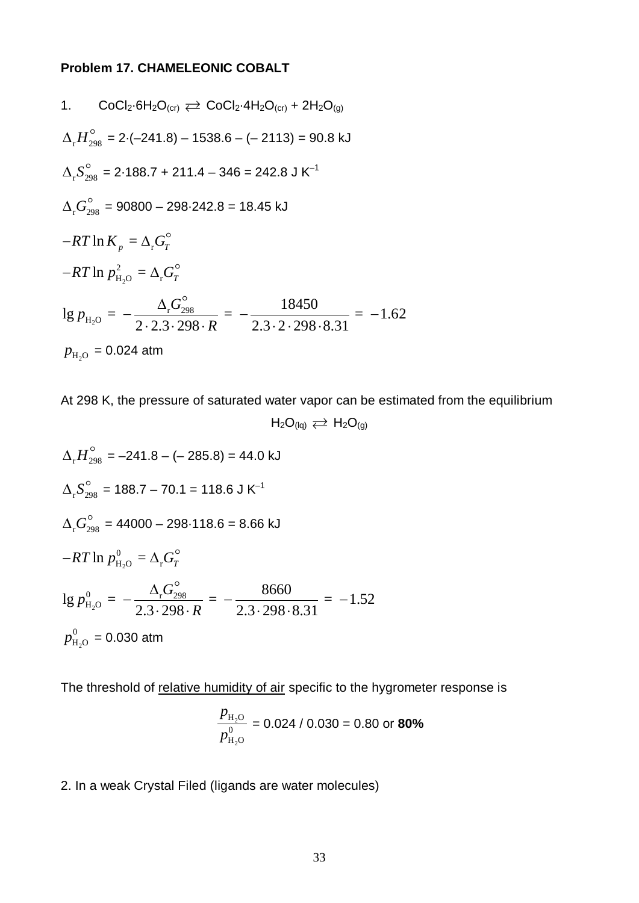## **Problem 17. CHAMELEONIC COBALT**

1. 
$$
\text{CoCl}_2\text{-}6\text{H}_2\text{O}_{\text{(cr)}} \rightleftarrows \text{CoCl}_2\text{-}4\text{H}_2\text{O}_{\text{(cr)}} + 2\text{H}_2\text{O}_{\text{(g)}}
$$
\n
$$
\Delta_r H_{298}^\circ = 2 \cdot (-241.8) - 1538.6 - (-2113) = 90.8 \text{ kJ}
$$
\n
$$
\Delta_r S_{298}^\circ = 2 \cdot 188.7 + 211.4 - 346 = 242.8 \text{ J K}^{-1}
$$
\n
$$
\Delta_r G_{298}^\circ = 90800 - 298 \cdot 242.8 = 18.45 \text{ kJ}
$$
\n
$$
-RT \ln K_p = \Delta_r G_T^\circ
$$
\n
$$
-RT \ln p_{\text{H}_2\text{O}}^2 = \Delta_r G_T^\circ
$$
\n
$$
\lg p_{\text{H}_2\text{O}} = -\frac{\Delta_r G_{298}^\circ}{2 \cdot 2.3 \cdot 298 \cdot R} = -\frac{18450}{2.3 \cdot 2 \cdot 298 \cdot 8.31} = -1.62
$$
\n
$$
p_{\text{H}_2\text{O}} = 0.024 \text{ atm}
$$

At 298 K, the pressure of saturated water vapor can be estimated from the equilibrium  $H_2O_{(lq)} \rightleftarrows H_2O_{(g)}$ 

$$
\Delta_{r}H_{298}^{o} = -241.8 - (-285.8) = 44.0 \text{ kJ}
$$
\n
$$
\Delta_{r}S_{298}^{o} = 188.7 - 70.1 = 118.6 \text{ J K}^{-1}
$$
\n
$$
\Delta_{r}G_{298}^{o} = 44000 - 298.118.6 = 8.66 \text{ kJ}
$$
\n
$$
-RT \ln p_{\text{H}_{2}O}^{0} = \Delta_{r}G_{r}^{o}
$$
\n
$$
\lg p_{\text{H}_{2}O}^{0} = -\frac{\Delta_{r}G_{298}^{o}}{2.3 \cdot 298 \cdot R} = -\frac{8660}{2.3 \cdot 298 \cdot 8.31} = -1.52
$$
\n
$$
p_{\text{H}_{2}O}^{0} = 0.030 \text{ atm}
$$

The threshold of relative humidity of air specific to the hygrometer response is

$$
\frac{p_{\text{H}_2\text{O}}}{p_{\text{H}_2\text{O}}^0} = 0.024 / 0.030 = 0.80 \text{ or } 80\%
$$

2. In a weak Crystal Filed (ligands are water molecules)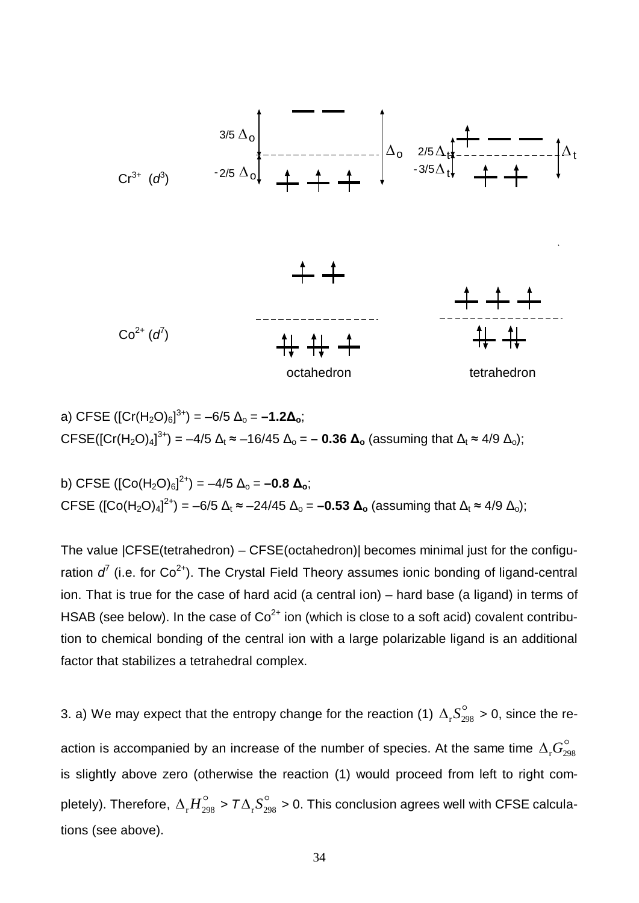

a) CFSE ([Cr(H2O)6] 3+) = –6/5 Δo = **–1.2Δo**; CFSE([Cr(H<sub>2</sub>O)<sub>4</sub>]<sup>3+</sup>) = −4/5 Δ<sub>t</sub> ≈ −16/45 Δ<sub>o</sub> = − **0.36 Δ<sub>o</sub>** (assuming that Δ<sub>t</sub> ≈ 4/9 Δ<sub>o</sub>);

b) CFSE ( $[Co(H<sub>2</sub>O)<sub>6</sub>]<sup>2+</sup>$ ) = -4/5 Δ<sub>o</sub> = -0.8 Δ<sub>o</sub>; CFSE ([Co(H<sub>2</sub>O)<sub>4</sub>]<sup>2+</sup>) = −6/5 Δ<sub>t</sub> ≈ −24/45 Δ<sub>o</sub> = **−0.53 Δ<sub>o</sub>** (assuming that Δ<sub>t</sub> ≈ 4/9 Δ<sub>o</sub>);

The value |CFSE(tetrahedron) – CFSE(octahedron)| becomes minimal just for the configuration  $d^{\ell}$  (i.e. for Co<sup>2+</sup>). The Crystal Field Theory assumes ionic bonding of ligand-central ion. That is true for the case of hard acid (a central ion) – hard base (a ligand) in terms of HSAB (see below). In the case of  $Co^{2+}$  ion (which is close to a soft acid) covalent contribution to chemical bonding of the central ion with a large polarizable ligand is an additional factor that stabilizes a tetrahedral complex.

3. a) We may expect that the entropy change for the reaction (1)  $\Delta_{\rm r} S_{298}^{\circ}$  > 0, since the reaction is accompanied by an increase of the number of species. At the same time  $\Delta_{\rm r} G_{298}^{\circ}$ is slightly above zero (otherwise the reaction (1) would proceed from left to right completely). Therefore,  $\Delta_{_{\rm P}} H_{298}^{\circ} > T\Delta_{_{\rm P}} S_{298}^{\circ} > 0$ . This conclusion agrees well with CFSE calculations (see above).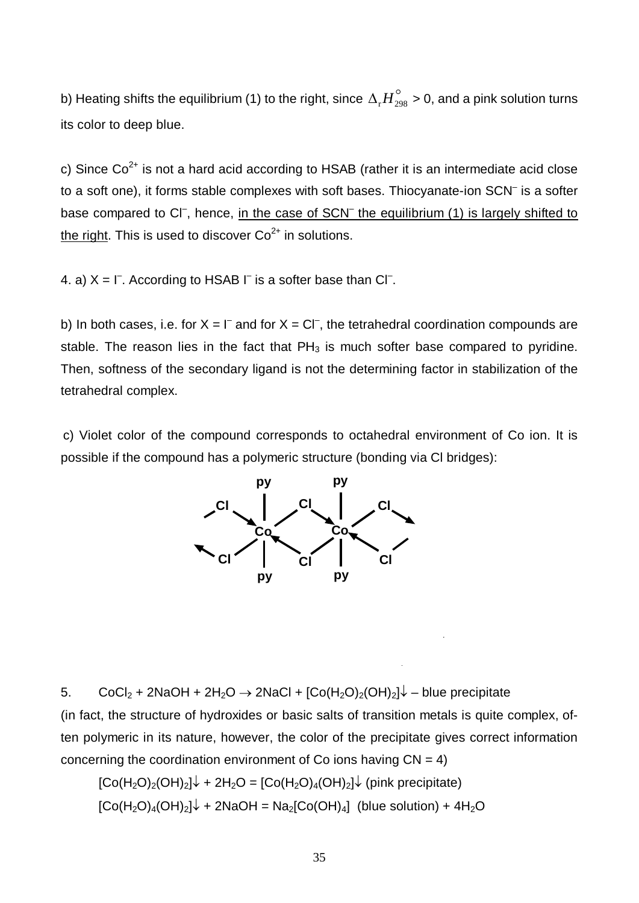b) Heating shifts the equilibrium (1) to the right, since  $\Delta_{_{\rm r}} H^{\circ}_{_{298}}$  > 0, and a pink solution turns its color to deep blue.

c) Since  $Co^{2+}$  is not a hard acid according to HSAB (rather it is an intermediate acid close to a soft one), it forms stable complexes with soft bases. Thiocyanate-ion SCN– is a softer base compared to CI<sup>-</sup>, hence, in the case of SCN<sup>-</sup> the equilibrium (1) is largely shifted to the right. This is used to discover  $Co<sup>2+</sup>$  in solutions.

4. a)  $X = \Gamma$ . According to HSAB  $\Gamma$  is a softer base than C $\Gamma$ .

b) In both cases, i.e. for  $X = \square$  and for  $X = \square$ , the tetrahedral coordination compounds are stable. The reason lies in the fact that  $PH_3$  is much softer base compared to pyridine. Then, softness of the secondary ligand is not the determining factor in stabilization of the tetrahedral complex.

c) Violet color of the compound corresponds to octahedral environment of Co ion. It is possible if the compound has a polymeric structure (bonding via Cl bridges):



5. CoCl<sub>2</sub> + 2NaOH + 2H<sub>2</sub>O  $\rightarrow$  2NaCl +  $[Co(H<sub>2</sub>O)<sub>2</sub>(OH)<sub>2</sub>] $\downarrow$  - blue precipitate$ 

(in fact, the structure of hydroxides or basic salts of transition metals is quite complex, often polymeric in its nature, however, the color of the precipitate gives correct information concerning the coordination environment of Co ions having  $CN = 4$ )

$$
[Co(H2O)2(OH)2] $\downarrow$  + 2H<sub>2</sub>O = [Co(H<sub>2</sub>O)<sub>4</sub>(OH)<sub>2</sub>] $\downarrow$  (pink precipitate)  
[Co(H<sub>2</sub>O)<sub>4</sub>(OH)<sub>2</sub>] $\downarrow$  + 2NaOH = Na<sub>2</sub>[Co(OH)<sub>4</sub>] (blue solution) + 4H<sub>2</sub>O
$$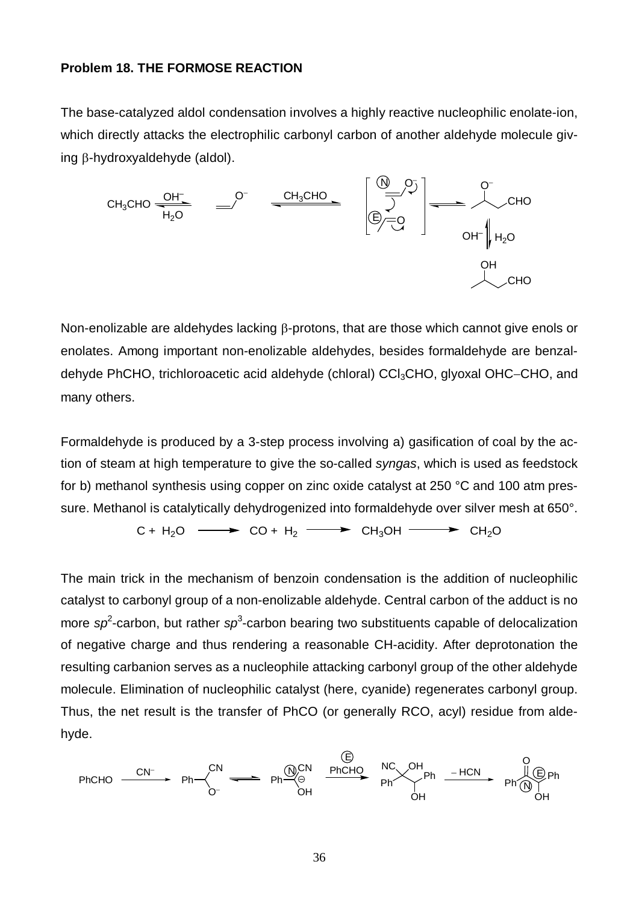### **Problem 18. THE FORMOSE REACTION**

The base-catalyzed aldol condensation involves a highly reactive nucleophilic enolate-ion, which directly attacks the electrophilic carbonyl carbon of another aldehyde molecule giving  $\beta$ -hydroxyaldehyde (aldol).



Non-enolizable are aldehydes lacking  $\beta$ -protons, that are those which cannot give enols or enolates. Among important non-enolizable aldehydes, besides formaldehyde are benzaldehyde PhCHO, trichloroacetic acid aldehyde (chloral) CCl<sub>3</sub>CHO, glyoxal OHC-CHO, and many others.

Formaldehyde is produced by a 3-step process involving a) gasification of coal by the action of steam at high temperature to give the so-called *syngas*, which is used as feedstock for b) methanol synthesis using copper on zinc oxide catalyst at 250 °C and 100 atm pressure. Methanol is catalytically dehydrogenized into formaldehyde over silver mesh at 650°.

 $C + H_2O \longrightarrow CO + H_2 \longrightarrow CH_3OH \longrightarrow CH_2O$ 

The main trick in the mechanism of benzoin condensation is the addition of nucleophilic catalyst to carbonyl group of a non-enolizable aldehyde. Central carbon of the adduct is no more sp<sup>2</sup>-carbon, but rather sp<sup>3</sup>-carbon bearing two substituents capable of delocalization of negative charge and thus rendering a reasonable CH-acidity. After deprotonation the resulting carbanion serves as a nucleophile attacking carbonyl group of the other aldehyde molecule. Elimination of nucleophilic catalyst (here, cyanide) regenerates carbonyl group. Thus, the net result is the transfer of PhCO (or generally RCO, acyl) residue from aldehyde.

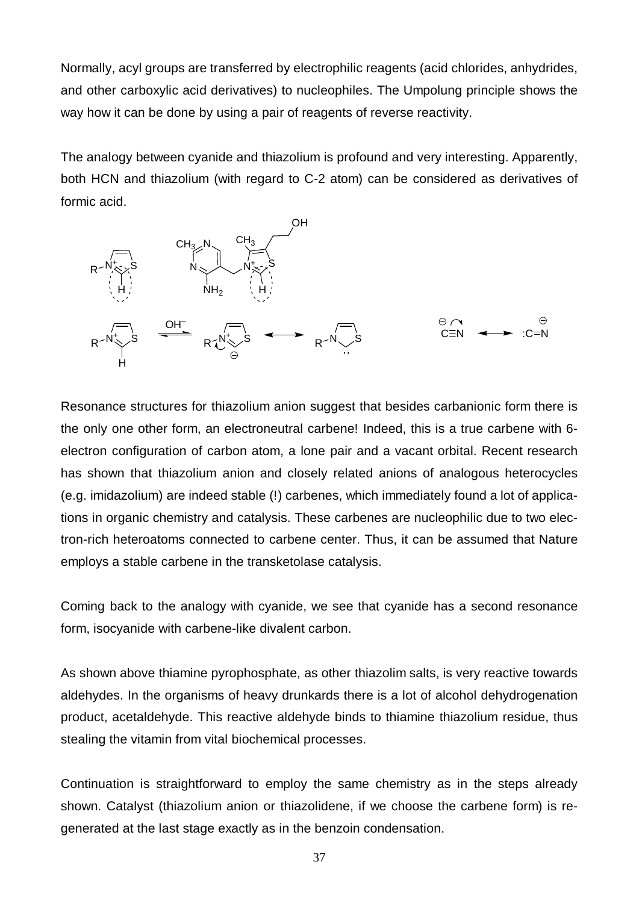Normally, acyl groups are transferred by electrophilic reagents (acid chlorides, anhydrides, and other carboxylic acid derivatives) to nucleophiles. The Umpolung principle shows the way how it can be done by using a pair of reagents of reverse reactivity.

The analogy between cyanide and thiazolium is profound and very interesting. Apparently, both HCN and thiazolium (with regard to C-2 atom) can be considered as derivatives of formic acid.



Resonance structures for thiazolium anion suggest that besides carbanionic form there is the only one other form, an electroneutral carbene! Indeed, this is a true carbene with 6 electron configuration of carbon atom, a lone pair and a vacant orbital. Recent research has shown that thiazolium anion and closely related anions of analogous heterocycles (e.g. imidazolium) are indeed stable (!) carbenes, which immediately found a lot of applications in organic chemistry and catalysis. These carbenes are nucleophilic due to two electron-rich heteroatoms connected to carbene center. Thus, it can be assumed that Nature employs a stable carbene in the transketolase catalysis.

Coming back to the analogy with cyanide, we see that cyanide has a second resonance form, isocyanide with carbene-like divalent carbon.

As shown above thiamine pyrophosphate, as other thiazolim salts, is very reactive towards aldehydes. In the organisms of heavy drunkards there is a lot of alcohol dehydrogenation product, acetaldehyde. This reactive aldehyde binds to thiamine thiazolium residue, thus stealing the vitamin from vital biochemical processes.

Continuation is straightforward to employ the same chemistry as in the steps already shown. Catalyst (thiazolium anion or thiazolidene, if we choose the carbene form) is regenerated at the last stage exactly as in the benzoin condensation.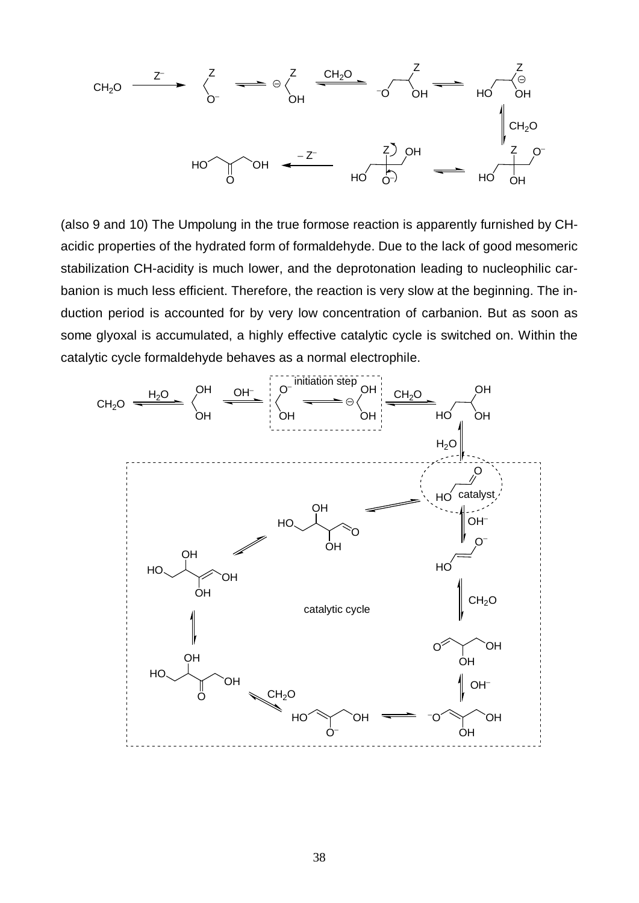

(also 9 and 10) The Umpolung in the true formose reaction is apparently furnished by CHacidic properties of the hydrated form of formaldehyde. Due to the lack of good mesomeric stabilization CH-acidity is much lower, and the deprotonation leading to nucleophilic carbanion is much less efficient. Therefore, the reaction is very slow at the beginning. The induction period is accounted for by very low concentration of carbanion. But as soon as some glyoxal is accumulated, a highly effective catalytic cycle is switched on. Within the catalytic cycle formaldehyde behaves as a normal electrophile.

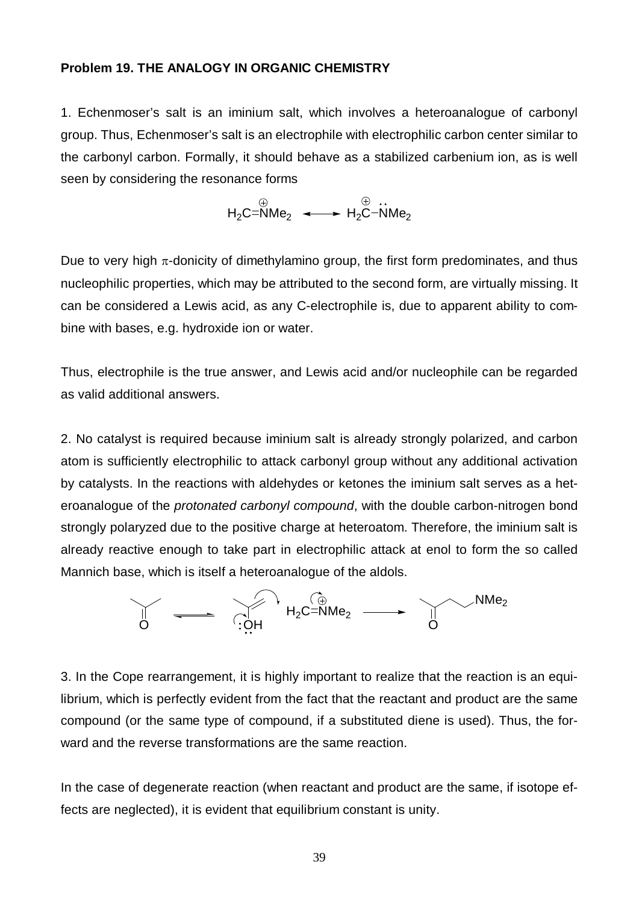#### **Problem 19. THE ANALOGY IN ORGANIC CHEMISTRY**

1. Echenmoser's salt is an iminium salt, which involves a heteroanalogue of carbonyl group. Thus, Echenmoser's salt is an electrophile with electrophilic carbon center similar to the carbonyl carbon. Formally, it should behave as a stabilized carbenium ion, as is well seen by considering the resonance forms

 $H_2C = NMe_2 \leftrightarrow H_2C - NMe_2$ 

Due to very high  $\pi$ -donicity of dimethylamino group, the first form predominates, and thus nucleophilic properties, which may be attributed to the second form, are virtually missing. It can be considered a Lewis acid, as any C-electrophile is, due to apparent ability to combine with bases, e.g. hydroxide ion or water.

Thus, electrophile is the true answer, and Lewis acid and/or nucleophile can be regarded as valid additional answers.

2. No catalyst is required because iminium salt is already strongly polarized, and carbon atom is sufficiently electrophilic to attack carbonyl group without any additional activation by catalysts. In the reactions with aldehydes or ketones the iminium salt serves as a heteroanalogue of the *protonated carbonyl compound*, with the double carbon-nitrogen bond strongly polaryzed due to the positive charge at heteroatom. Therefore, the iminium salt is already reactive enough to take part in electrophilic attack at enol to form the so called Mannich base, which is itself a heteroanalogue of the aldols.



3. In the Cope rearrangement, it is highly important to realize that the reaction is an equilibrium, which is perfectly evident from the fact that the reactant and product are the same compound (or the same type of compound, if a substituted diene is used). Thus, the forward and the reverse transformations are the same reaction.

In the case of degenerate reaction (when reactant and product are the same, if isotope effects are neglected), it is evident that equilibrium constant is unity.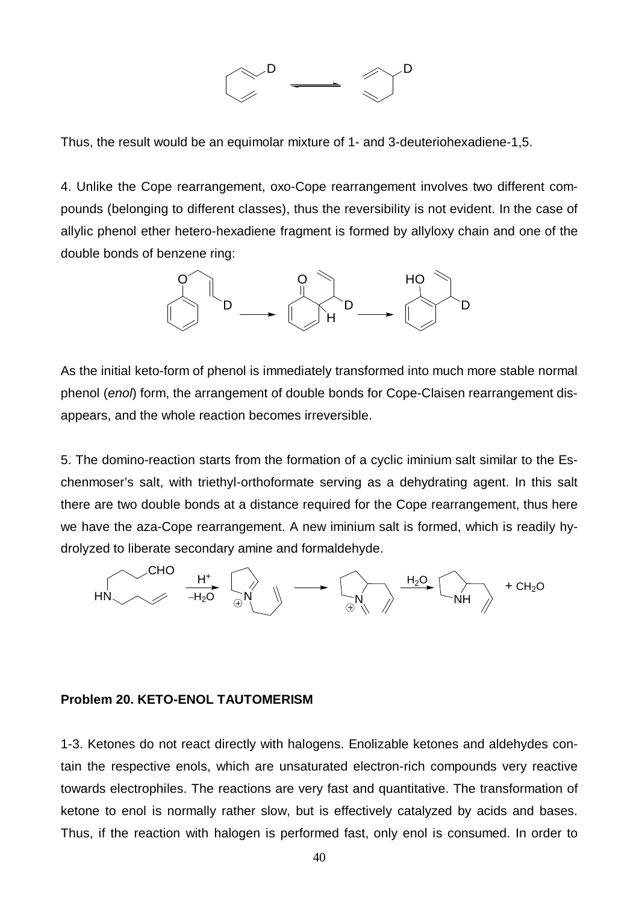

Thus, the result would be an equimolar mixture of 1- and 3-deuteriohexadiene-1,5.

4. Unlike the Cope rearrangement, oxo-Cope rearrangement involves two different compounds (belonging to different classes), thus the reversibility is not evident. In the case of allylic phenol ether hetero-hexadiene fragment is formed by allyloxy chain and one of the double bonds of benzene ring:



As the initial keto-form of phenol is immediately transformed into much more stable normal phenol (*enol*) form, the arrangement of double bonds for Cope-Claisen rearrangement disappears, and the whole reaction becomes irreversible.

5. The domino-reaction starts from the formation of a cyclic iminium salt similar to the Eschenmoser's salt, with triethyl-orthoformate serving as a dehydrating agent. In this salt there are two double bonds at a distance required for the Cope rearrangement, thus here we have the aza-Cope rearrangement. A new iminium salt is formed, which is readily hydrolyzed to liberate secondary amine and formaldehyde.



#### **Problem 20. KETO-ENOL TAUTOMERISM**

1-3. Ketones do not react directly with halogens. Enolizable ketones and aldehydes contain the respective enols, which are unsaturated electron-rich compounds very reactive towards electrophiles. The reactions are very fast and quantitative. The transformation of ketone to enol is normally rather slow, but is effectively catalyzed by acids and bases. Thus, if the reaction with halogen is performed fast, only enol is consumed. In order to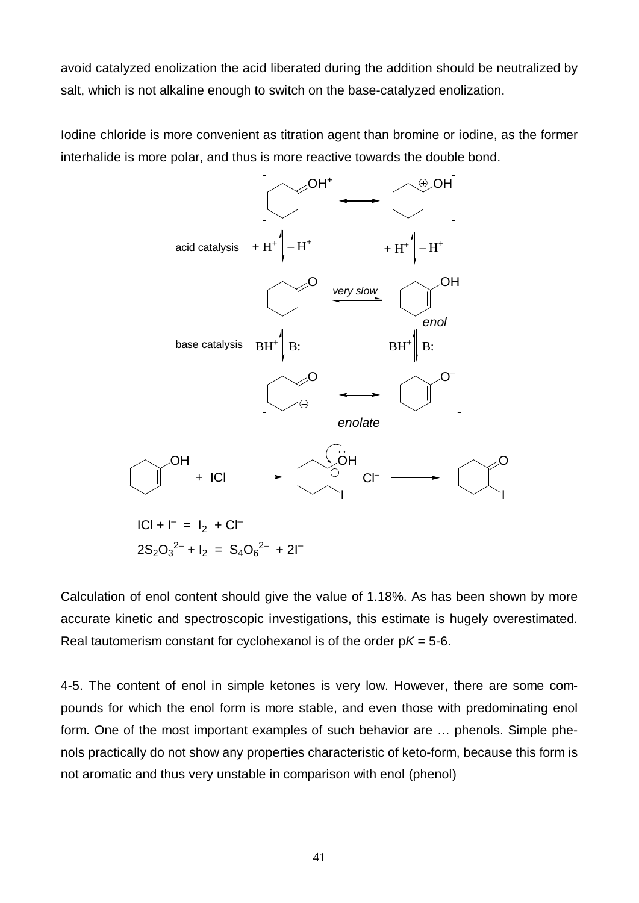avoid catalyzed enolization the acid liberated during the addition should be neutralized by salt, which is not alkaline enough to switch on the base-catalyzed enolization.

Iodine chloride is more convenient as titration agent than bromine or iodine, as the former interhalide is more polar, and thus is more reactive towards the double bond.



Calculation of enol content should give the value of 1.18%. As has been shown by more accurate kinetic and spectroscopic investigations, this estimate is hugely overestimated. Real tautomerism constant for cyclohexanol is of the order  $pK = 5-6$ .

4-5. The content of enol in simple ketones is very low. However, there are some compounds for which the enol form is more stable, and even those with predominating enol form. One of the most important examples of such behavior are … phenols. Simple phenols practically do not show any properties characteristic of keto-form, because this form is not aromatic and thus very unstable in comparison with enol (phenol)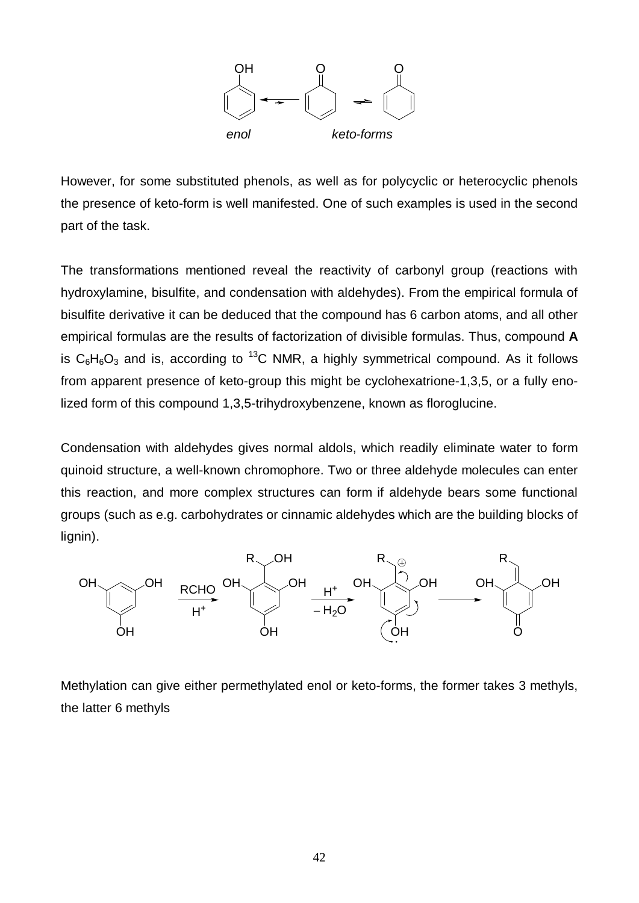

However, for some substituted phenols, as well as for polycyclic or heterocyclic phenols the presence of keto-form is well manifested. One of such examples is used in the second part of the task.

The transformations mentioned reveal the reactivity of carbonyl group (reactions with hydroxylamine, bisulfite, and condensation with aldehydes). From the empirical formula of bisulfite derivative it can be deduced that the compound has 6 carbon atoms, and all other empirical formulas are the results of factorization of divisible formulas. Thus, compound **A** is  $C_6H_6O_3$  and is, according to <sup>13</sup>C NMR, a highly symmetrical compound. As it follows from apparent presence of keto-group this might be cyclohexatrione-1,3,5, or a fully enolized form of this compound 1,3,5-trihydroxybenzene, known as floroglucine.

Condensation with aldehydes gives normal aldols, which readily eliminate water to form quinoid structure, a well-known chromophore. Two or three aldehyde molecules can enter this reaction, and more complex structures can form if aldehyde bears some functional groups (such as e.g. carbohydrates or cinnamic aldehydes which are the building blocks of lignin).



Methylation can give either permethylated enol or keto-forms, the former takes 3 methyls, the latter 6 methyls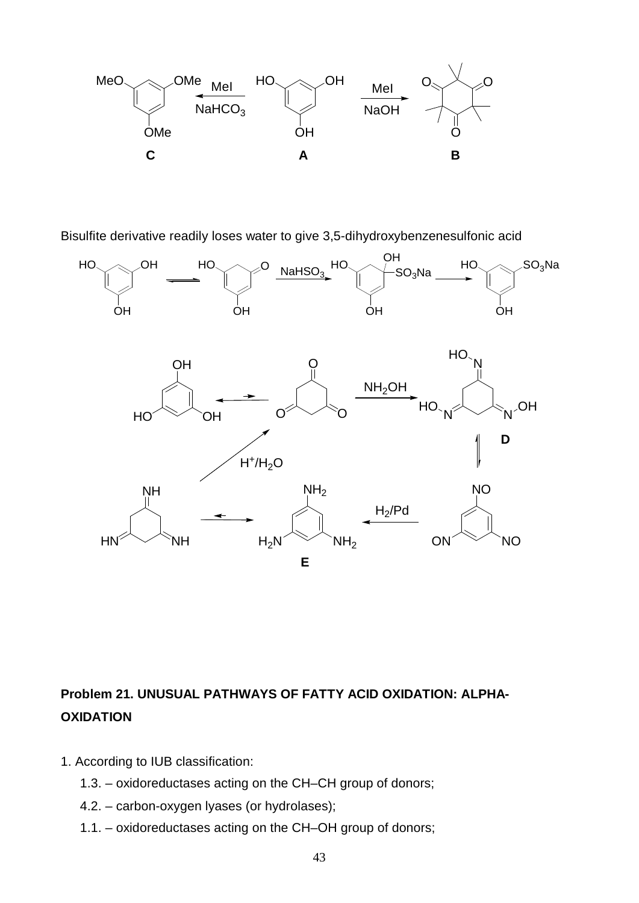

Bisulfite derivative readily loses water to give 3,5-dihydroxybenzenesulfonic acid



# **Problem 21. UNUSUAL PATHWAYS OF FATTY ACID OXIDATION: ALPHA-OXIDATION**

- 1. According to IUB classification:
	- 1.3. oxidoreductases acting on the CH–CH group of donors;
	- 4.2. carbon-oxygen lyases (or hydrolases);
	- 1.1. oxidoreductases acting on the CH–OH group of donors;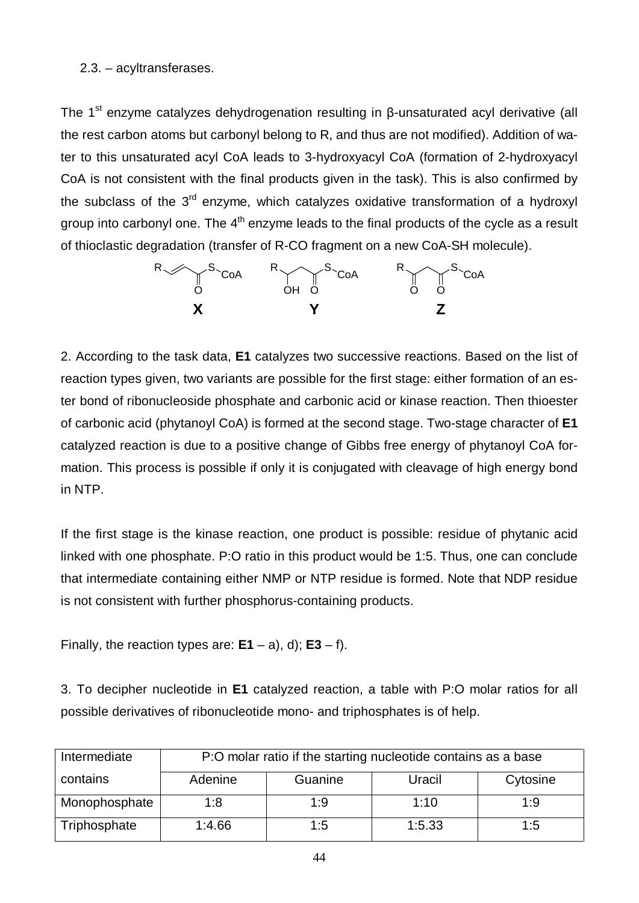### 2.3. – acyltransferases.

The 1<sup>st</sup> enzyme catalyzes dehydrogenation resulting in β-unsaturated acyl derivative (all the rest carbon atoms but carbonyl belong to R, and thus are not modified). Addition of water to this unsaturated acyl CoA leads to 3-hydroxyacyl CoA (formation of 2-hydroxyacyl CoA is not consistent with the final products given in the task). This is also confirmed by the subclass of the  $3<sup>rd</sup>$  enzyme, which catalyzes oxidative transformation of a hydroxyl group into carbonyl one. The  $4<sup>th</sup>$  enzyme leads to the final products of the cycle as a result of thioclastic degradation (transfer of R-CO fragment on a new CoA-SH molecule).



2. According to the task data, **E1** catalyzes two successive reactions. Based on the list of reaction types given, two variants are possible for the first stage: either formation of an ester bond of ribonucleoside phosphate and carbonic acid or kinase reaction. Then thioester of carbonic acid (phytanoyl CoA) is formed at the second stage. Two-stage character of **E1** catalyzed reaction is due to a positive change of Gibbs free energy of phytanoyl CoA formation. This process is possible if only it is conjugated with cleavage of high energy bond in NTP.

If the first stage is the kinase reaction, one product is possible: residue of phytanic acid linked with one phosphate. P:O ratio in this product would be 1:5. Thus, one can conclude that intermediate containing either NMP or NTP residue is formed. Note that NDP residue is not consistent with further phosphorus-containing products.

Finally, the reaction types are:  $E1 - a$ , d);  $E3 - f$ .

3. To decipher nucleotide in **E1** catalyzed reaction, a table with P:O molar ratios for all possible derivatives of ribonucleotide mono- and triphosphates is of help.

| Intermediate  | P:O molar ratio if the starting nucleotide contains as a base |         |        |          |  |
|---------------|---------------------------------------------------------------|---------|--------|----------|--|
| contains      | Adenine                                                       | Guanine | Uracil | Cytosine |  |
| Monophosphate | 1:8                                                           | 1:9     | 1:10   | 1:9      |  |
| Triphosphate  | 1:4.66                                                        | 1:5     | 1:5.33 | 1:5      |  |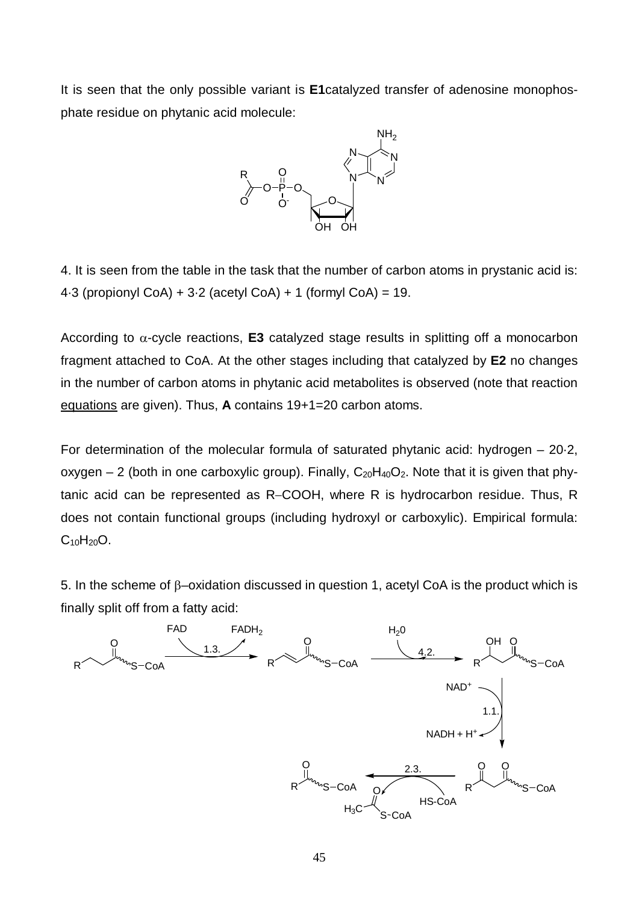It is seen that the only possible variant is **E1**catalyzed transfer of adenosine monophosphate residue on phytanic acid molecule:



4. It is seen from the table in the task that the number of carbon atoms in prystanic acid is: 4.3 (propionyl CoA) + 3.2 (acetyl CoA) + 1 (formyl CoA) = 19.

According to  $\alpha$ -cycle reactions, **E3** catalyzed stage results in splitting off a monocarbon fragment attached to CoA. At the other stages including that catalyzed by **E2** no changes in the number of carbon atoms in phytanic acid metabolites is observed (note that reaction equations are given). Thus, **A** contains 19+1=20 carbon atoms.

For determination of the molecular formula of saturated phytanic acid: hydrogen – 20·2, oxygen  $-2$  (both in one carboxylic group). Finally,  $C_{20}H_{40}O_2$ . Note that it is given that phytanic acid can be represented as R-COOH, where R is hydrocarbon residue. Thus, R does not contain functional groups (including hydroxyl or carboxylic). Empirical formula:  $C_{10}H_{20}O$ .

5. In the scheme of  $\beta$ –oxidation discussed in question 1, acetyl CoA is the product which is finally split off from a fatty acid:

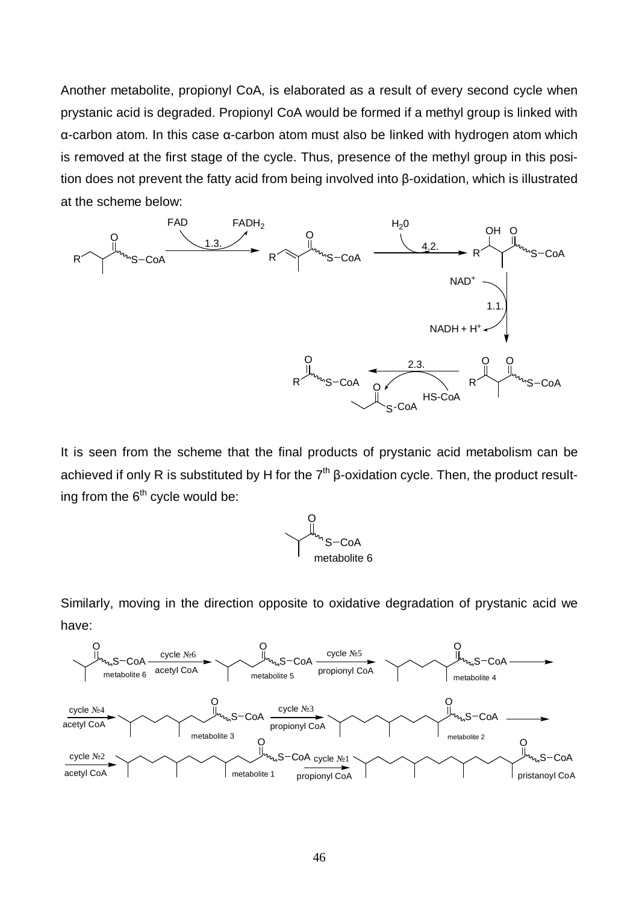Another metabolite, propionyl CoA, is elaborated as a result of every second cycle when prystanic acid is degraded. Propionyl CoA would be formed if a methyl group is linked with α-carbon atom. In this case α-carbon atom must also be linked with hydrogen atom which is removed at the first stage of the cycle. Thus, presence of the methyl group in this position does not prevent the fatty acid from being involved into β-oxidation, which is illustrated at the scheme below:



It is seen from the scheme that the final products of prystanic acid metabolism can be achieved if only R is substituted by H for the  $7<sup>th</sup>$  β-oxidation cycle. Then, the product resulting from the  $6<sup>th</sup>$  cycle would be:



Similarly, moving in the direction opposite to oxidative degradation of prystanic acid we have:

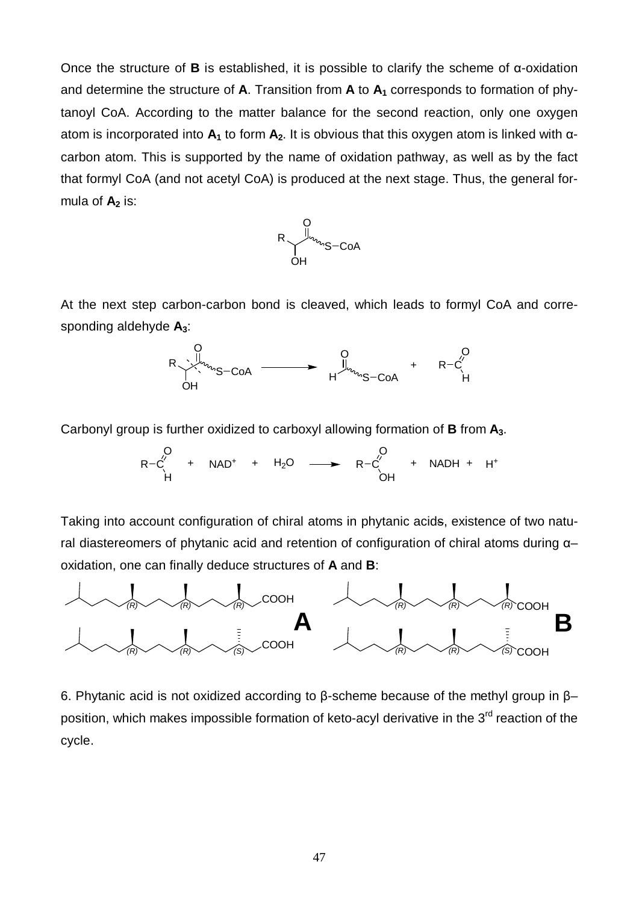Once the structure of **B** is established, it is possible to clarify the scheme of α-oxidation and determine the structure of **A**. Transition from **A** to **A1** corresponds to formation of phytanoyl CoA. According to the matter balance for the second reaction, only one oxygen atom is incorporated into **A1** to form **A2**. It is obvious that this oxygen atom is linked with αcarbon atom. This is supported by the name of oxidation pathway, as well as by the fact that formyl CoA (and not acetyl CoA) is produced at the next stage. Thus, the general formula of  $A_2$  is:



At the next step carbon-carbon bond is cleaved, which leads to formyl CoA and corresponding aldehyde **A3**:



Carbonyl group is further oxidized to carboxyl allowing formation of **B** from **A3**.

$$
\begin{array}{ccccccc}\nO & & & O & \\
R-C' & + & NAD^{+} & + & H_{2}O & \longrightarrow & R-C' & + & NADH + H^{+} \\
H & & & OH & & & \n\end{array}
$$

Taking into account configuration of chiral atoms in phytanic acids, existence of two natural diastereomers of phytanic acid and retention of configuration of chiral atoms during α– oxidation, one can finally deduce structures of **A** and **B**:



6. Phytanic acid is not oxidized according to β-scheme because of the methyl group in β– position, which makes impossible formation of keto-acyl derivative in the  $3<sup>rd</sup>$  reaction of the cycle.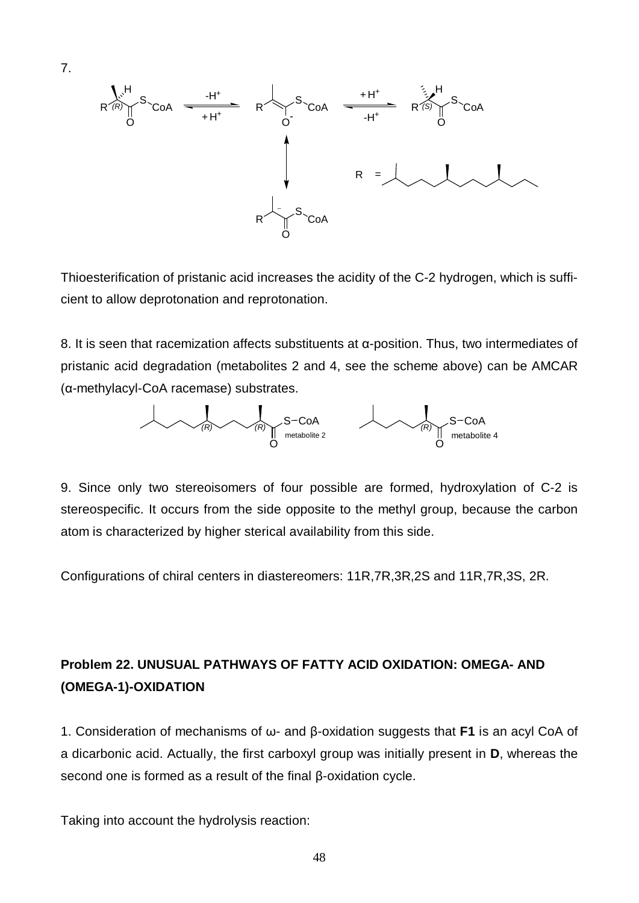

Thioesterification of pristanic acid increases the acidity of the C-2 hydrogen, which is sufficient to allow deprotonation and reprotonation.

8. It is seen that racemization affects substituents at α-position. Thus, two intermediates of pristanic acid degradation (metabolites 2 and 4, see the scheme above) can be AMCAR (α-methylacyl-CoA racemase) substrates.



9. Since only two stereoisomers of four possible are formed, hydroxylation of C-2 is stereospecific. It occurs from the side opposite to the methyl group, because the carbon atom is characterized by higher sterical availability from this side.

Configurations of chiral centers in diastereomers: 11R,7R,3R,2S and 11R,7R,3S, 2R.

# **Problem 22. UNUSUAL PATHWAYS OF FATTY ACID OXIDATION: OMEGA- AND (OMEGA-1)-OXIDATION**

1. Consideration of mechanisms of ω- and β-oxidation suggests that **F1** is an acyl CoA of a dicarbonic acid. Actually, the first carboxyl group was initially present in **D**, whereas the second one is formed as a result of the final β-oxidation cycle.

Taking into account the hydrolysis reaction: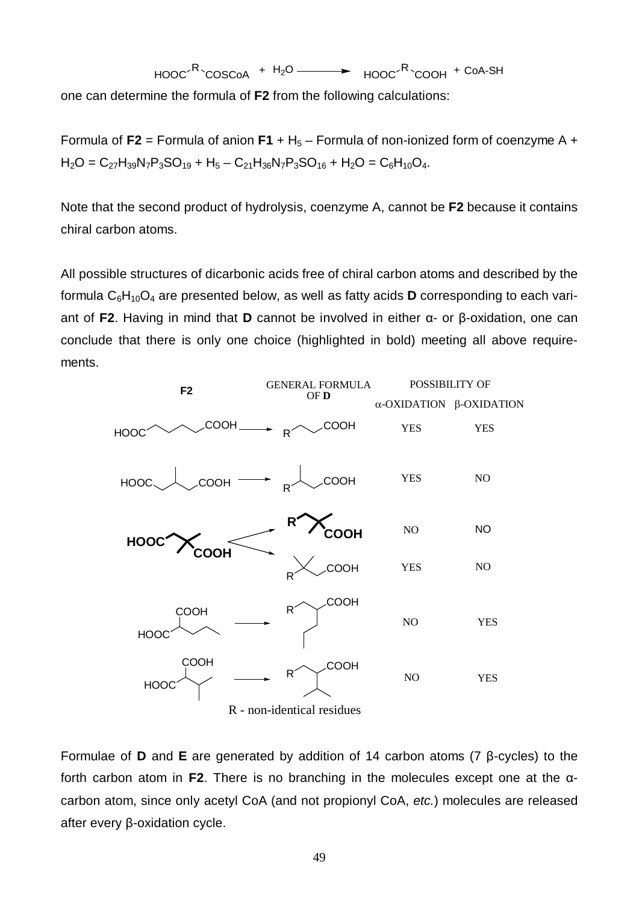$$
HOOC^R \text{COSCoA} + H_2O \longrightarrow HOOC^R \text{COOH} + COA-SH
$$

one can determine the formula of **F2** from the following calculations:

Formula of  $F2$  = Formula of anion  $F1 + H_5$  – Formula of non-ionized form of coenzyme A +  $H_2O = C_{27}H_{39}N_7P_3SO_{19} + H_5 - C_{21}H_{36}N_7P_3SO_{16} + H_2O = C_6H_{10}O_4.$ 

Note that the second product of hydrolysis, coenzyme A, cannot be **F2** because it contains chiral carbon atoms.

All possible structures of dicarbonic acids free of chiral carbon atoms and described by the formula  $C_6H_{10}O_4$  are presented below, as well as fatty acids **D** corresponding to each variant of **F2**. Having in mind that **D** cannot be involved in either α- or β-oxidation, one can conclude that there is only one choice (highlighted in bold) meeting all above requirements.



Formulae of **D** and **E** are generated by addition of 14 carbon atoms (7 β-cycles) to the forth carbon atom in **F2**. There is no branching in the molecules except one at the αcarbon atom, since only acetyl CoA (and not propionyl CoA, *etc.*) molecules are released after every β-oxidation cycle.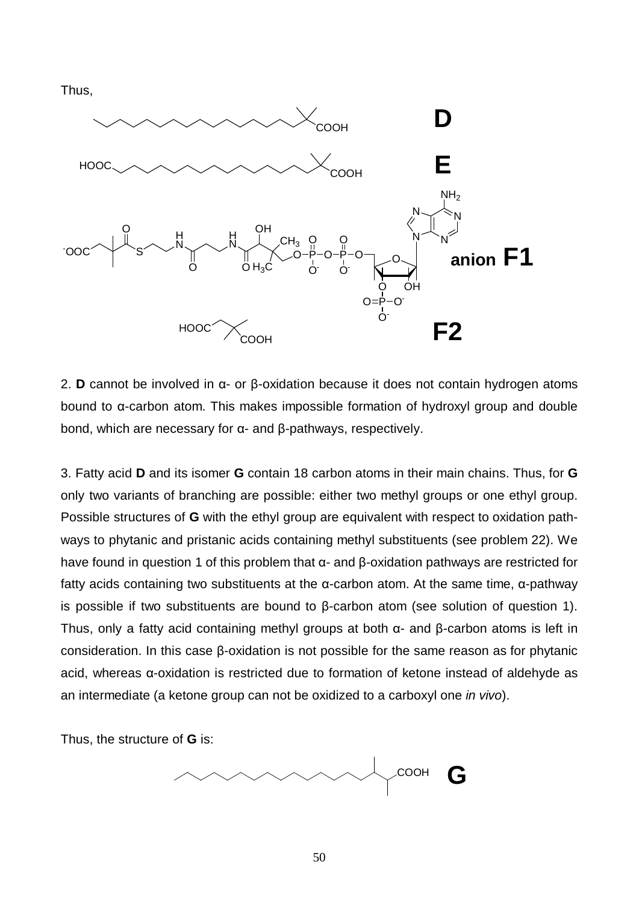Thus,



2. **D** cannot be involved in α- or β-oxidation because it does not contain hydrogen atoms bound to α-carbon atom. This makes impossible formation of hydroxyl group and double bond, which are necessary for α- and β-pathways, respectively.

3. Fatty acid **D** and its isomer **G** contain 18 carbon atoms in their main chains. Thus, for **G** only two variants of branching are possible: either two methyl groups or one ethyl group. Possible structures of **G** with the ethyl group are equivalent with respect to oxidation pathways to phytanic and pristanic acids containing methyl substituents (see problem 22). We have found in question 1 of this problem that α- and β-oxidation pathways are restricted for fatty acids containing two substituents at the α-carbon atom. At the same time, α-pathway is possible if two substituents are bound to β-carbon atom (see solution of question 1). Thus, only a fatty acid containing methyl groups at both α- and β-carbon atoms is left in consideration. In this case β-oxidation is not possible for the same reason as for phytanic acid, whereas α-oxidation is restricted due to formation of ketone instead of aldehyde as an intermediate (a ketone group can not be oxidized to a carboxyl one *in vivo*).

Thus, the structure of **G** is:

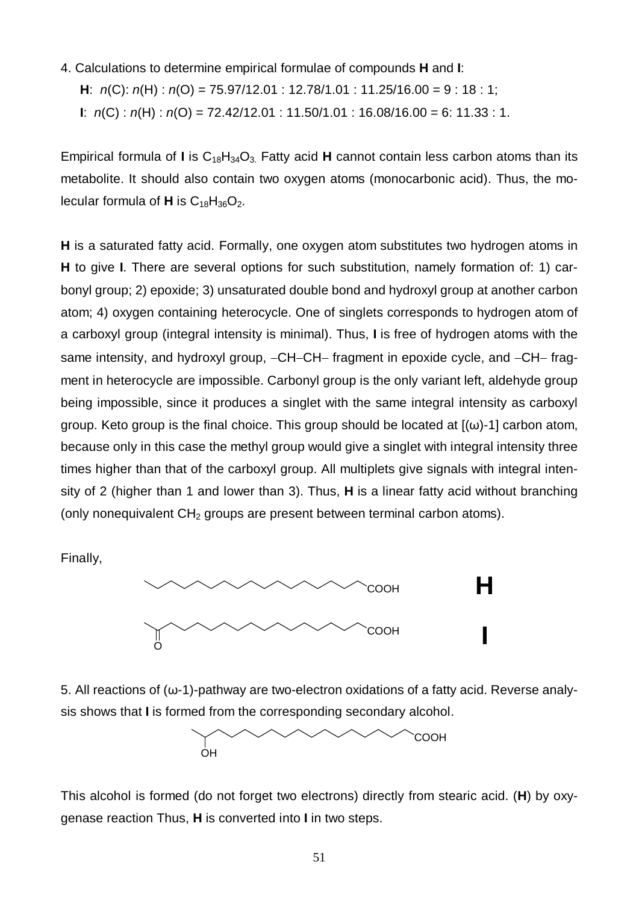- 4. Calculations to determine empirical formulae of compounds **H** and **I**:
	- **H**: *n*(C): *n*(H) : *n*(O) = 75.97/12.01 : 12.78/1.01 : 11.25/16.00 = 9 : 18 : 1;
	- **I**: *n*(C) : *n*(H) : *n*(O) = 72.42/12.01 : 11.50/1.01 : 16.08/16.00 = 6: 11.33 : 1.

Empirical formula of **I** is  $C_{18}H_{34}O_3$ . Fatty acid **H** cannot contain less carbon atoms than its metabolite. It should also contain two oxygen atoms (monocarbonic acid). Thus, the molecular formula of  $H$  is  $C_{18}H_{36}O_2$ .

**H** is a saturated fatty acid. Formally, one oxygen atom substitutes two hydrogen atoms in **H** to give **I**. There are several options for such substitution, namely formation of: 1) carbonyl group; 2) epoxide; 3) unsaturated double bond and hydroxyl group at another carbon atom; 4) oxygen containing heterocycle. One of singlets corresponds to hydrogen atom of a carboxyl group (integral intensity is minimal). Thus, **I** is free of hydrogen atoms with the same intensity, and hydroxyl group,  $-CH-CH$ - fragment in epoxide cycle, and  $-CH-$  fragment in heterocycle are impossible. Carbonyl group is the only variant left, aldehyde group being impossible, since it produces a singlet with the same integral intensity as carboxyl group. Keto group is the final choice. This group should be located at  $[(\omega)$ -1] carbon atom, because only in this case the methyl group would give a singlet with integral intensity three times higher than that of the carboxyl group. All multiplets give signals with integral intensity of 2 (higher than 1 and lower than 3). Thus, **H** is a linear fatty acid without branching (only nonequivalent CH<sub>2</sub> groups are present between terminal carbon atoms).

Finally,



5. All reactions of  $(\omega$ -1)-pathway are two-electron oxidations of a fatty acid. Reverse analysis shows that **I** is formed from the corresponding secondary alcohol.



This alcohol is formed (do not forget two electrons) directly from stearic acid. (**H**) by oxygenase reaction Thus, **H** is converted into **I** in two steps.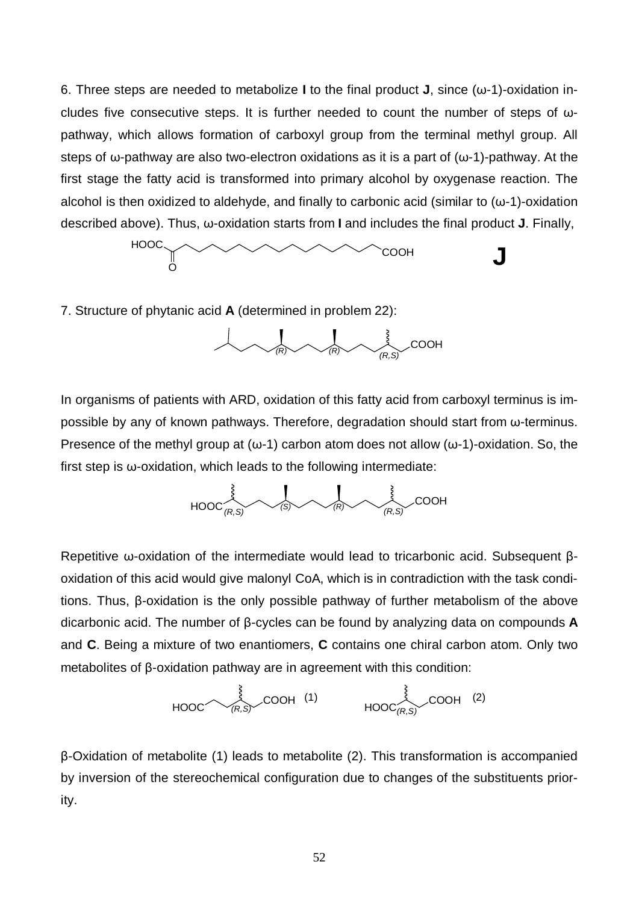6. Three steps are needed to metabolize **I** to the final product **J**, since (ω-1)-oxidation includes five consecutive steps. It is further needed to count the number of steps of ωpathway, which allows formation of carboxyl group from the terminal methyl group. All steps of  $\omega$ -pathway are also two-electron oxidations as it is a part of  $(\omega$ -1)-pathway. At the first stage the fatty acid is transformed into primary alcohol by oxygenase reaction. The alcohol is then oxidized to aldehyde, and finally to carbonic acid (similar to  $(\omega-1)$ -oxidation described above). Thus, ω-oxidation starts from **I** and includes the final product **J**. Finally,



7. Structure of phytanic acid **A** (determined in problem 22):



In organisms of patients with ARD, oxidation of this fatty acid from carboxyl terminus is impossible by any of known pathways. Therefore, degradation should start from ω-terminus. Presence of the methyl group at ( $\omega$ -1) carbon atom does not allow ( $\omega$ -1)-oxidation. So, the first step is ω-oxidation, which leads to the following intermediate:



Repetitive ω-oxidation of the intermediate would lead to tricarbonic acid. Subsequent βoxidation of this acid would give malonyl CoA, which is in contradiction with the task conditions. Thus, β-oxidation is the only possible pathway of further metabolism of the above dicarbonic acid. The number of β-cycles can be found by analyzing data on compounds **A** and **C**. Being a mixture of two enantiomers, **C** contains one chiral carbon atom. Only two metabolites of β-oxidation pathway are in agreement with this condition:

$$
\begin{array}{ccccc}\n & \stackrel{\text{3}}{2} & \text{COOH} & (1) & & \stackrel{\text{3}}{2} & \text{COOH} & (2) \\
\hline\n & \text{HOOC} & & \text{HOOC} & & \text{COOH} & (2)\n\end{array}
$$

β-Oxidation of metabolite (1) leads to metabolite (2). This transformation is accompanied by inversion of the stereochemical configuration due to changes of the substituents priority.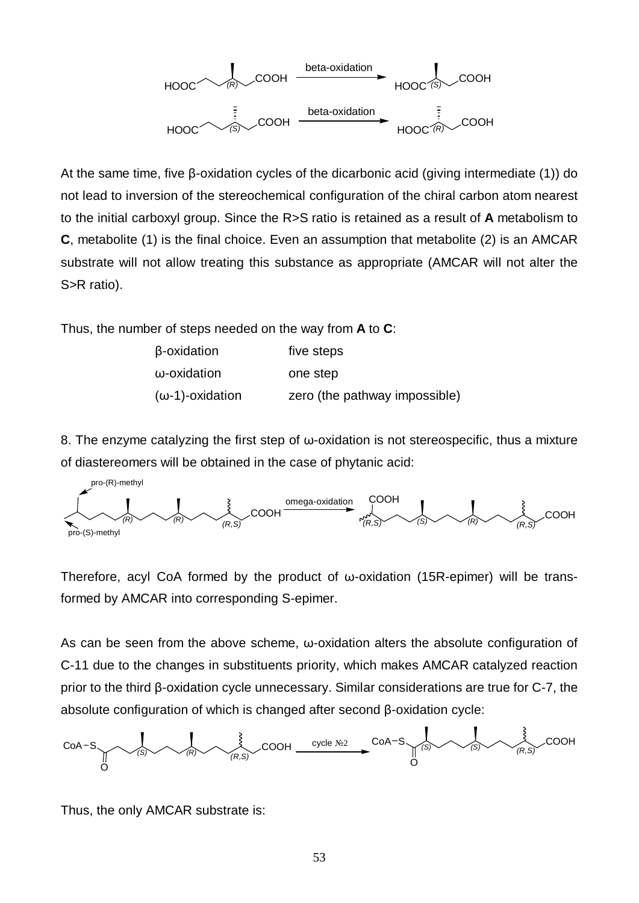

At the same time, five β-oxidation cycles of the dicarbonic acid (giving intermediate (1)) do not lead to inversion of the stereochemical configuration of the chiral carbon atom nearest to the initial carboxyl group. Since the R>S ratio is retained as a result of **A** metabolism to **C**, metabolite (1) is the final choice. Even an assumption that metabolite (2) is an AMCAR substrate will not allow treating this substance as appropriate (AMCAR will not alter the S>R ratio).

Thus, the number of steps needed on the way from **A** to **C**:

| β-oxidation             | five steps                    |
|-------------------------|-------------------------------|
| ω-oxidation             | one step                      |
| $(\omega$ -1)-oxidation | zero (the pathway impossible) |

8. The enzyme catalyzing the first step of ω-oxidation is not stereospecific, thus a mixture of diastereomers will be obtained in the case of phytanic acid:



Therefore, acyl CoA formed by the product of ω-oxidation (15R-epimer) will be transformed by AMCAR into corresponding S-epimer.

As can be seen from the above scheme, ω-oxidation alters the absolute configuration of C-11 due to the changes in substituents priority, which makes AMCAR catalyzed reaction prior to the third β-oxidation cycle unnecessary. Similar considerations are true for C-7, the absolute configuration of which is changed after second β-oxidation cycle:



Thus, the only AMCAR substrate is: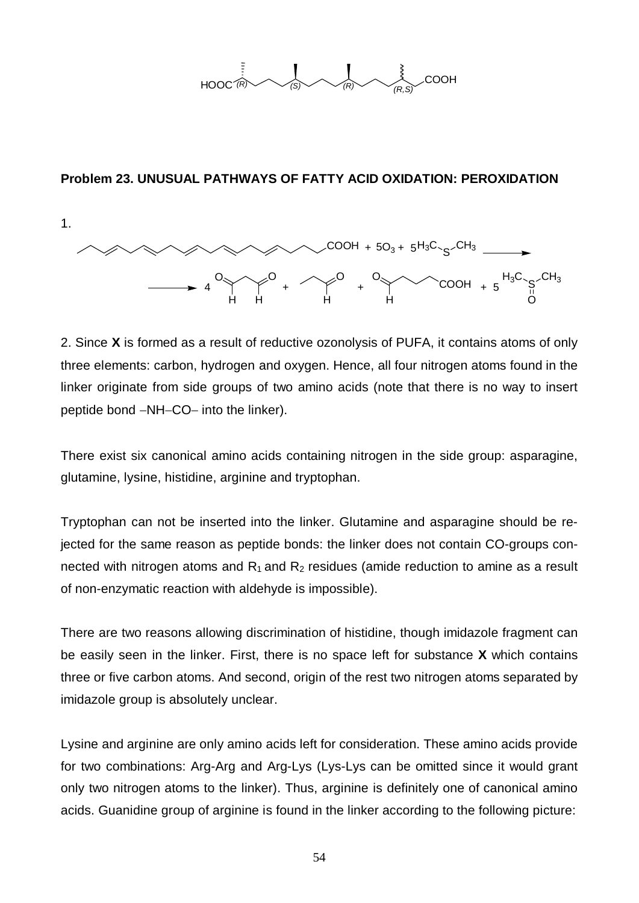

### **Problem 23. UNUSUAL PATHWAYS OF FATTY ACID OXIDATION: PEROXIDATION**



2. Since **X** is formed as a result of reductive ozonolysis of PUFA, it contains atoms of only three elements: carbon, hydrogen and oxygen. Hence, all four nitrogen atoms found in the linker originate from side groups of two amino acids (note that there is no way to insert peptide bond -NH-CO- into the linker).

There exist six canonical amino acids containing nitrogen in the side group: asparagine, glutamine, lysine, histidine, arginine and tryptophan.

Tryptophan can not be inserted into the linker. Glutamine and asparagine should be rejected for the same reason as peptide bonds: the linker does not contain CO-groups connected with nitrogen atoms and  $R_1$  and  $R_2$  residues (amide reduction to amine as a result of non-enzymatic reaction with aldehyde is impossible).

There are two reasons allowing discrimination of histidine, though imidazole fragment can be easily seen in the linker. First, there is no space left for substance **X** which contains three or five carbon atoms. And second, origin of the rest two nitrogen atoms separated by imidazole group is absolutely unclear.

Lysine and arginine are only amino acids left for consideration. These amino acids provide for two combinations: Arg-Arg and Arg-Lys (Lys-Lys can be omitted since it would grant only two nitrogen atoms to the linker). Thus, arginine is definitely one of canonical amino acids. Guanidine group of arginine is found in the linker according to the following picture: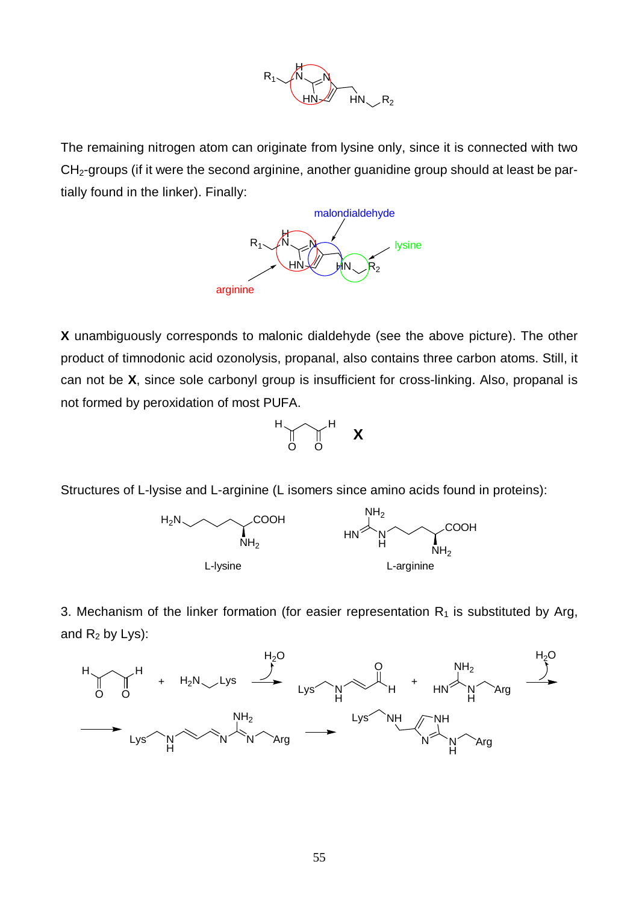

The remaining nitrogen atom can originate from lysine only, since it is connected with two  $CH<sub>2</sub>$ -groups (if it were the second arginine, another guanidine group should at least be partially found in the linker). Finally:



**X** unambiguously corresponds to malonic dialdehyde (see the above picture). The other product of timnodonic acid ozonolysis, propanal, also contains three carbon atoms. Still, it can not be **X**, since sole carbonyl group is insufficient for cross-linking. Also, propanal is not formed by peroxidation of most PUFA.



Structures of L-lysise and L-arginine (L isomers since amino acids found in proteins):



3. Mechanism of the linker formation (for easier representation  $R_1$  is substituted by Arg, and  $R_2$  by Lys):

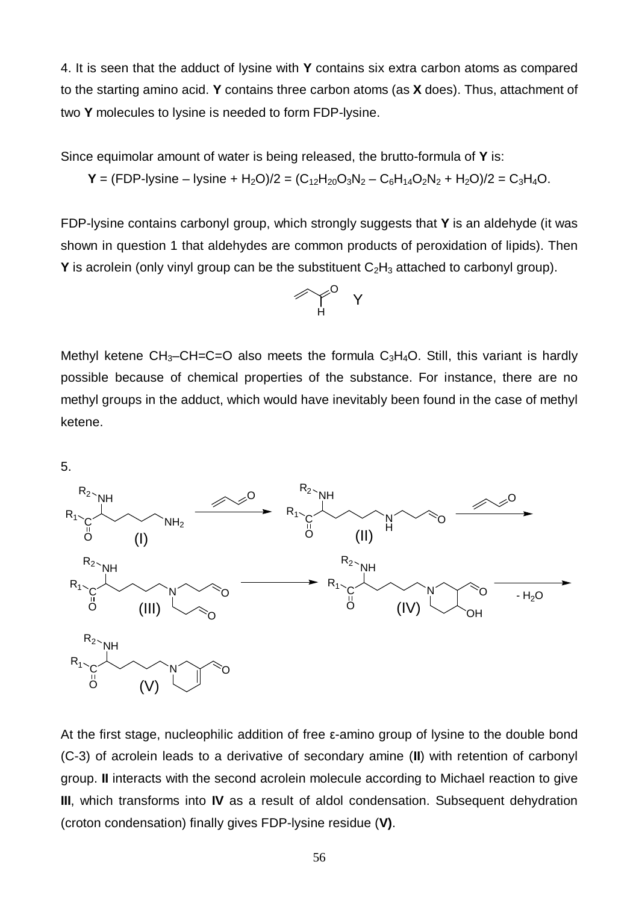4. It is seen that the adduct of lysine with **Y** contains six extra carbon atoms as compared to the starting amino acid. **Y** contains three carbon atoms (as **X** does). Thus, attachment of two **Y** molecules to lysine is needed to form FDP-lysine.

Since equimolar amount of water is being released, the brutto-formula of **Y** is:

$$
\mathbf{Y} = (FDP-lysine - lysine + H_2O)/2 = (C_{12}H_{20}O_3N_2 - C_6H_{14}O_2N_2 + H_2O)/2 = C_3H_4O.
$$

FDP-lysine contains carbonyl group, which strongly suggests that **Y** is an aldehyde (it was shown in question 1 that aldehydes are common products of peroxidation of lipids). Then **Y** is acrolein (only vinyl group can be the substituent  $C_2H_3$  attached to carbonyl group).



Methyl ketene  $CH_3-CH=C=O$  also meets the formula  $C_3H_4O$ . Still, this variant is hardly possible because of chemical properties of the substance. For instance, there are no methyl groups in the adduct, which would have inevitably been found in the case of methyl ketene.

5.



At the first stage, nucleophilic addition of free ε-amino group of lysine to the double bond (C-3) of acrolein leads to a derivative of secondary amine (**II**) with retention of carbonyl group. **II** interacts with the second acrolein molecule according to Michael reaction to give **III**, which transforms into **IV** as a result of aldol condensation. Subsequent dehydration (croton condensation) finally gives FDP-lysine residue (**V)**.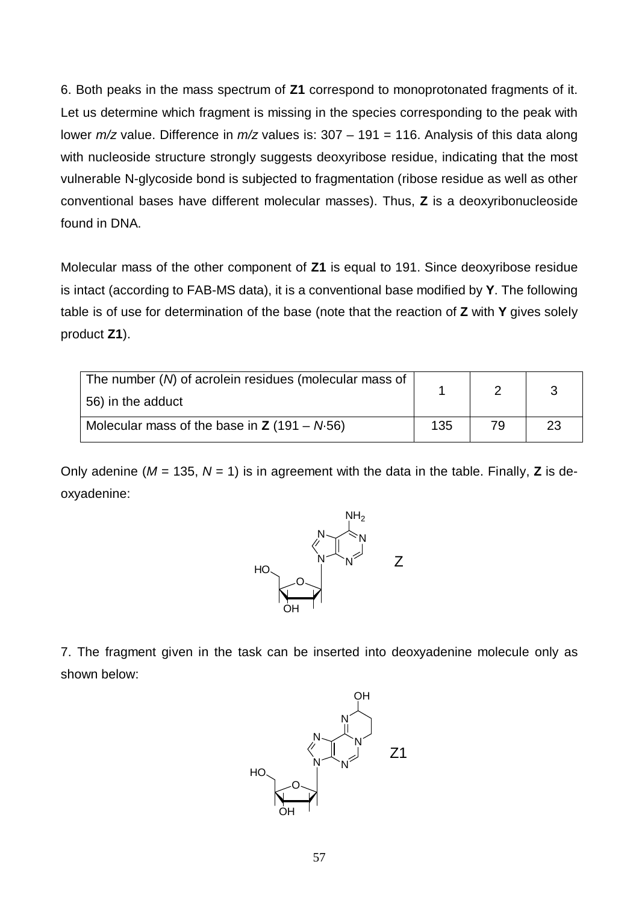6. Both peaks in the mass spectrum of **Z1** correspond to monoprotonated fragments of it. Let us determine which fragment is missing in the species corresponding to the peak with lower *m/z* value. Difference in *m/z* values is: 307 – 191 = 116. Analysis of this data along with nucleoside structure strongly suggests deoxyribose residue, indicating that the most vulnerable N-glycoside bond is subjected to fragmentation (ribose residue as well as other conventional bases have different molecular masses). Thus, **Z** is a deoxyribonucleoside found in DNA.

Molecular mass of the other component of **Z1** is equal to 191. Since deoxyribose residue is intact (according to FAB-MS data), it is a conventional base modified by **Y**. The following table is of use for determination of the base (note that the reaction of **Z** with **Y** gives solely product **Z1**).

| The number (N) of acrolein residues (molecular mass of<br>56) in the adduct |  |    |    |
|-----------------------------------------------------------------------------|--|----|----|
| Molecular mass of the base in $Z$ (191 – N.56)                              |  | 79 | 23 |

Only adenine ( $M = 135$ ,  $N = 1$ ) is in agreement with the data in the table. Finally, **Z** is deoxyadenine:



7. The fragment given in the task can be inserted into deoxyadenine molecule only as shown below:

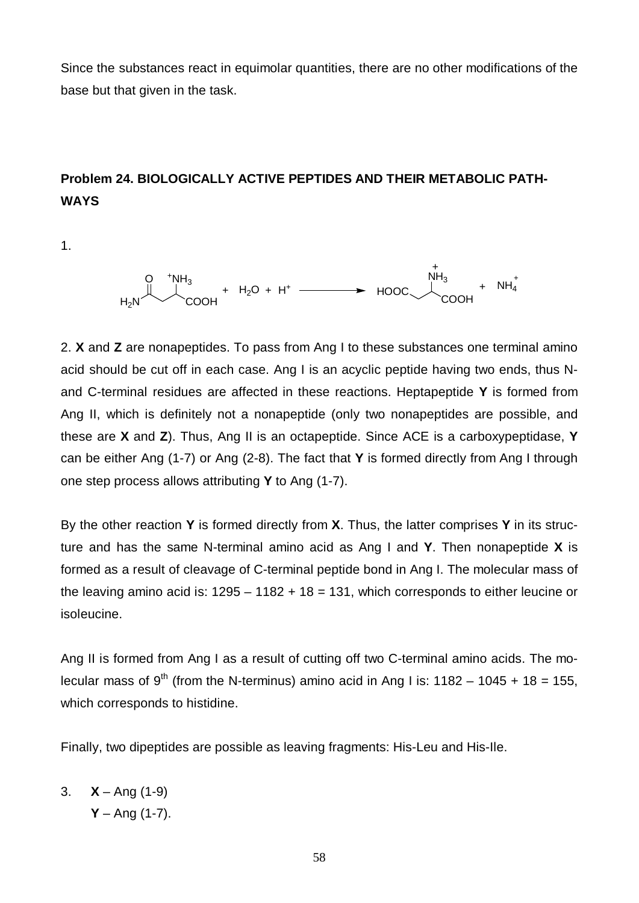Since the substances react in equimolar quantities, there are no other modifications of the base but that given in the task.

# **Problem 24. BIOLOGICALLY ACTIVE PEPTIDES AND THEIR METABOLIC PATH-WAYS**

1.

$$
H_2N \xrightarrow{\uparrow} \text{NH}_3 + H_2O + H^+ \xrightarrow{\uparrow} \text{HOOC} \xrightarrow{\uparrow} \text{NH}_3 + \text{NH}_4^+
$$

2. **X** and **Z** are nonapeptides. To pass from Ang I to these substances one terminal amino acid should be cut off in each case. Ang I is an acyclic peptide having two ends, thus Nand C-terminal residues are affected in these reactions. Heptapeptide **Y** is formed from Ang II, which is definitely not a nonapeptide (only two nonapeptides are possible, and these are **X** and **Z**). Thus, Ang II is an octapeptide. Since ACE is a carboxypeptidase, **Y** can be either Ang (1-7) or Ang (2-8). The fact that **Y** is formed directly from Ang I through one step process allows attributing **Y** to Ang (1-7).

By the other reaction **Y** is formed directly from **X**. Thus, the latter comprises **Y** in its structure and has the same N-terminal amino acid as Ang I and **Y**. Then nonapeptide **X** is formed as a result of cleavage of C-terminal peptide bond in Ang I. The molecular mass of the leaving amino acid is:  $1295 - 1182 + 18 = 131$ , which corresponds to either leucine or isoleucine.

Ang II is formed from Ang I as a result of cutting off two C-terminal amino acids. The molecular mass of 9<sup>th</sup> (from the N-terminus) amino acid in Ang I is:  $1182 - 1045 + 18 = 155$ , which corresponds to histidine.

Finally, two dipeptides are possible as leaving fragments: His-Leu and His-Ile.

3.  $X -$ Ang (1-9)  $Y - Ang (1-7)$ .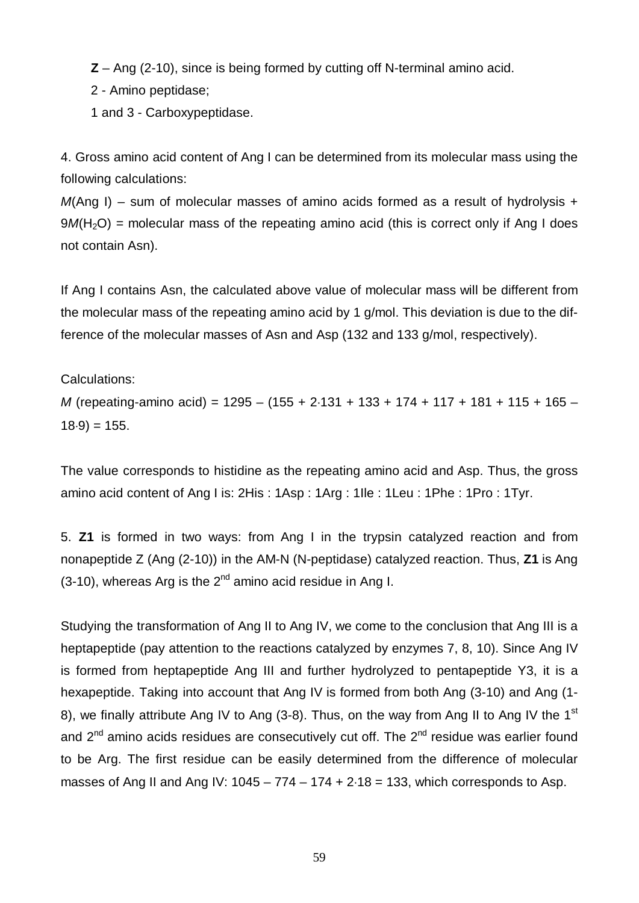**Z** – Ang (2-10), since is being formed by cutting off N-terminal amino acid.

2 - Amino peptidase;

1 and 3 - Carboxypeptidase.

4. Gross amino acid content of Ang I can be determined from its molecular mass using the following calculations:

*M*(Ang I) – sum of molecular masses of amino acids formed as a result of hydrolysis +  $9M(H<sub>2</sub>O)$  = molecular mass of the repeating amino acid (this is correct only if Ang I does not contain Asn).

If Ang I contains Asn, the calculated above value of molecular mass will be different from the molecular mass of the repeating amino acid by 1 g/mol. This deviation is due to the difference of the molecular masses of Asn and Asp (132 and 133 g/mol, respectively).

Calculations:

*M* (repeating-amino acid) = 1295 – (155 + 2×131 + 133 + 174 + 117 + 181 + 115 + 165 –  $18·9$  = 155.

The value corresponds to histidine as the repeating amino acid and Asp. Thus, the gross amino acid content of Ang I is: 2His : 1Asp : 1Arg : 1Ile : 1Leu : 1Phe : 1Pro : 1Tyr.

5. **Z1** is formed in two ways: from Ang I in the trypsin catalyzed reaction and from nonapeptide Z (Ang (2-10)) in the AM-N (N-peptidase) catalyzed reaction. Thus, **Z1** is Ang (3-10), whereas Arg is the  $2^{nd}$  amino acid residue in Ang I.

Studying the transformation of Ang II to Ang IV, we come to the conclusion that Ang III is a heptapeptide (pay attention to the reactions catalyzed by enzymes 7, 8, 10). Since Ang IV is formed from heptapeptide Ang III and further hydrolyzed to pentapeptide Y3, it is a hexapeptide. Taking into account that Ang IV is formed from both Ang (3-10) and Ang (1- 8), we finally attribute Ang IV to Ang (3-8). Thus, on the way from Ang II to Ang IV the 1<sup>st</sup> and  $2<sup>nd</sup>$  amino acids residues are consecutively cut off. The  $2<sup>nd</sup>$  residue was earlier found to be Arg. The first residue can be easily determined from the difference of molecular masses of Ang II and Ang IV:  $1045 - 774 - 174 + 2.18 = 133$ , which corresponds to Asp.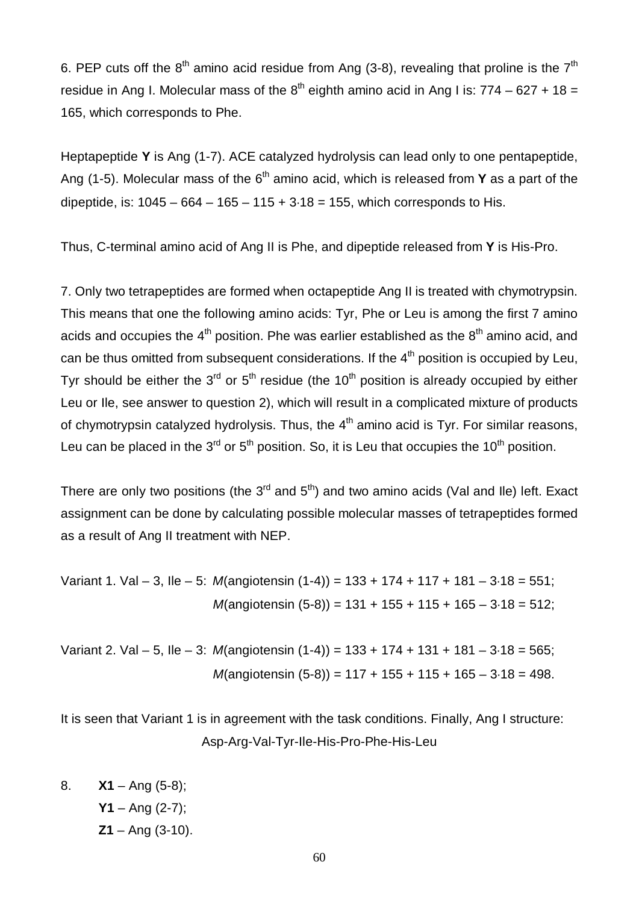6. PEP cuts off the  $8<sup>th</sup>$  amino acid residue from Ang (3-8), revealing that proline is the  $7<sup>th</sup>$ residue in Ang I. Molecular mass of the  $8^{th}$  eighth amino acid in Ang I is: 774 – 627 + 18 = 165, which corresponds to Phe.

Heptapeptide **Y** is Ang (1-7). ACE catalyzed hydrolysis can lead only to one pentapeptide, Ang (1-5). Molecular mass of the  $6<sup>th</sup>$  amino acid, which is released from **Y** as a part of the dipeptide, is:  $1045 - 664 - 165 - 115 + 3.18 = 155$ , which corresponds to His.

Thus, C-terminal amino acid of Ang II is Phe, and dipeptide released from **Y** is His-Pro.

7. Only two tetrapeptides are formed when octapeptide Ang II is treated with chymotrypsin. This means that one the following amino acids: Tyr, Phe or Leu is among the first 7 amino acids and occupies the  $4<sup>th</sup>$  position. Phe was earlier established as the  $8<sup>th</sup>$  amino acid, and can be thus omitted from subsequent considerations. If the  $4<sup>th</sup>$  position is occupied by Leu. Tyr should be either the  $3<sup>rd</sup>$  or  $5<sup>th</sup>$  residue (the 10<sup>th</sup> position is already occupied by either Leu or Ile, see answer to question 2), which will result in a complicated mixture of products of chymotrypsin catalyzed hydrolysis. Thus, the  $4<sup>th</sup>$  amino acid is Tyr. For similar reasons, Leu can be placed in the  $3<sup>rd</sup>$  or  $5<sup>th</sup>$  position. So, it is Leu that occupies the 10<sup>th</sup> position.

There are only two positions (the  $3^{rd}$  and  $5^{th}$ ) and two amino acids (Val and IIe) left. Exact assignment can be done by calculating possible molecular masses of tetrapeptides formed as a result of Ang II treatment with NEP.

Variant 1. Val – 3, Ile – 5: *M*(angiotensin (1-4)) = 133 + 174 + 117 + 181 – 3×18 = 551; *M*(angiotensin (5-8)) = 131 + 155 + 115 + 165 – 3×18 = 512;

Variant 2. Val – 5, Ile – 3: *M*(angiotensin (1-4)) = 133 + 174 + 131 + 181 – 3×18 = 565; *M*(angiotensin (5-8)) = 117 + 155 + 115 + 165 – 3×18 = 498.

It is seen that Variant 1 is in agreement with the task conditions. Finally, Ang I structure: Asp-Arg-Val-Tyr-Ile-His-Pro-Phe-His-Leu

8. **X1** – Ang (5-8); **Y1** – Ang (2-7); **Z1** – Ang (3-10).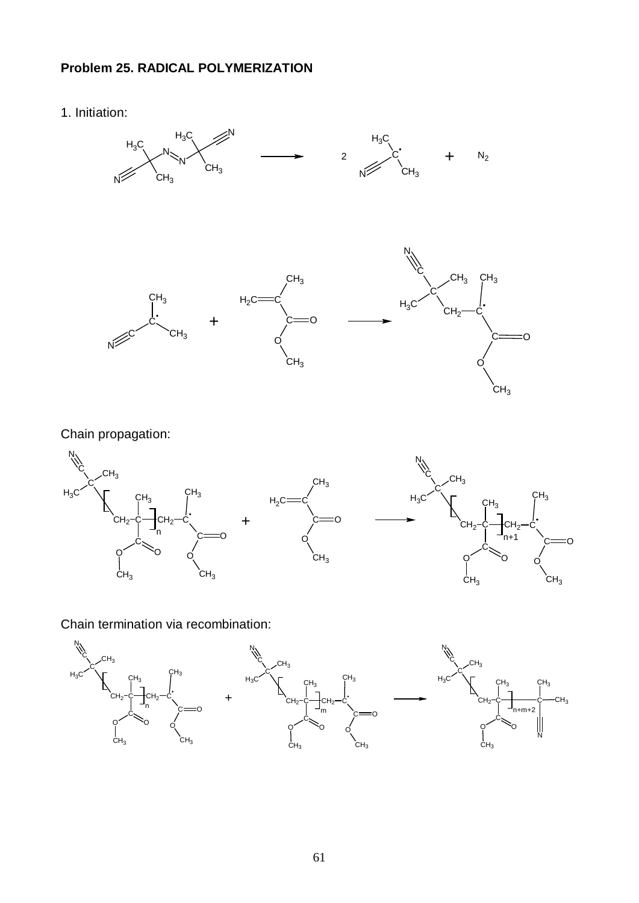### **Problem 25. RADICAL POLYMERIZATION**

1. Initiation:



Chain propagation:



Chain termination via recombination:

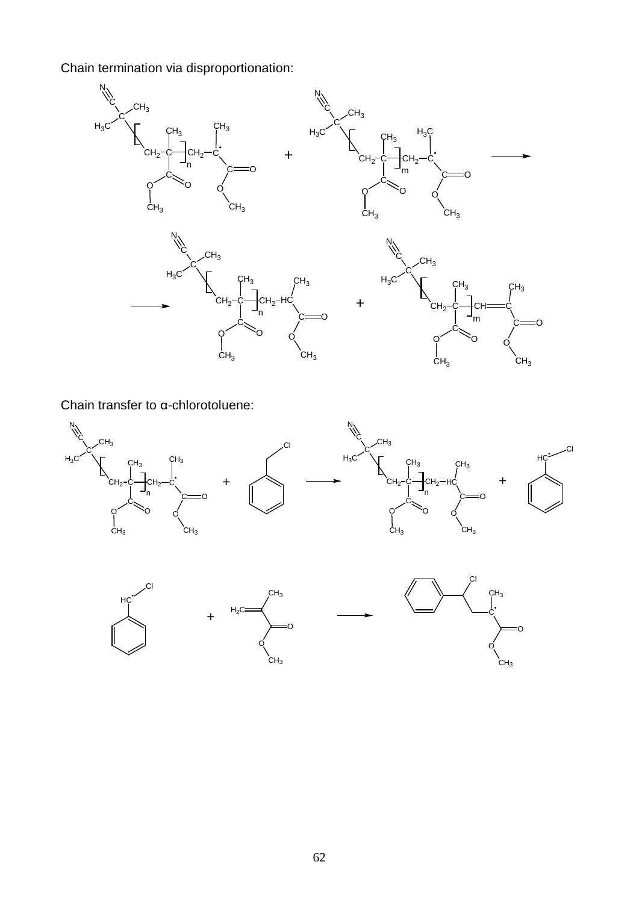Chain termination via disproportionation:



Chain transfer to α-chlorotoluene:



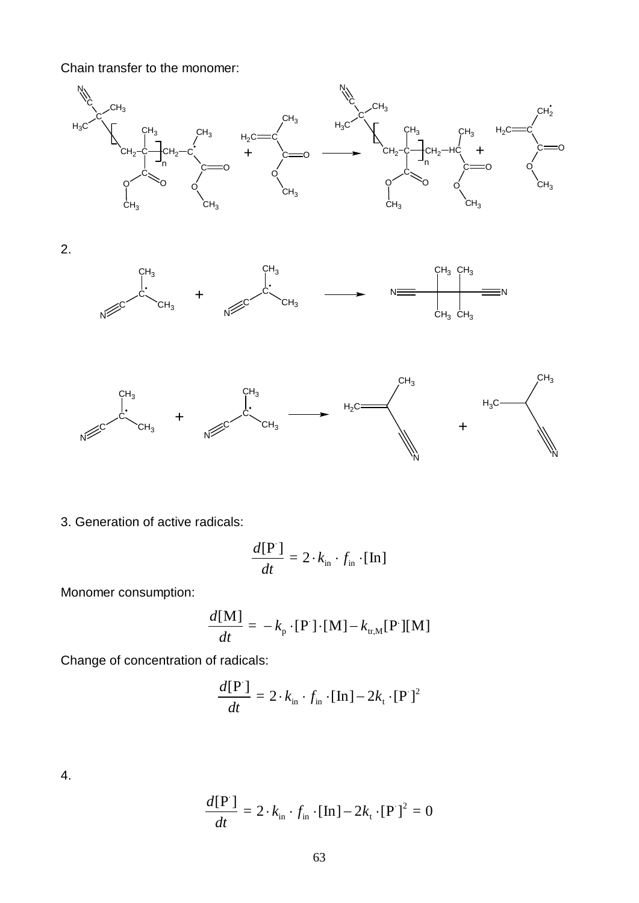Chain transfer to the monomer:



3. Generation of active radicals:

$$
\frac{d[\mathbf{P}]}{dt} = 2 \cdot k_{\text{in}} \cdot f_{\text{in}} \cdot [\text{In}]
$$

Monomer consumption:

$$
\frac{d[\mathbf{M}]}{dt} = -k_{\mathrm{p}} \cdot [\mathbf{P}] \cdot [\mathbf{M}] - k_{\mathrm{tr,M}} [\mathbf{P}][\mathbf{M}]
$$

Change of concentration of radicals:

$$
\frac{d[\mathbf{P}]}{dt} = 2 \cdot k_{\text{in}} \cdot f_{\text{in}} \cdot [\mathbf{In}] - 2k_{\text{t}} \cdot [\mathbf{P}]^2
$$

4.

$$
\frac{d[\mathbf{P}]}{dt} = 2 \cdot k_{\text{in}} \cdot f_{\text{in}} \cdot [\mathbf{In}] - 2k_{\text{t}} \cdot [\mathbf{P}]^2 = 0
$$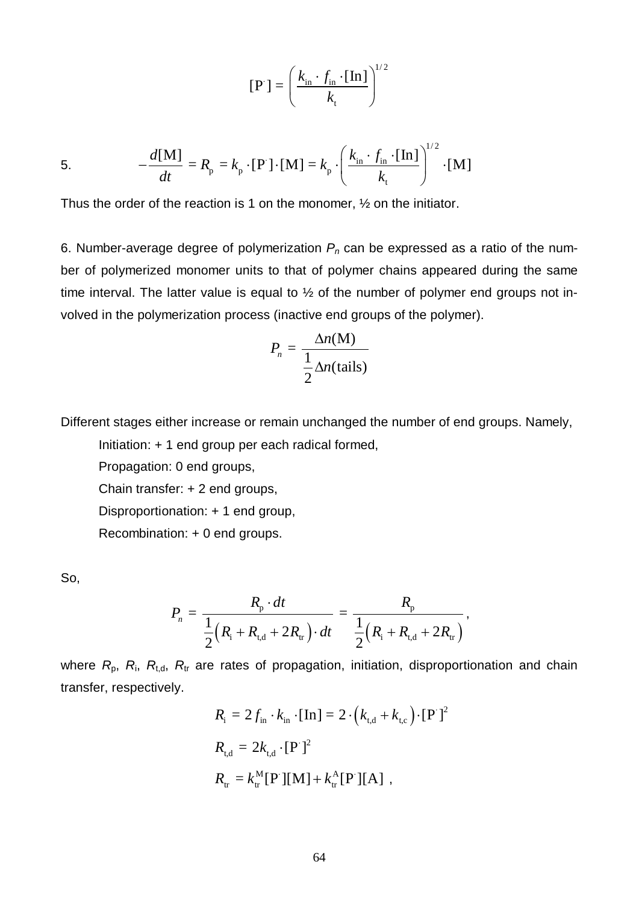$$
\begin{bmatrix} \mathbf{P} \end{bmatrix} = \left( \frac{k_{\text{in}} \cdot f_{\text{in}} \cdot \begin{bmatrix} \mathbf{In} \end{bmatrix}}{k_{\text{t}}} \right)^{1/2}
$$

5. 
$$
-\frac{d[\mathbf{M}]}{dt} = R_{p} = k_{p} \cdot [\mathbf{P}] \cdot [\mathbf{M}] = k_{p} \cdot \left(\frac{k_{in} \cdot f_{in} \cdot [\mathbf{I} \mathbf{n}]}{k_{t}}\right)^{1/2} \cdot [\mathbf{M}]
$$

Thus the order of the reaction is 1 on the monomer, ½ on the initiator.

6. Number-average degree of polymerization *Pn* can be expressed as a ratio of the number of polymerized monomer units to that of polymer chains appeared during the same time interval. The latter value is equal to ½ of the number of polymer end groups not involved in the polymerization process (inactive end groups of the polymer).

$$
P_n = \frac{\Delta n(M)}{\frac{1}{2}\Delta n(\text{tails})}
$$

Different stages either increase or remain unchanged the number of end groups. Namely,

Initiation: + 1 end group per each radical formed,

Propagation: 0 end groups,

Chain transfer: + 2 end groups,

Disproportionation: + 1 end group,

Recombination: + 0 end groups.

So,

$$
P_n = \frac{R_{\rm p} \cdot dt}{\frac{1}{2}(R_{\rm i} + R_{\rm t,d} + 2R_{\rm tr}) \cdot dt} = \frac{R_{\rm p}}{\frac{1}{2}(R_{\rm i} + R_{\rm t,d} + 2R_{\rm tr})},
$$

where  $R_{p}$ ,  $R_{i}$ ,  $R_{t,d}$ ,  $R_{tr}$  are rates of propagation, initiation, disproportionation and chain transfer, respectively.

$$
R_{i} = 2f_{in} \cdot k_{in} \cdot [\text{In}] = 2 \cdot (k_{t,d} + k_{t,c}) \cdot [\text{P}']^{2}
$$
  
\n
$$
R_{t,d} = 2k_{t,d} \cdot [\text{P}']^{2}
$$
  
\n
$$
R_{tr} = k_{tr}^{M} [\text{P}][M] + k_{tr}^{A} [\text{P}][A],
$$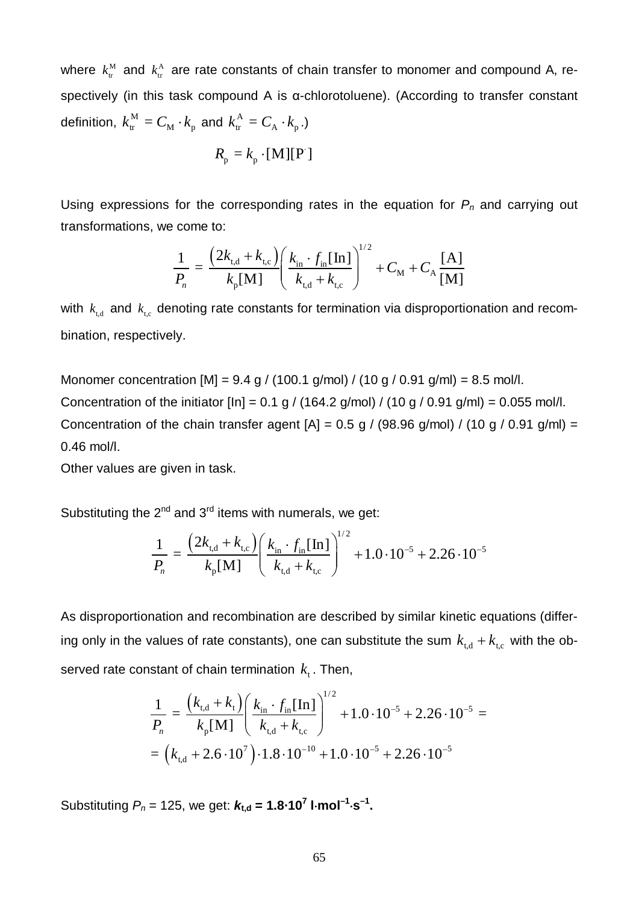where  $k_{\text{tr}}^{\text{M}}$  and  $k_{\text{tr}}^{\text{A}}$  are rate constants of chain transfer to monomer and compound A, respectively (in this task compound A is α-chlorotoluene). (According to transfer constant definition,  $k_{\textrm{\tiny tr}}^{\textrm{M}}=C_{\textrm{M}}\cdot k_{\textrm{p}}^{\textrm{}}$  and  $k_{\textrm{\tiny tr}}^{\textrm{A}}=C_{\textrm{A}}\cdot k_{\textrm{p}}^{\textrm{}}$ .)

$$
R_{p} = k_{p} \cdot [M][P]
$$

Using expressions for the corresponding rates in the equation for *Pn* and carrying out transformations, we come to:

$$
\frac{1}{P_n} = \frac{\left(2k_{\text{t,d}} + k_{\text{t,c}}\right)}{k_{\text{p}}[\text{M}]} \left(\frac{k_{\text{in}} \cdot f_{\text{in}}[\text{In}]}{k_{\text{t,d}} + k_{\text{t,c}}}\right)^{1/2} + C_{\text{M}} + C_{\text{A}} \frac{[\text{A}]}{[\text{M}]}
$$

with  $k_{t,d}$  and  $k_{t,c}$  denoting rate constants for termination via disproportionation and recombination, respectively.

Monomer concentration  $[M] = 9.4$  g / (100.1 g/mol) / (10 g / 0.91 g/ml) = 8.5 mol/l. Concentration of the initiator  $[\ln] = 0.1$  g / (164.2 g/mol) / (10 g / 0.91 g/ml) = 0.055 mol/l. Concentration of the chain transfer agent  $[A] = 0.5$  g / (98.96 g/mol) / (10 g / 0.91 g/ml) = 0.46 mol/l.

Other values are given in task.

Substituting the  $2^{nd}$  and  $3^{rd}$  items with numerals, we get:

$$
\frac{1}{P_n} = \frac{(2k_{\text{t,d}} + k_{\text{t,c}})}{k_{\text{p}}[\text{M}]} \left(\frac{k_{\text{in}} \cdot f_{\text{in}}[\text{In}]}{k_{\text{t,d}} + k_{\text{t,c}}}\right)^{1/2} + 1.0 \cdot 10^{-5} + 2.26 \cdot 10^{-5}
$$

As disproportionation and recombination are described by similar kinetic equations (differing only in the values of rate constants), one can substitute the sum  $k_{t,d} + k_{t,c}$  with the observed rate constant of chain termination  $k_{i}$ . Then,

$$
\frac{1}{P_n} = \frac{(k_{\text{t,d}} + k_{\text{t}})}{k_{\text{p}}[\text{M}]} \left(\frac{k_{\text{in}} \cdot f_{\text{in}}[\text{In}]}{k_{\text{t,d}} + k_{\text{t,c}}}\right)^{1/2} + 1.0 \cdot 10^{-5} + 2.26 \cdot 10^{-5} =
$$
\n
$$
= (k_{\text{t,d}} + 2.6 \cdot 10^7) \cdot 1.8 \cdot 10^{-10} + 1.0 \cdot 10^{-5} + 2.26 \cdot 10^{-5}
$$

Substituting  $P_n = 125$ , we get:  $k_{t,d} = 1.8 \cdot 10^7$  l·mol<sup>-1</sup>·s<sup>-1</sup>.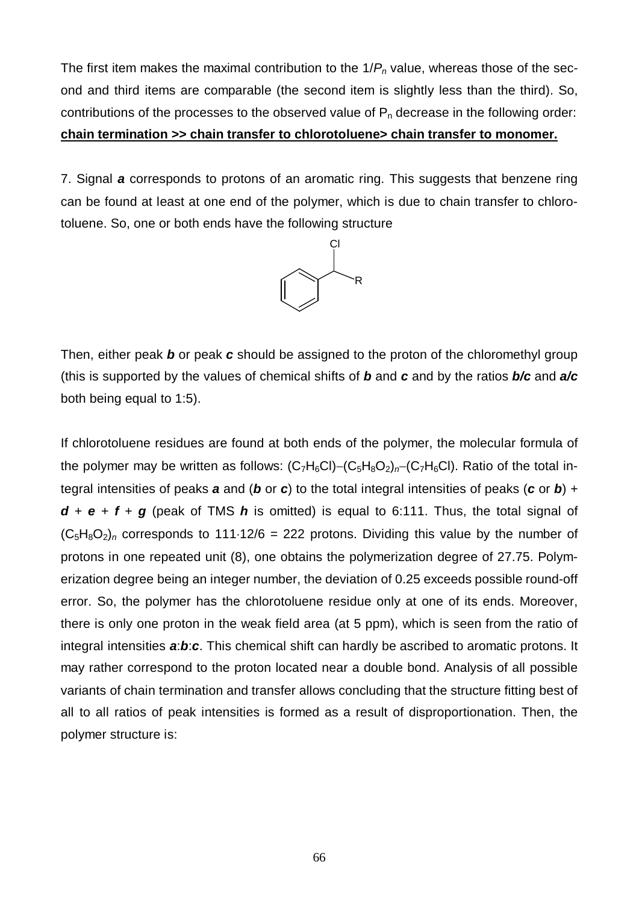The first item makes the maximal contribution to the 1/*Pn* value, whereas those of the second and third items are comparable (the second item is slightly less than the third). So, contributions of the processes to the observed value of  $P_n$  decrease in the following order: **chain termination >> chain transfer to chlorotoluene> chain transfer to monomer.**

7. Signal *a* corresponds to protons of an aromatic ring. This suggests that benzene ring can be found at least at one end of the polymer, which is due to chain transfer to chlorotoluene. So, one or both ends have the following structure



Then, either peak *b* or peak *c* should be assigned to the proton of the chloromethyl group (this is supported by the values of chemical shifts of *b* and *c* and by the ratios *b/c* and *a/c* both being equal to 1:5).

If chlorotoluene residues are found at both ends of the polymer, the molecular formula of the polymer may be written as follows:  $(C_7H_6Cl)-(C_5H_8O_2)_n-(C_7H_6Cl)$ . Ratio of the total integral intensities of peaks *a* and (*b* or *c*) to the total integral intensities of peaks (*c* or *b*) +  $d + e + f + g$  (peak of TMS  $h$  is omitted) is equal to 6:111. Thus, the total signal of  $(C_5H_8O_2)_n$  corresponds to 111·12/6 = 222 protons. Dividing this value by the number of protons in one repeated unit (8), one obtains the polymerization degree of 27.75. Polymerization degree being an integer number, the deviation of 0.25 exceeds possible round-off error. So, the polymer has the chlorotoluene residue only at one of its ends. Moreover, there is only one proton in the weak field area (at 5 ppm), which is seen from the ratio of integral intensities *a*:*b*:*c*. This chemical shift can hardly be ascribed to aromatic protons. It may rather correspond to the proton located near a double bond. Analysis of all possible variants of chain termination and transfer allows concluding that the structure fitting best of all to all ratios of peak intensities is formed as a result of disproportionation. Then, the polymer structure is: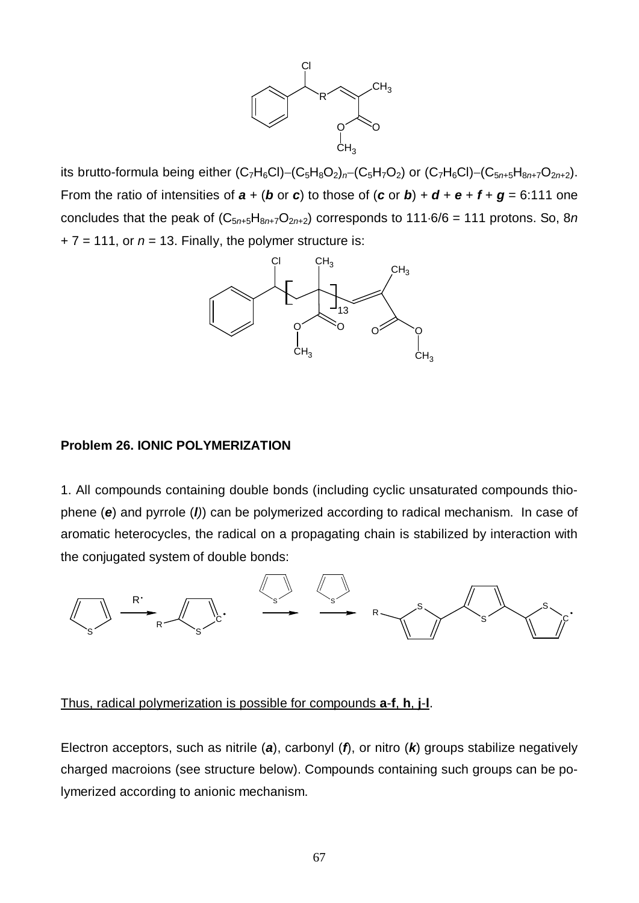

its brutto-formula being either  $(C_7H_6Cl)-(C_5H_8O_2)_n-(C_5H_7O_2)$  or  $(C_7H_6Cl)-(C_{5n+5}H_{8n+7}O_{2n+2})$ . From the ratio of intensities of  $\mathbf{a} + (\mathbf{b} \text{ or } \mathbf{c})$  to those of  $(\mathbf{c} \text{ or } \mathbf{b}) + \mathbf{d} + \mathbf{e} + \mathbf{f} + \mathbf{g} = 6:111$  one concludes that the peak of  $(C_{5n+5}H_{8n+7}O_{2n+2})$  corresponds to 111 $\cdot$ 6/6 = 111 protons. So, 8*n*  $+ 7 = 111$ , or  $n = 13$ . Finally, the polymer structure is:



#### **Problem 26. IONIC POLYMERIZATION**

1. All compounds containing double bonds (including cyclic unsaturated compounds thiophene (*e*) and pyrrole (*l)*) can be polymerized according to radical mechanism. In case of aromatic heterocycles, the radical on a propagating chain is stabilized by interaction with the conjugated system of double bonds:



#### Thus, radical polymerization is possible for compounds **a**-**f**, **h**, **j**-**l**.

Electron acceptors, such as nitrile (*a*), carbonyl (*f*), or nitro (*k*) groups stabilize negatively charged macroions (see structure below). Compounds containing such groups can be polymerized according to anionic mechanism.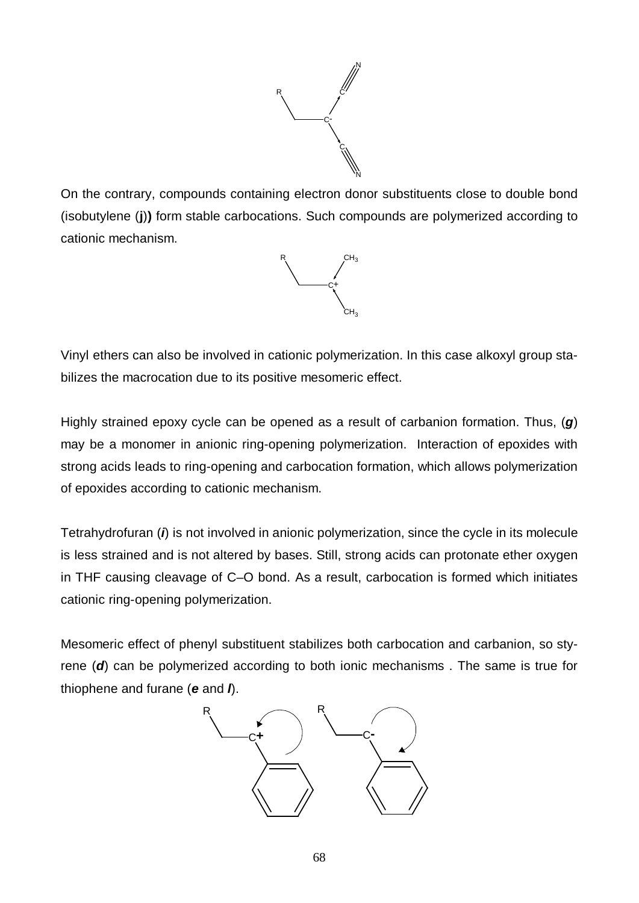

On the contrary, compounds containing electron donor substituents close to double bond (isobutylene (**j**)**)** form stable carbocations. Such compounds are polymerized according to cationic mechanism.



Vinyl ethers can also be involved in cationic polymerization. In this case alkoxyl group stabilizes the macrocation due to its positive mesomeric effect.

Highly strained epoxy cycle can be opened as a result of carbanion formation. Thus, (*g*) may be a monomer in anionic ring-opening polymerization. Interaction of epoxides with strong acids leads to ring-opening and carbocation formation, which allows polymerization of epoxides according to cationic mechanism.

Tetrahydrofuran (*i*) is not involved in anionic polymerization, since the cycle in its molecule is less strained and is not altered by bases. Still, strong acids can protonate ether oxygen in THF causing cleavage of C–O bond. As a result, carbocation is formed which initiates cationic ring-opening polymerization.

Mesomeric effect of phenyl substituent stabilizes both carbocation and carbanion, so styrene (*d*) can be polymerized according to both ionic mechanisms . The same is true for thiophene and furane (*e* and *l*).

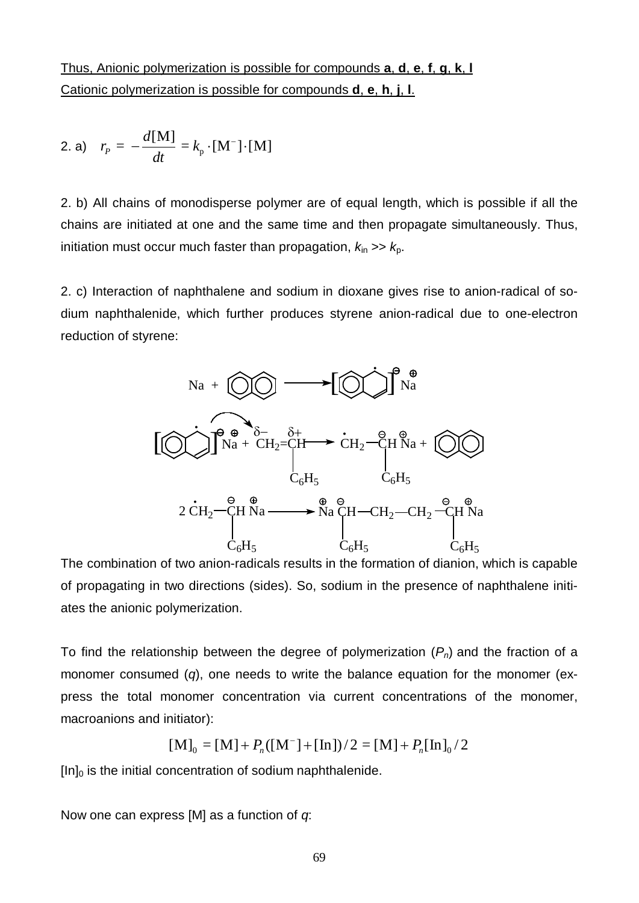Thus, Anionic polymerization is possible for compounds **a**, **d**, **e**, **f**, **g**, **k**, **l** Cationic polymerization is possible for compounds **d**, **e**, **h**, **j**, **l**.

2. a) 
$$
r_p = -\frac{d[M]}{dt} = k_p \cdot [M^-] \cdot [M]
$$

2. b) All chains of monodisperse polymer are of equal length, which is possible if all the chains are initiated at one and the same time and then propagate simultaneously. Thus, initiation must occur much faster than propagation,  $k_{in} \gg k_{p}$ .

2. c) Interaction of naphthalene and sodium in dioxane gives rise to anion-radical of sodium naphthalenide, which further produces styrene anion-radical due to one-electron reduction of styrene:



The combination of two anion-radicals results in the formation of dianion, which is capable of propagating in two directions (sides). So, sodium in the presence of naphthalene initiates the anionic polymerization.

To find the relationship between the degree of polymerization (*Pn*) and the fraction of a monomer consumed (*q*), one needs to write the balance equation for the monomer (express the total monomer concentration via current concentrations of the monomer, macroanions and initiator):

$$
[\mathbf{M}]_0 = [\mathbf{M}] + P_n([\mathbf{M}^-] + [\mathbf{In}])/2 = [\mathbf{M}] + P_n[\mathbf{In}]_0 / 2
$$

 $[In]_0$  is the initial concentration of sodium naphthalenide.

Now one can express [M] as a function of *q*: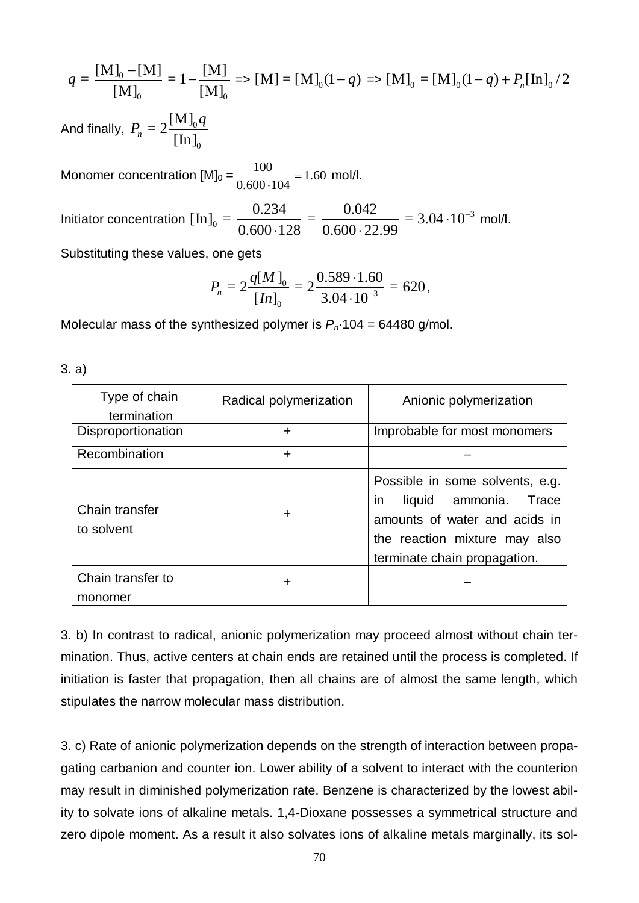$$
q = \frac{[\mathbf{M}]_0 - [\mathbf{M}]}{[\mathbf{M}]_0} = 1 - \frac{[\mathbf{M}]}{[\mathbf{M}]_0} \Rightarrow [\mathbf{M}] = [\mathbf{M}]_0 (1 - q) \Rightarrow [\mathbf{M}]_0 = [\mathbf{M}]_0 (1 - q) + P_n [\mathbf{In}]_0 / 2
$$

And finally,  $P_n = 2 \frac{\Gamma^{11} \Gamma_0}{\Gamma_0^2}$  $\mathbf{0}$  $= 2 \frac{[M]}{[M]}$  $n - 2$  [In] *q P*

Monomer concentration  $[M]_0 = \frac{100}{0.600 \times 10^{10}} = 1.60$  $0.600 - 104$  $\frac{100}{20}$  = × mol/l.

Initiator concentration  $\left[\text{In}\right]_0 = \frac{0.234}{0.600,129} = \frac{0.042}{0.600,22.09} = 3.04 \cdot 10^{-3}$  $0.600 \cdot 128$   $0.600 \cdot 22.99$  $\cdot 10^{-}$  $-128$  0.600 $-2$ mol/l.

Substituting these values, one gets

$$
P_n = 2 \frac{q[M]_0}{[In]_0} = 2 \frac{0.589 \cdot 1.60}{3.04 \cdot 10^{-3}} = 620,
$$

Molecular mass of the synthesized polymer is *Pn*·104 = 64480 g/mol.

| Type of chain<br>termination | Radical polymerization | Anionic polymerization                                                                                                                                               |
|------------------------------|------------------------|----------------------------------------------------------------------------------------------------------------------------------------------------------------------|
| Disproportionation           | ÷                      | Improbable for most monomers                                                                                                                                         |
| Recombination                | $\ddot{}$              |                                                                                                                                                                      |
| Chain transfer<br>to solvent | ÷                      | Possible in some solvents, e.g.<br>liquid ammonia.<br>Trace<br>In.<br>amounts of water and acids in<br>the reaction mixture may also<br>terminate chain propagation. |
| Chain transfer to            | +                      |                                                                                                                                                                      |
| monomer                      |                        |                                                                                                                                                                      |

3. a)

3. b) In contrast to radical, anionic polymerization may proceed almost without chain termination. Thus, active centers at chain ends are retained until the process is completed. If initiation is faster that propagation, then all chains are of almost the same length, which stipulates the narrow molecular mass distribution.

3. c) Rate of anionic polymerization depends on the strength of interaction between propagating carbanion and counter ion. Lower ability of a solvent to interact with the counterion may result in diminished polymerization rate. Benzene is characterized by the lowest ability to solvate ions of alkaline metals. 1,4-Dioxane possesses a symmetrical structure and zero dipole moment. As a result it also solvates ions of alkaline metals marginally, its sol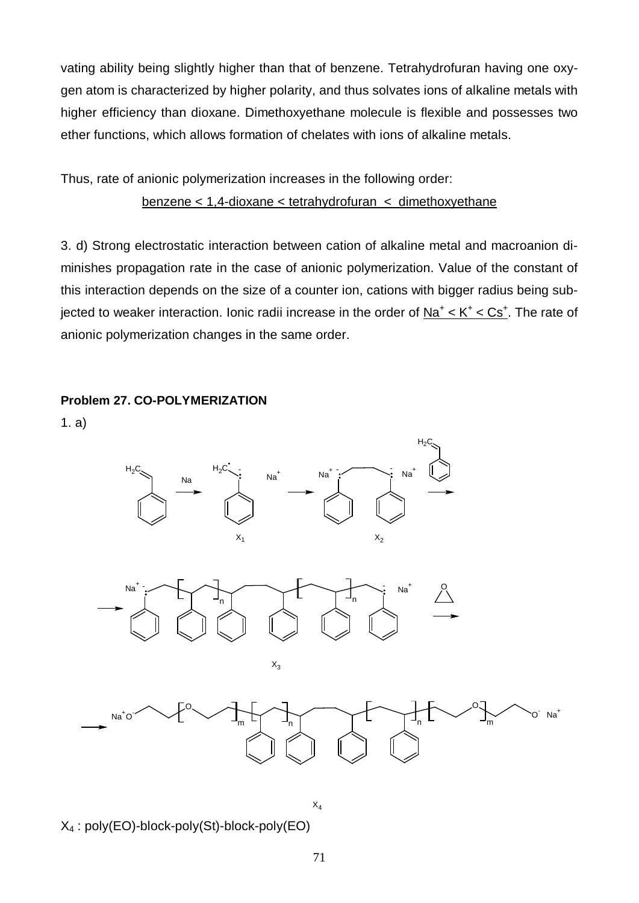vating ability being slightly higher than that of benzene. Tetrahydrofuran having one oxygen atom is characterized by higher polarity, and thus solvates ions of alkaline metals with higher efficiency than dioxane. Dimethoxyethane molecule is flexible and possesses two ether functions, which allows formation of chelates with ions of alkaline metals.

Thus, rate of anionic polymerization increases in the following order: benzene < 1,4-dioxane < tetrahydrofuran < dimethoxyethane

3. d) Strong electrostatic interaction between cation of alkaline metal and macroanion diminishes propagation rate in the case of anionic polymerization. Value of the constant of this interaction depends on the size of a counter ion, cations with bigger radius being subjected to weaker interaction. Ionic radii increase in the order of  $N a<sup>+</sup> < K<sup>+</sup> < Cs<sup>+</sup>$ . The rate of anionic polymerization changes in the same order.





X4 : poly(EO)-block-poly(St)-block-poly(EO)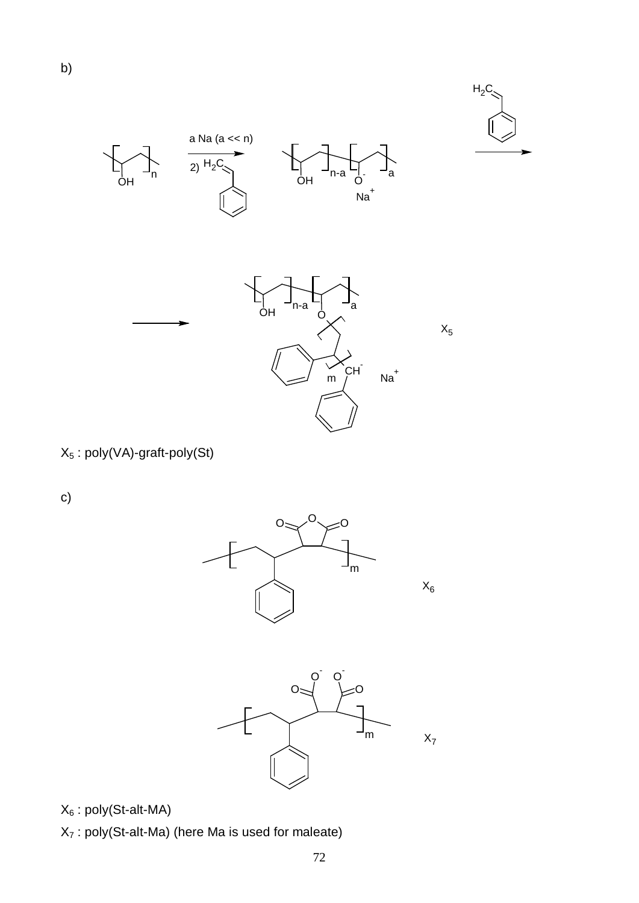

 $X_5$ 





X5 : poly(VA)-graft-poly(St)

c)





 $X_6$ : poly(St-alt-MA)

 $X_7$ : poly(St-alt-Ma) (here Ma is used for maleate)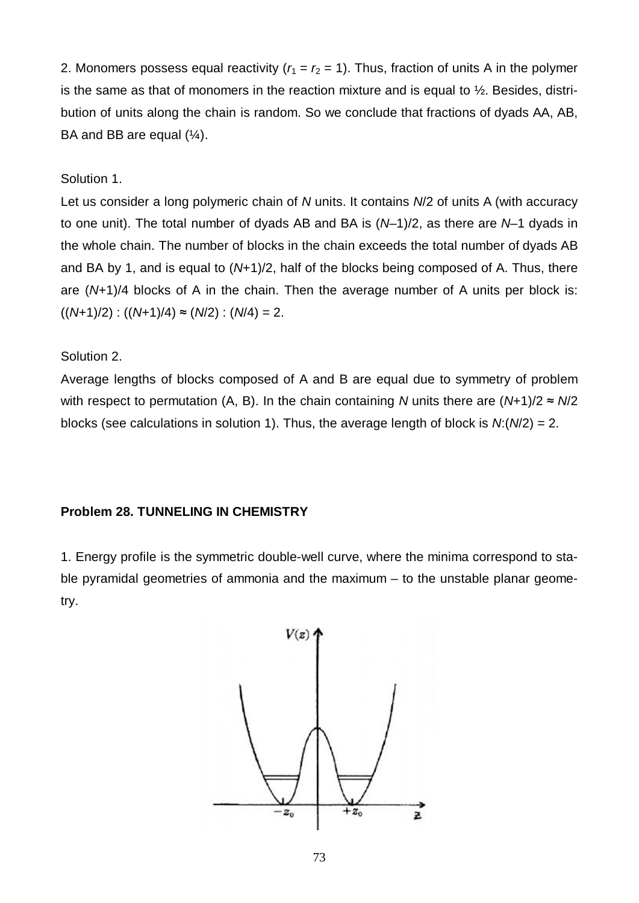2. Monomers possess equal reactivity  $(r_1 = r_2 = 1)$ . Thus, fraction of units A in the polymer is the same as that of monomers in the reaction mixture and is equal to  $\frac{1}{2}$ . Besides, distribution of units along the chain is random. So we conclude that fractions of dyads AA, AB, BA and BB are equal  $(\frac{1}{4})$ .

## Solution 1.

Let us consider a long polymeric chain of *N* units. It contains *N*/2 of units A (with accuracy to one unit). The total number of dyads AB and BA is (*N*–1)/2, as there are *N*–1 dyads in the whole chain. The number of blocks in the chain exceeds the total number of dyads AB and BA by 1, and is equal to (*N*+1)/2, half of the blocks being composed of A. Thus, there are (*N*+1)/4 blocks of A in the chain. Then the average number of A units per block is:  $((N+1)/2)$  :  $((N+1)/4) \approx (N/2)$  :  $(N/4) = 2$ .

## Solution 2.

Average lengths of blocks composed of A and B are equal due to symmetry of problem with respect to permutation (A, B). In the chain containing *N* units there are (*N*+1)/2 ≈ *N*/2 blocks (see calculations in solution 1). Thus, the average length of block is *N*:(*N*/2) = 2.

## **Problem 28. TUNNELING IN CHEMISTRY**

1. Energy profile is the symmetric double-well curve, where the minima correspond to stable pyramidal geometries of ammonia and the maximum – to the unstable planar geometry.